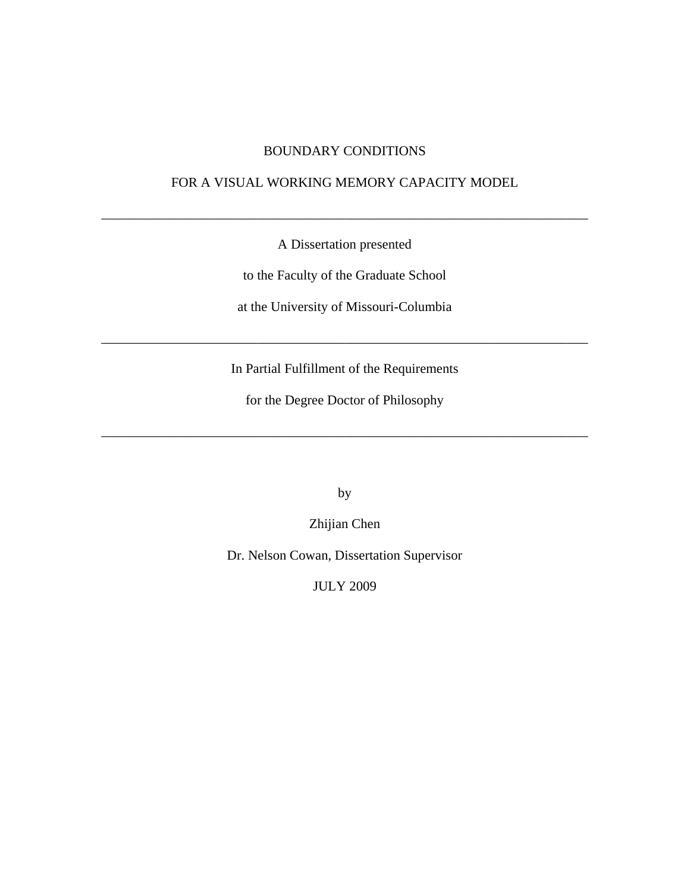## BOUNDARY CONDITIONS

### FOR A VISUAL WORKING MEMORY CAPACITY MODEL

\_\_\_\_\_\_\_\_\_\_\_\_\_\_\_\_\_\_\_\_\_\_\_\_\_\_\_\_\_\_\_\_\_\_\_\_\_\_\_\_\_\_\_\_\_\_\_\_\_\_\_\_\_\_\_\_\_\_\_\_\_\_\_\_\_\_\_\_\_\_\_\_

A Dissertation presented

to the Faculty of the Graduate School

at the University of Missouri-Columbia

In Partial Fulfillment of the Requirements

\_\_\_\_\_\_\_\_\_\_\_\_\_\_\_\_\_\_\_\_\_\_\_\_\_\_\_\_\_\_\_\_\_\_\_\_\_\_\_\_\_\_\_\_\_\_\_\_\_\_\_\_\_\_\_\_\_\_\_\_\_\_\_\_\_\_\_\_\_\_\_\_

for the Degree Doctor of Philosophy

\_\_\_\_\_\_\_\_\_\_\_\_\_\_\_\_\_\_\_\_\_\_\_\_\_\_\_\_\_\_\_\_\_\_\_\_\_\_\_\_\_\_\_\_\_\_\_\_\_\_\_\_\_\_\_\_\_\_\_\_\_\_\_\_\_\_\_\_\_\_\_\_

by

Zhijian Chen

Dr. Nelson Cowan, Dissertation Supervisor

JULY 2009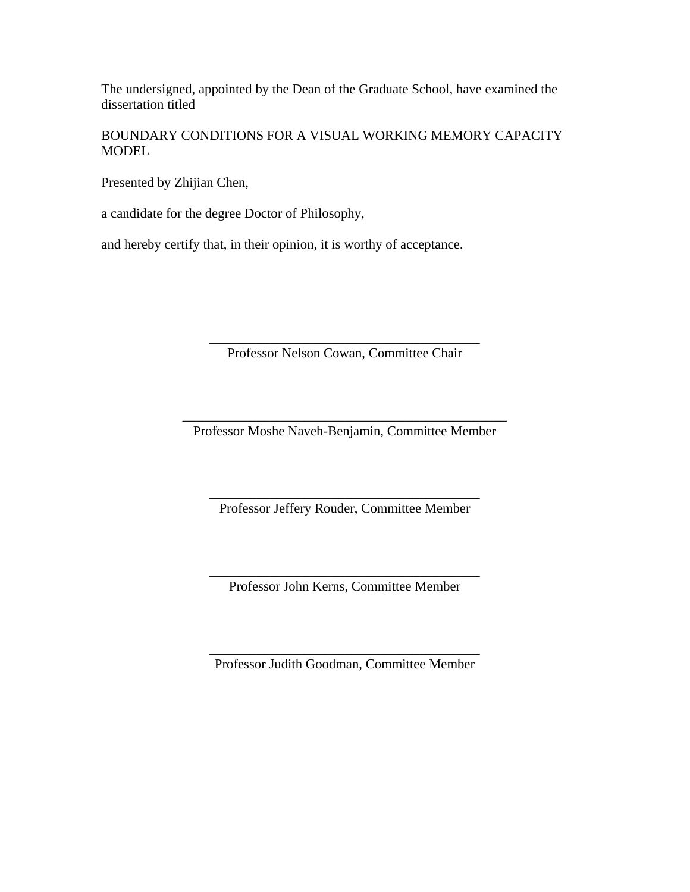The undersigned, appointed by the Dean of the Graduate School, have examined the dissertation titled

BOUNDARY CONDITIONS FOR A VISUAL WORKING MEMORY CAPACITY **MODEL** 

Presented by Zhijian Chen,

a candidate for the degree Doctor of Philosophy,

and hereby certify that, in their opinion, it is worthy of acceptance.

\_\_\_\_\_\_\_\_\_\_\_\_\_\_\_\_\_\_\_\_\_\_\_\_\_\_\_\_\_\_\_\_\_\_\_\_\_\_\_\_ Professor Nelson Cowan, Committee Chair

\_\_\_\_\_\_\_\_\_\_\_\_\_\_\_\_\_\_\_\_\_\_\_\_\_\_\_\_\_\_\_\_\_\_\_\_\_\_\_\_\_\_\_\_\_\_\_\_ Professor Moshe Naveh-Benjamin, Committee Member

\_\_\_\_\_\_\_\_\_\_\_\_\_\_\_\_\_\_\_\_\_\_\_\_\_\_\_\_\_\_\_\_\_\_\_\_\_\_\_\_ Professor Jeffery Rouder, Committee Member

\_\_\_\_\_\_\_\_\_\_\_\_\_\_\_\_\_\_\_\_\_\_\_\_\_\_\_\_\_\_\_\_\_\_\_\_\_\_\_\_ Professor John Kerns, Committee Member

\_\_\_\_\_\_\_\_\_\_\_\_\_\_\_\_\_\_\_\_\_\_\_\_\_\_\_\_\_\_\_\_\_\_\_\_\_\_\_\_ Professor Judith Goodman, Committee Member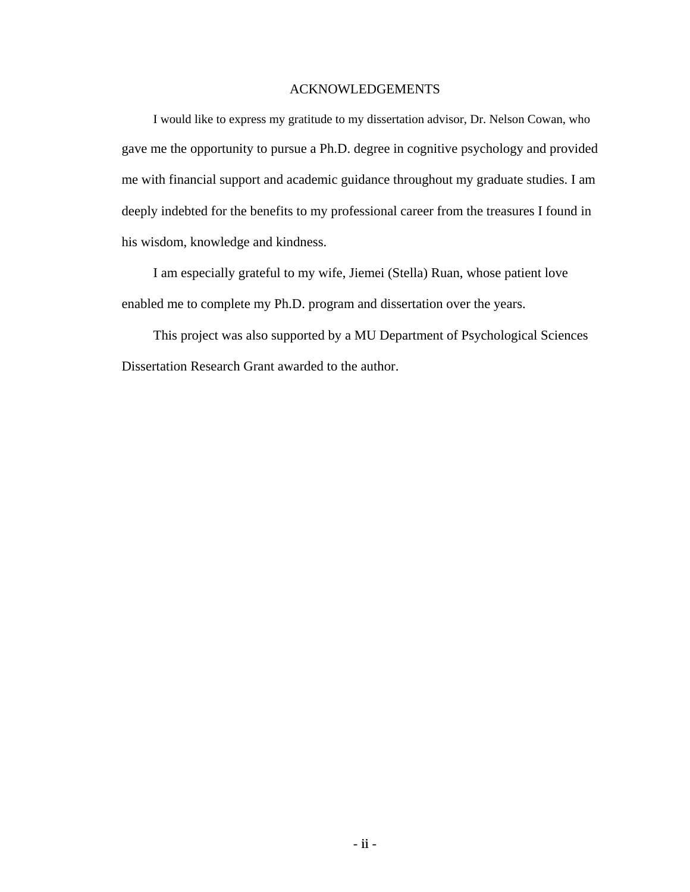#### ACKNOWLEDGEMENTS

I would like to express my gratitude to my dissertation advisor, Dr. Nelson Cowan, who gave me the opportunity to pursue a Ph.D. degree in cognitive psychology and provided me with financial support and academic guidance throughout my graduate studies. I am deeply indebted for the benefits to my professional career from the treasures I found in his wisdom, knowledge and kindness.

I am especially grateful to my wife, Jiemei (Stella) Ruan, whose patient love enabled me to complete my Ph.D. program and dissertation over the years.

This project was also supported by a MU Department of Psychological Sciences Dissertation Research Grant awarded to the author.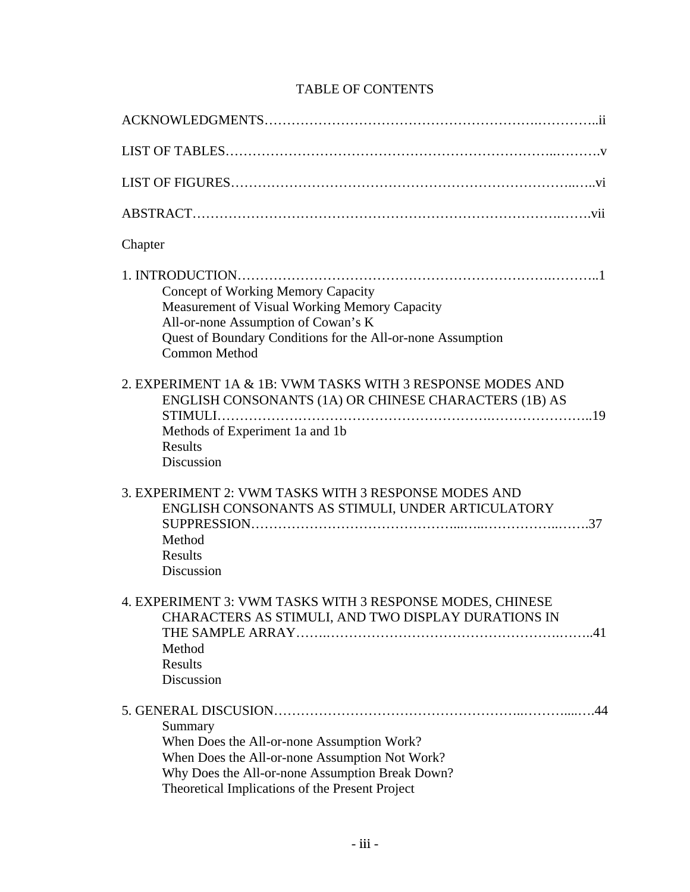# TABLE OF CONTENTS

| Chapter                                                                                                                                                                                                             |
|---------------------------------------------------------------------------------------------------------------------------------------------------------------------------------------------------------------------|
| <b>Concept of Working Memory Capacity</b><br>Measurement of Visual Working Memory Capacity<br>All-or-none Assumption of Cowan's K<br>Quest of Boundary Conditions for the All-or-none Assumption<br>Common Method   |
| 2. EXPERIMENT 1A & 1B: VWM TASKS WITH 3 RESPONSE MODES AND<br>ENGLISH CONSONANTS (1A) OR CHINESE CHARACTERS (1B) AS<br>Methods of Experiment 1a and 1b<br>Results<br>Discussion                                     |
| 3. EXPERIMENT 2: VWM TASKS WITH 3 RESPONSE MODES AND<br>ENGLISH CONSONANTS AS STIMULI, UNDER ARTICULATORY<br>Method<br>Results<br>Discussion                                                                        |
| 4. EXPERIMENT 3: VWM TASKS WITH 3 RESPONSE MODES, CHINESE<br>CHARACTERS AS STIMULI, AND TWO DISPLAY DURATIONS IN<br>.41<br>Method<br>Results<br>Discussion                                                          |
| 44<br>Summary<br>When Does the All-or-none Assumption Work?<br>When Does the All-or-none Assumption Not Work?<br>Why Does the All-or-none Assumption Break Down?<br>Theoretical Implications of the Present Project |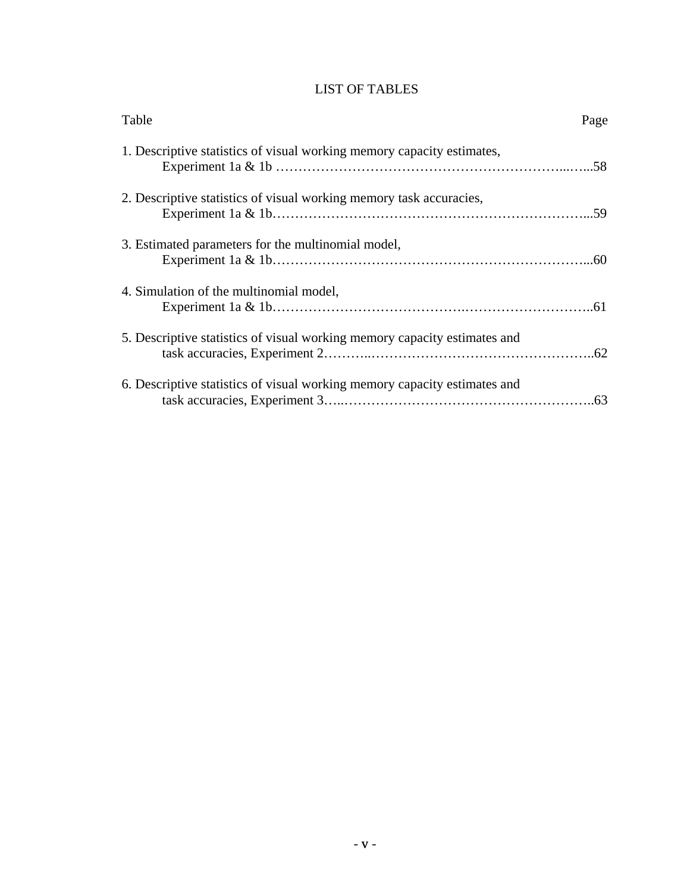# LIST OF TABLES

| Table                                                                     | Page |
|---------------------------------------------------------------------------|------|
| 1. Descriptive statistics of visual working memory capacity estimates,    |      |
| 2. Descriptive statistics of visual working memory task accuracies,       |      |
| 3. Estimated parameters for the multinomial model,                        |      |
| 4. Simulation of the multinomial model,                                   |      |
| 5. Descriptive statistics of visual working memory capacity estimates and |      |
| 6. Descriptive statistics of visual working memory capacity estimates and |      |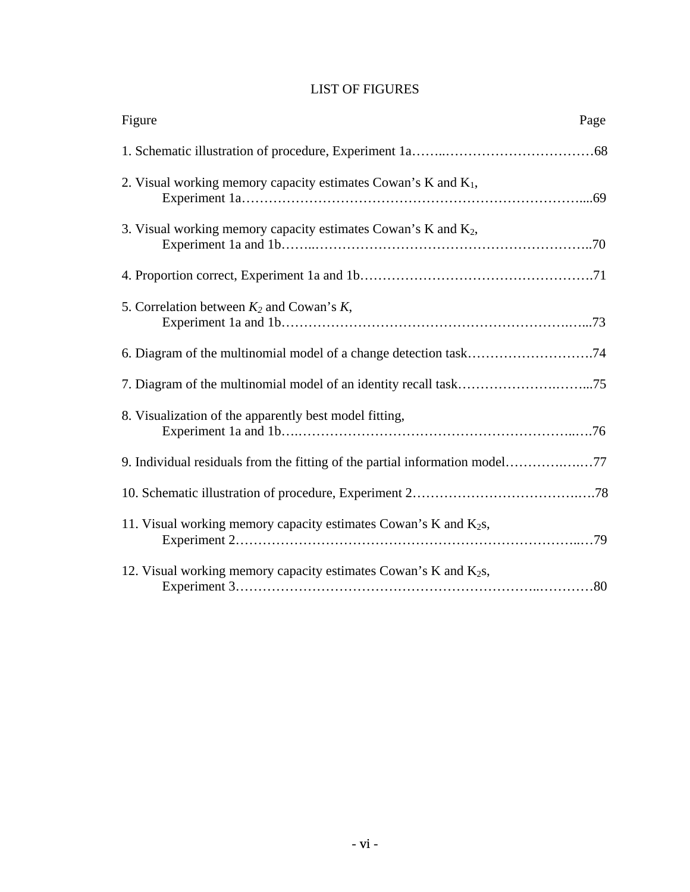## LIST OF FIGURES

| Figure                                                                      | Page |
|-----------------------------------------------------------------------------|------|
|                                                                             |      |
| 2. Visual working memory capacity estimates Cowan's K and $K_1$ ,           |      |
| 3. Visual working memory capacity estimates Cowan's K and $K_2$ ,           |      |
|                                                                             |      |
| 5. Correlation between $K_2$ and Cowan's $K$ ,                              |      |
|                                                                             |      |
|                                                                             |      |
| 8. Visualization of the apparently best model fitting,                      |      |
| 9. Individual residuals from the fitting of the partial information model77 |      |
|                                                                             |      |
| 11. Visual working memory capacity estimates Cowan's K and $K_2s$ ,         |      |
| 12. Visual working memory capacity estimates Cowan's K and $K_2s$ ,         |      |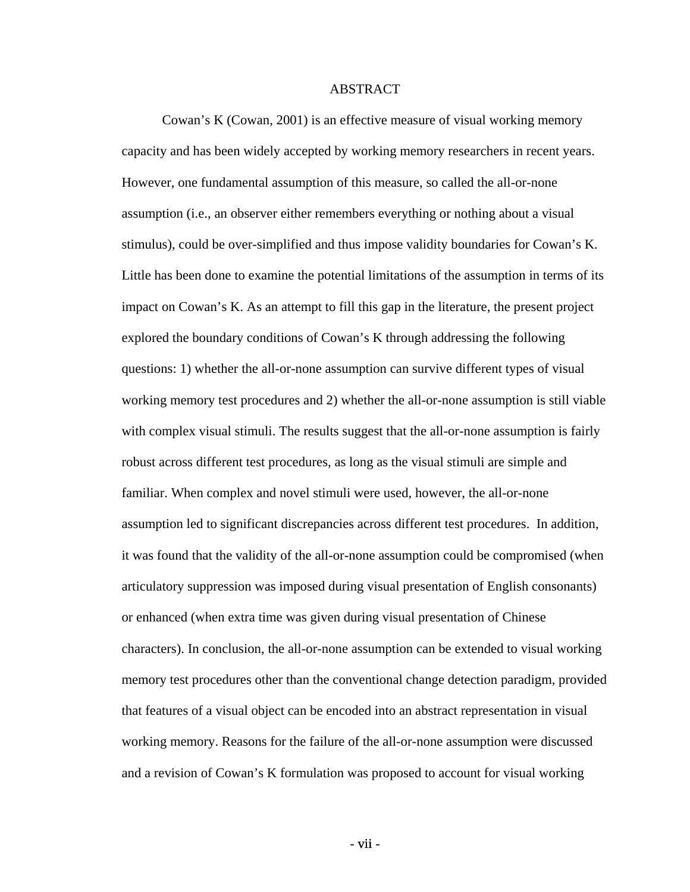#### ABSTRACT

Cowan's K (Cowan, 2001) is an effective measure of visual working memory capacity and has been widely accepted by working memory researchers in recent years. However, one fundamental assumption of this measure, so called the all-or-none assumption (i.e., an observer either remembers everything or nothing about a visual stimulus), could be over-simplified and thus impose validity boundaries for Cowan's K. Little has been done to examine the potential limitations of the assumption in terms of its impact on Cowan's K. As an attempt to fill this gap in the literature, the present project explored the boundary conditions of Cowan's K through addressing the following questions: 1) whether the all-or-none assumption can survive different types of visual working memory test procedures and 2) whether the all-or-none assumption is still viable with complex visual stimuli. The results suggest that the all-or-none assumption is fairly robust across different test procedures, as long as the visual stimuli are simple and familiar. When complex and novel stimuli were used, however, the all-or-none assumption led to significant discrepancies across different test procedures. In addition, it was found that the validity of the all-or-none assumption could be compromised (when articulatory suppression was imposed during visual presentation of English consonants) or enhanced (when extra time was given during visual presentation of Chinese characters). In conclusion, the all-or-none assumption can be extended to visual working memory test procedures other than the conventional change detection paradigm, provided that features of a visual object can be encoded into an abstract representation in visual working memory. Reasons for the failure of the all-or-none assumption were discussed and a revision of Cowan's K formulation was proposed to account for visual working

- vii -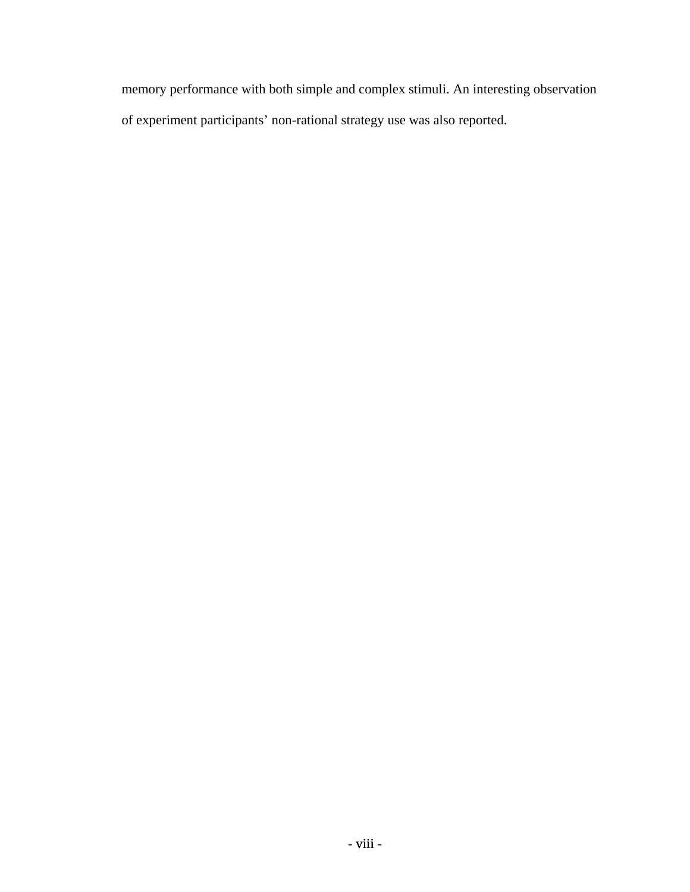memory performance with both simple and complex stimuli. An interesting observation of experiment participants' non-rational strategy use was also reported.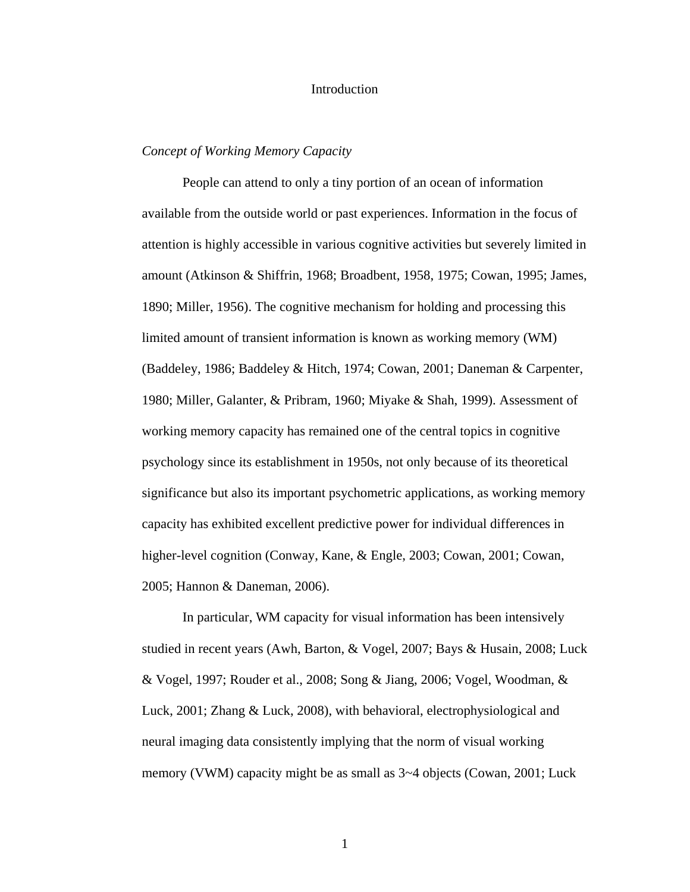#### Introduction

#### *Concept of Working Memory Capacity*

People can attend to only a tiny portion of an ocean of information available from the outside world or past experiences. Information in the focus of attention is highly accessible in various cognitive activities but severely limited in amount (Atkinson & Shiffrin, 1968; Broadbent, 1958, 1975; Cowan, 1995; James, 1890; Miller, 1956). The cognitive mechanism for holding and processing this limited amount of transient information is known as working memory (WM) (Baddeley, 1986; Baddeley & Hitch, 1974; Cowan, 2001; Daneman & Carpenter, 1980; Miller, Galanter, & Pribram, 1960; Miyake & Shah, 1999). Assessment of working memory capacity has remained one of the central topics in cognitive psychology since its establishment in 1950s, not only because of its theoretical significance but also its important psychometric applications, as working memory capacity has exhibited excellent predictive power for individual differences in higher-level cognition (Conway, Kane, & Engle, 2003; Cowan, 2001; Cowan, 2005; Hannon & Daneman, 2006).

In particular, WM capacity for visual information has been intensively studied in recent years (Awh, Barton, & Vogel, 2007; Bays & Husain, 2008; Luck & Vogel, 1997; Rouder et al., 2008; Song & Jiang, 2006; Vogel, Woodman, & Luck, 2001; Zhang & Luck, 2008), with behavioral, electrophysiological and neural imaging data consistently implying that the norm of visual working memory (VWM) capacity might be as small as 3~4 objects (Cowan, 2001; Luck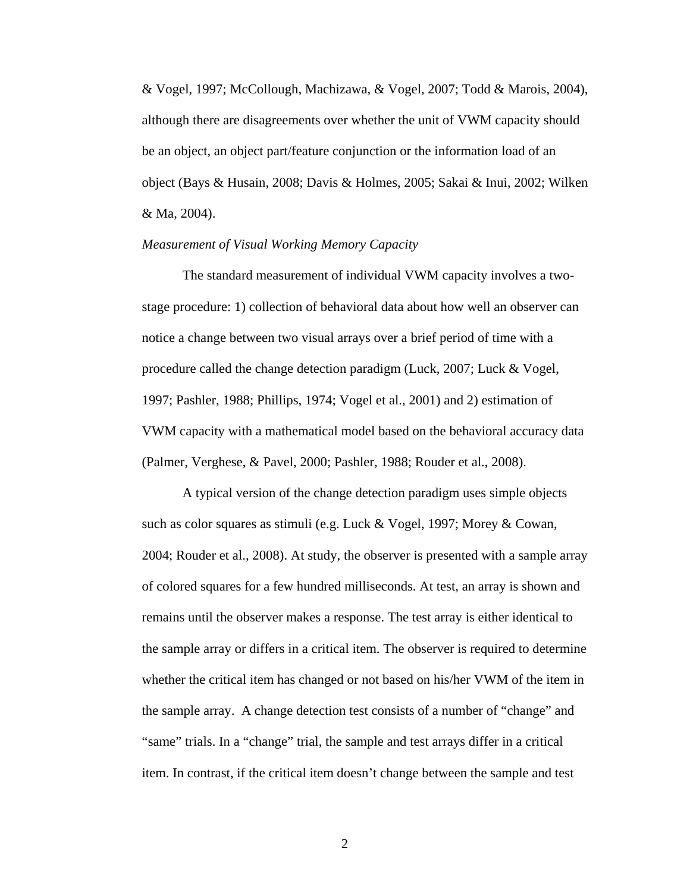& Vogel, 1997; McCollough, Machizawa, & Vogel, 2007; Todd & Marois, 2004), although there are disagreements over whether the unit of VWM capacity should be an object, an object part/feature conjunction or the information load of an object (Bays & Husain, 2008; Davis & Holmes, 2005; Sakai & Inui, 2002; Wilken & Ma, 2004).

#### *Measurement of Visual Working Memory Capacity*

The standard measurement of individual VWM capacity involves a twostage procedure: 1) collection of behavioral data about how well an observer can notice a change between two visual arrays over a brief period of time with a procedure called the change detection paradigm (Luck, 2007; Luck & Vogel, 1997; Pashler, 1988; Phillips, 1974; Vogel et al., 2001) and 2) estimation of VWM capacity with a mathematical model based on the behavioral accuracy data (Palmer, Verghese, & Pavel, 2000; Pashler, 1988; Rouder et al., 2008).

A typical version of the change detection paradigm uses simple objects such as color squares as stimuli (e.g. Luck & Vogel, 1997; Morey & Cowan, 2004; Rouder et al., 2008). At study, the observer is presented with a sample array of colored squares for a few hundred milliseconds. At test, an array is shown and remains until the observer makes a response. The test array is either identical to the sample array or differs in a critical item. The observer is required to determine whether the critical item has changed or not based on his/her VWM of the item in the sample array. A change detection test consists of a number of "change" and "same" trials. In a "change" trial, the sample and test arrays differ in a critical item. In contrast, if the critical item doesn't change between the sample and test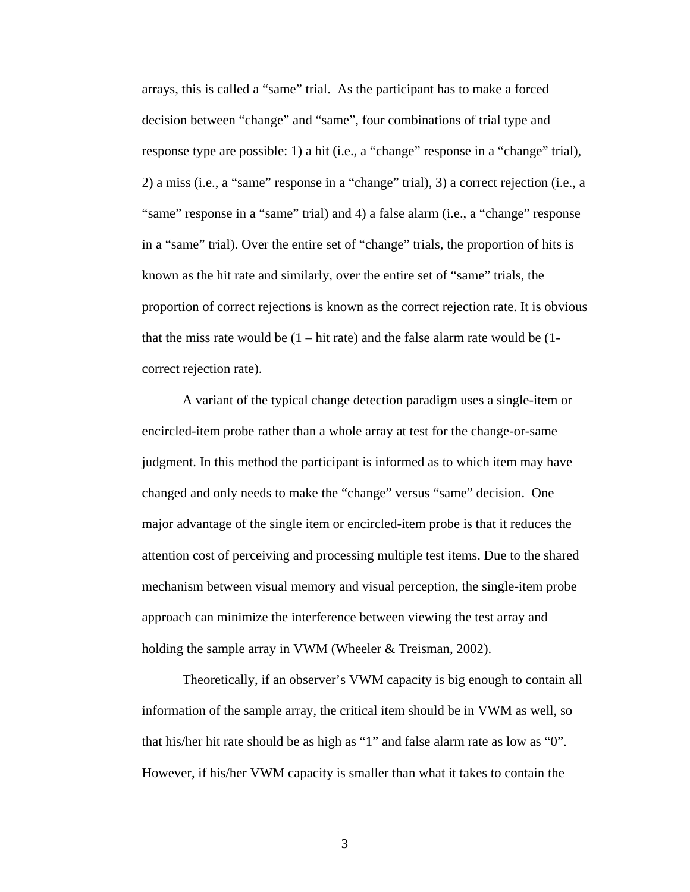arrays, this is called a "same" trial. As the participant has to make a forced decision between "change" and "same", four combinations of trial type and response type are possible: 1) a hit (i.e., a "change" response in a "change" trial), 2) a miss (i.e., a "same" response in a "change" trial), 3) a correct rejection (i.e., a "same" response in a "same" trial) and 4) a false alarm (i.e., a "change" response in a "same" trial). Over the entire set of "change" trials, the proportion of hits is known as the hit rate and similarly, over the entire set of "same" trials, the proportion of correct rejections is known as the correct rejection rate. It is obvious that the miss rate would be  $(1 - hit rate)$  and the false alarm rate would be  $(1$ correct rejection rate).

A variant of the typical change detection paradigm uses a single-item or encircled-item probe rather than a whole array at test for the change-or-same judgment. In this method the participant is informed as to which item may have changed and only needs to make the "change" versus "same" decision. One major advantage of the single item or encircled-item probe is that it reduces the attention cost of perceiving and processing multiple test items. Due to the shared mechanism between visual memory and visual perception, the single-item probe approach can minimize the interference between viewing the test array and holding the sample array in VWM (Wheeler & Treisman, 2002).

Theoretically, if an observer's VWM capacity is big enough to contain all information of the sample array, the critical item should be in VWM as well, so that his/her hit rate should be as high as "1" and false alarm rate as low as "0". However, if his/her VWM capacity is smaller than what it takes to contain the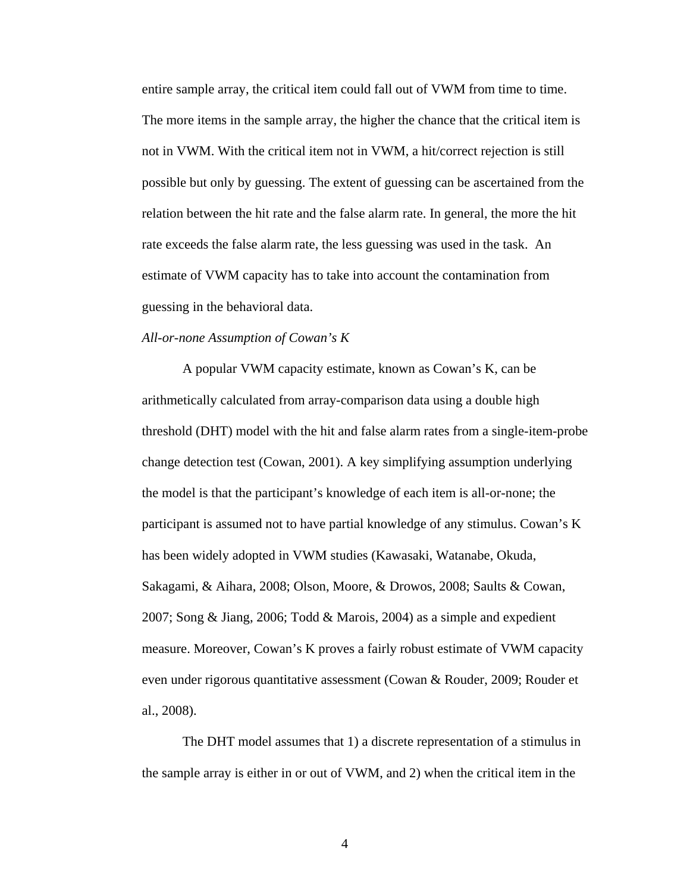entire sample array, the critical item could fall out of VWM from time to time. The more items in the sample array, the higher the chance that the critical item is not in VWM. With the critical item not in VWM, a hit/correct rejection is still possible but only by guessing. The extent of guessing can be ascertained from the relation between the hit rate and the false alarm rate. In general, the more the hit rate exceeds the false alarm rate, the less guessing was used in the task. An estimate of VWM capacity has to take into account the contamination from guessing in the behavioral data.

#### *All-or-none Assumption of Cowan's K*

A popular VWM capacity estimate, known as Cowan's K, can be arithmetically calculated from array-comparison data using a double high threshold (DHT) model with the hit and false alarm rates from a single-item-probe change detection test (Cowan, 2001). A key simplifying assumption underlying the model is that the participant's knowledge of each item is all-or-none; the participant is assumed not to have partial knowledge of any stimulus. Cowan's K has been widely adopted in VWM studies (Kawasaki, Watanabe, Okuda, Sakagami, & Aihara, 2008; Olson, Moore, & Drowos, 2008; Saults & Cowan, 2007; Song & Jiang, 2006; Todd & Marois, 2004) as a simple and expedient measure. Moreover, Cowan's K proves a fairly robust estimate of VWM capacity even under rigorous quantitative assessment (Cowan & Rouder, 2009; Rouder et al., 2008).

The DHT model assumes that 1) a discrete representation of a stimulus in the sample array is either in or out of VWM, and 2) when the critical item in the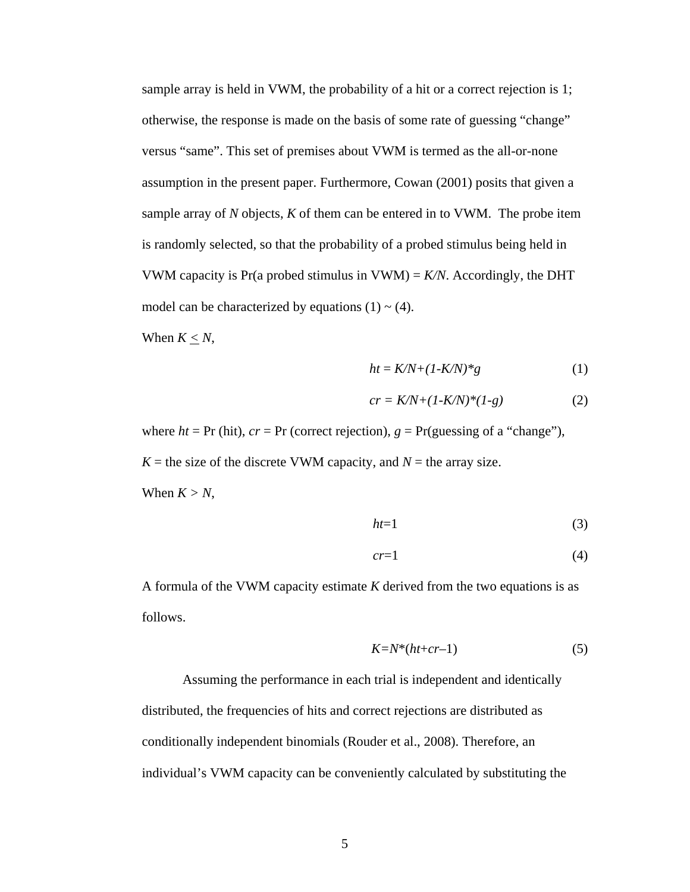sample array is held in VWM, the probability of a hit or a correct rejection is 1; otherwise, the response is made on the basis of some rate of guessing "change" versus "same". This set of premises about VWM is termed as the all-or-none assumption in the present paper. Furthermore, Cowan (2001) posits that given a sample array of *N* objects, *K* of them can be entered in to VWM. The probe item is randomly selected, so that the probability of a probed stimulus being held in VWM capacity is Pr(a probed stimulus in VWM) =  $K/N$ . Accordingly, the DHT model can be characterized by equations  $(1) \sim (4)$ .

When  $K < N$ ,

$$
ht = K/N + (1 - K/N)^*g \tag{1}
$$

$$
cr = K/N + (1-K/N)^*(1-g) \tag{2}
$$

where  $ht = Pr$  (hit),  $cr = Pr$  (correct rejection),  $g = Pr$  (guessing of a "change"),  $K =$  the size of the discrete VWM capacity, and  $N =$  the array size. When  $K > N$ ,

$$
ht=1\tag{3}
$$

$$
cr=1\tag{4}
$$

A formula of the VWM capacity estimate *K* derived from the two equations is as follows.

$$
K = N^*(ht + cr - 1) \tag{5}
$$

Assuming the performance in each trial is independent and identically distributed, the frequencies of hits and correct rejections are distributed as conditionally independent binomials (Rouder et al., 2008). Therefore, an individual's VWM capacity can be conveniently calculated by substituting the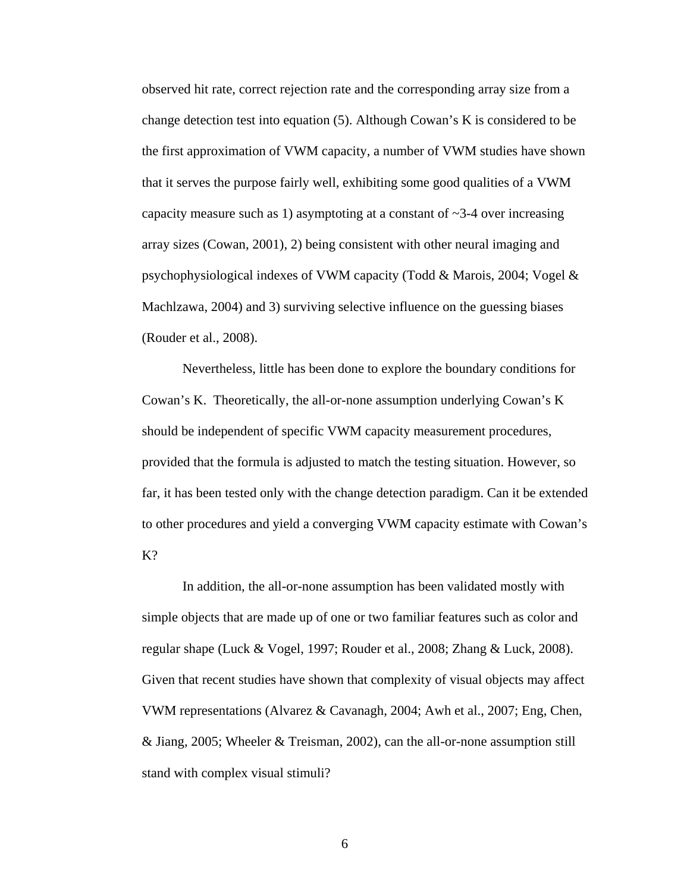observed hit rate, correct rejection rate and the corresponding array size from a change detection test into equation (5). Although Cowan's K is considered to be the first approximation of VWM capacity, a number of VWM studies have shown that it serves the purpose fairly well, exhibiting some good qualities of a VWM capacity measure such as 1) asymptoting at a constant of  $\sim$ 3-4 over increasing array sizes (Cowan, 2001), 2) being consistent with other neural imaging and psychophysiological indexes of VWM capacity (Todd & Marois, 2004; Vogel & Machlzawa, 2004) and 3) surviving selective influence on the guessing biases (Rouder et al., 2008).

Nevertheless, little has been done to explore the boundary conditions for Cowan's K. Theoretically, the all-or-none assumption underlying Cowan's K should be independent of specific VWM capacity measurement procedures, provided that the formula is adjusted to match the testing situation. However, so far, it has been tested only with the change detection paradigm. Can it be extended to other procedures and yield a converging VWM capacity estimate with Cowan's K?

In addition, the all-or-none assumption has been validated mostly with simple objects that are made up of one or two familiar features such as color and regular shape (Luck & Vogel, 1997; Rouder et al., 2008; Zhang & Luck, 2008). Given that recent studies have shown that complexity of visual objects may affect VWM representations (Alvarez & Cavanagh, 2004; Awh et al., 2007; Eng, Chen, & Jiang, 2005; Wheeler & Treisman, 2002), can the all-or-none assumption still stand with complex visual stimuli?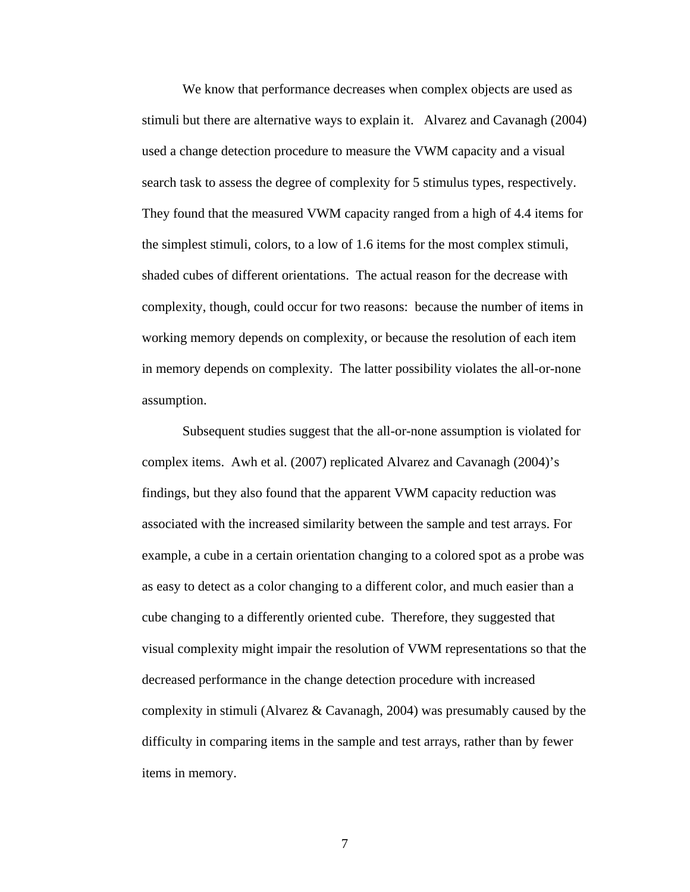We know that performance decreases when complex objects are used as stimuli but there are alternative ways to explain it. Alvarez and Cavanagh (2004) used a change detection procedure to measure the VWM capacity and a visual search task to assess the degree of complexity for 5 stimulus types, respectively. They found that the measured VWM capacity ranged from a high of 4.4 items for the simplest stimuli, colors, to a low of 1.6 items for the most complex stimuli, shaded cubes of different orientations. The actual reason for the decrease with complexity, though, could occur for two reasons: because the number of items in working memory depends on complexity, or because the resolution of each item in memory depends on complexity. The latter possibility violates the all-or-none assumption.

Subsequent studies suggest that the all-or-none assumption is violated for complex items. Awh et al. (2007) replicated Alvarez and Cavanagh (2004)'s findings, but they also found that the apparent VWM capacity reduction was associated with the increased similarity between the sample and test arrays. For example, a cube in a certain orientation changing to a colored spot as a probe was as easy to detect as a color changing to a different color, and much easier than a cube changing to a differently oriented cube. Therefore, they suggested that visual complexity might impair the resolution of VWM representations so that the decreased performance in the change detection procedure with increased complexity in stimuli (Alvarez & Cavanagh, 2004) was presumably caused by the difficulty in comparing items in the sample and test arrays, rather than by fewer items in memory.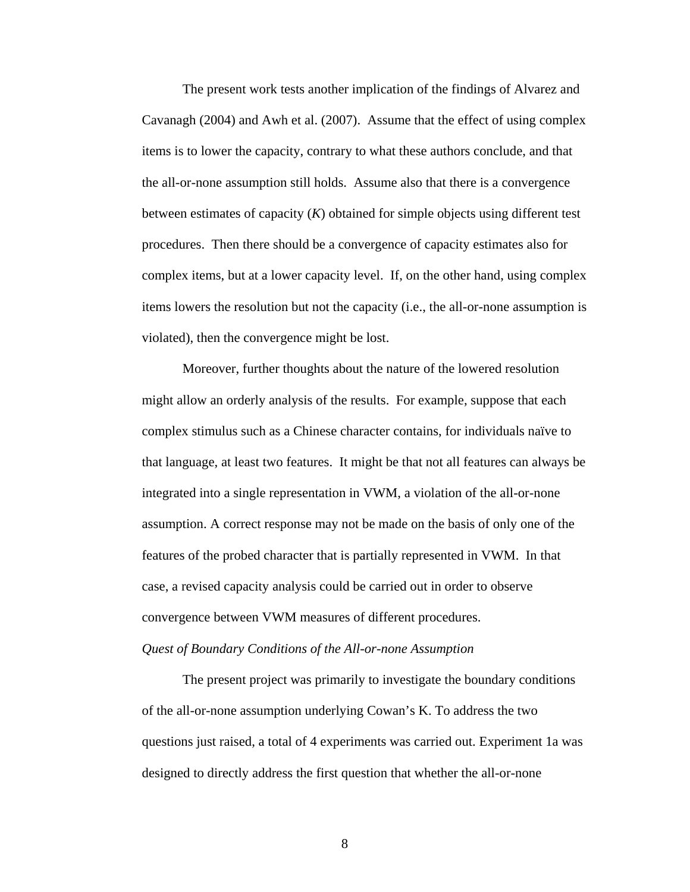The present work tests another implication of the findings of Alvarez and Cavanagh (2004) and Awh et al. (2007). Assume that the effect of using complex items is to lower the capacity, contrary to what these authors conclude, and that the all-or-none assumption still holds. Assume also that there is a convergence between estimates of capacity (*K*) obtained for simple objects using different test procedures. Then there should be a convergence of capacity estimates also for complex items, but at a lower capacity level. If, on the other hand, using complex items lowers the resolution but not the capacity (i.e., the all-or-none assumption is violated), then the convergence might be lost.

Moreover, further thoughts about the nature of the lowered resolution might allow an orderly analysis of the results. For example, suppose that each complex stimulus such as a Chinese character contains, for individuals naïve to that language, at least two features. It might be that not all features can always be integrated into a single representation in VWM, a violation of the all-or-none assumption. A correct response may not be made on the basis of only one of the features of the probed character that is partially represented in VWM. In that case, a revised capacity analysis could be carried out in order to observe convergence between VWM measures of different procedures. *Quest of Boundary Conditions of the All-or-none Assumption*

The present project was primarily to investigate the boundary conditions of the all-or-none assumption underlying Cowan's K. To address the two questions just raised, a total of 4 experiments was carried out. Experiment 1a was designed to directly address the first question that whether the all-or-none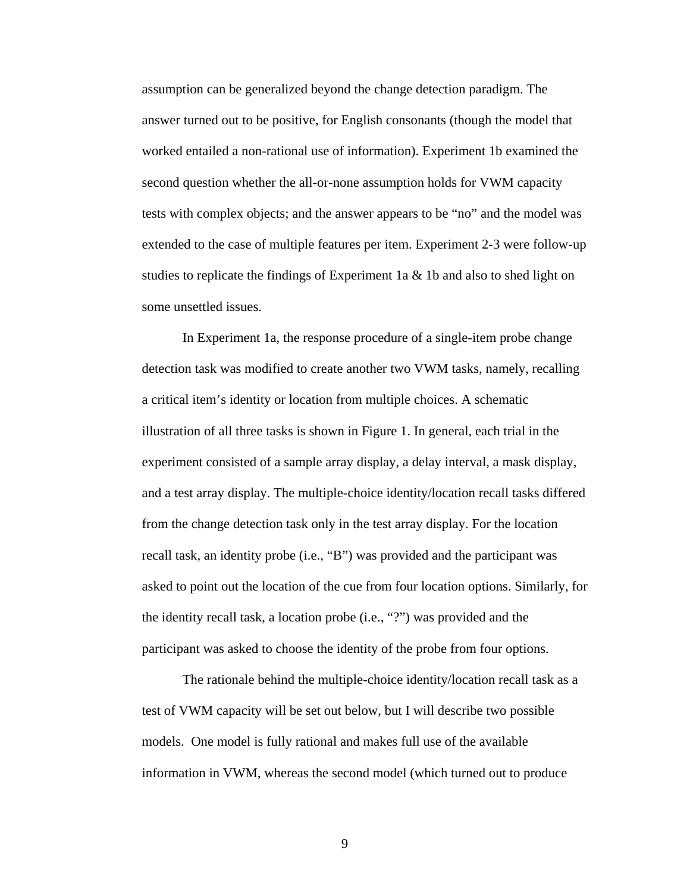assumption can be generalized beyond the change detection paradigm. The answer turned out to be positive, for English consonants (though the model that worked entailed a non-rational use of information). Experiment 1b examined the second question whether the all-or-none assumption holds for VWM capacity tests with complex objects; and the answer appears to be "no" and the model was extended to the case of multiple features per item. Experiment 2-3 were follow-up studies to replicate the findings of Experiment 1a & 1b and also to shed light on some unsettled issues.

In Experiment 1a, the response procedure of a single-item probe change detection task was modified to create another two VWM tasks, namely, recalling a critical item's identity or location from multiple choices. A schematic illustration of all three tasks is shown in Figure 1. In general, each trial in the experiment consisted of a sample array display, a delay interval, a mask display, and a test array display. The multiple-choice identity/location recall tasks differed from the change detection task only in the test array display. For the location recall task, an identity probe (i.e., "B") was provided and the participant was asked to point out the location of the cue from four location options. Similarly, for the identity recall task, a location probe (i.e., "?") was provided and the participant was asked to choose the identity of the probe from four options.

The rationale behind the multiple-choice identity/location recall task as a test of VWM capacity will be set out below, but I will describe two possible models. One model is fully rational and makes full use of the available information in VWM, whereas the second model (which turned out to produce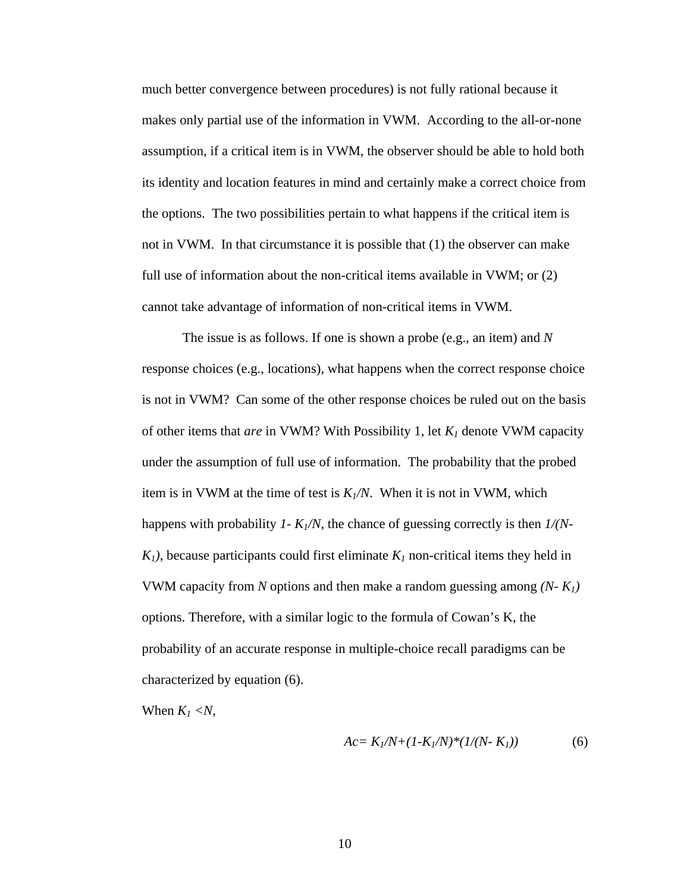much better convergence between procedures) is not fully rational because it makes only partial use of the information in VWM. According to the all-or-none assumption, if a critical item is in VWM, the observer should be able to hold both its identity and location features in mind and certainly make a correct choice from the options. The two possibilities pertain to what happens if the critical item is not in VWM. In that circumstance it is possible that (1) the observer can make full use of information about the non-critical items available in VWM; or (2) cannot take advantage of information of non-critical items in VWM.

The issue is as follows. If one is shown a probe (e.g., an item) and *N* response choices (e.g., locations), what happens when the correct response choice is not in VWM? Can some of the other response choices be ruled out on the basis of other items that *are* in VWM? With Possibility 1, let *K1* denote VWM capacity under the assumption of full use of information. The probability that the probed item is in VWM at the time of test is  $K_N/N$ . When it is not in VWM, which happens with probability *1- K1/N*, the chance of guessing correctly is then *1/(N-* $K_1$ ), because participants could first eliminate  $K_1$  non-critical items they held in VWM capacity from *N* options and then make a random guessing among *(N- K1)*  options. Therefore, with a similar logic to the formula of Cowan's K, the probability of an accurate response in multiple-choice recall paradigms can be characterized by equation (6).

When  $K_I \langle N, \rangle$ 

$$
Ac = K_1/N + (1 - K_1/N)^*(1/(N - K_1))
$$
 (6)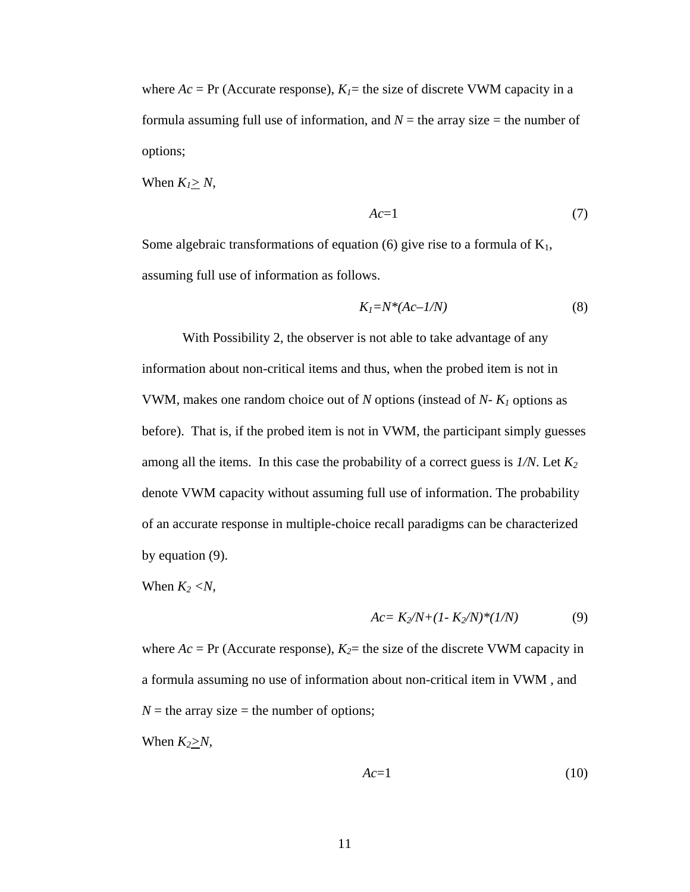where  $Ac = Pr$  (Accurate response),  $K<sub>I</sub> =$  the size of discrete VWM capacity in a formula assuming full use of information, and  $N =$  the array size  $=$  the number of options;

When  $K_l \geq N$ ,

$$
Ac=1\tag{7}
$$

Some algebraic transformations of equation (6) give rise to a formula of  $K_1$ , assuming full use of information as follows.

$$
K_I = N^*(Ac - I/N) \tag{8}
$$

With Possibility 2, the observer is not able to take advantage of any information about non-critical items and thus, when the probed item is not in VWM, makes one random choice out of *N* options (instead of *N- K1* options as before). That is, if the probed item is not in VWM, the participant simply guesses among all the items. In this case the probability of a correct guess is *1/N*. Let *K2* denote VWM capacity without assuming full use of information. The probability of an accurate response in multiple-choice recall paradigms can be characterized by equation (9).

When  $K_2 < N$ ,

$$
Ac = K_2/N + (1 - K_2/N)^*(1/N)
$$
 (9)

where  $Ac = Pr$  (Accurate response),  $K_2$ = the size of the discrete VWM capacity in a formula assuming no use of information about non-critical item in VWM , and  $N =$  the array size  $=$  the number of options;

When  $K_2 \geq N$ ,

$$
Ac=1\tag{10}
$$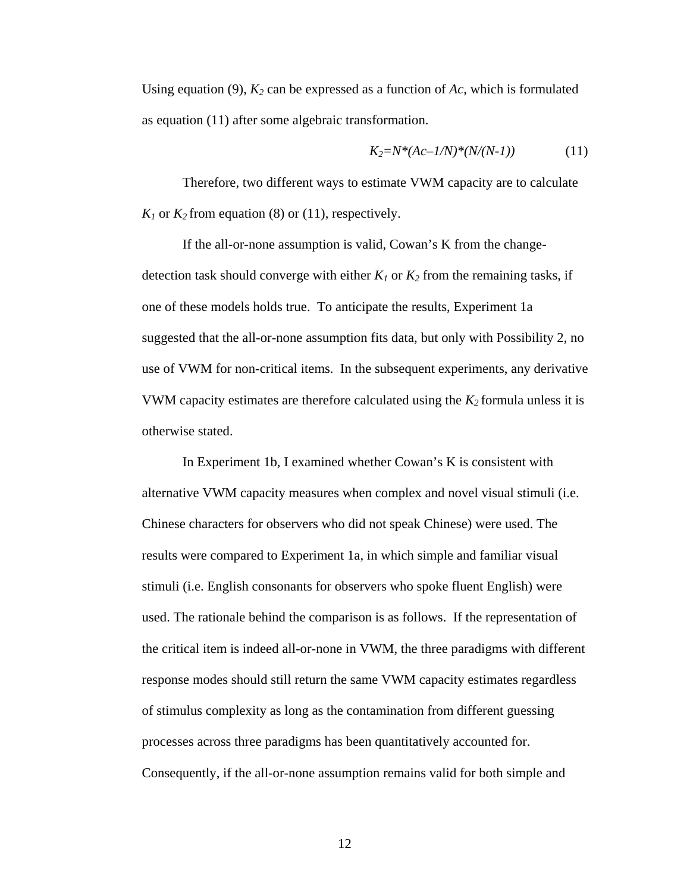Using equation (9), *K2* can be expressed as a function of *Ac*, which is formulated as equation (11) after some algebraic transformation.

$$
K_2 = N^*(Ac - l/N)^*(N/(N-1))
$$
 (11)

Therefore, two different ways to estimate VWM capacity are to calculate  $K_1$  or  $K_2$  from equation (8) or (11), respectively.

If the all-or-none assumption is valid, Cowan's K from the changedetection task should converge with either  $K_1$  or  $K_2$  from the remaining tasks, if one of these models holds true. To anticipate the results, Experiment 1a suggested that the all-or-none assumption fits data, but only with Possibility 2, no use of VWM for non-critical items. In the subsequent experiments, any derivative VWM capacity estimates are therefore calculated using the  $K_2$  formula unless it is otherwise stated.

In Experiment 1b, I examined whether Cowan's K is consistent with alternative VWM capacity measures when complex and novel visual stimuli (i.e. Chinese characters for observers who did not speak Chinese) were used. The results were compared to Experiment 1a, in which simple and familiar visual stimuli (i.e. English consonants for observers who spoke fluent English) were used. The rationale behind the comparison is as follows. If the representation of the critical item is indeed all-or-none in VWM, the three paradigms with different response modes should still return the same VWM capacity estimates regardless of stimulus complexity as long as the contamination from different guessing processes across three paradigms has been quantitatively accounted for. Consequently, if the all-or-none assumption remains valid for both simple and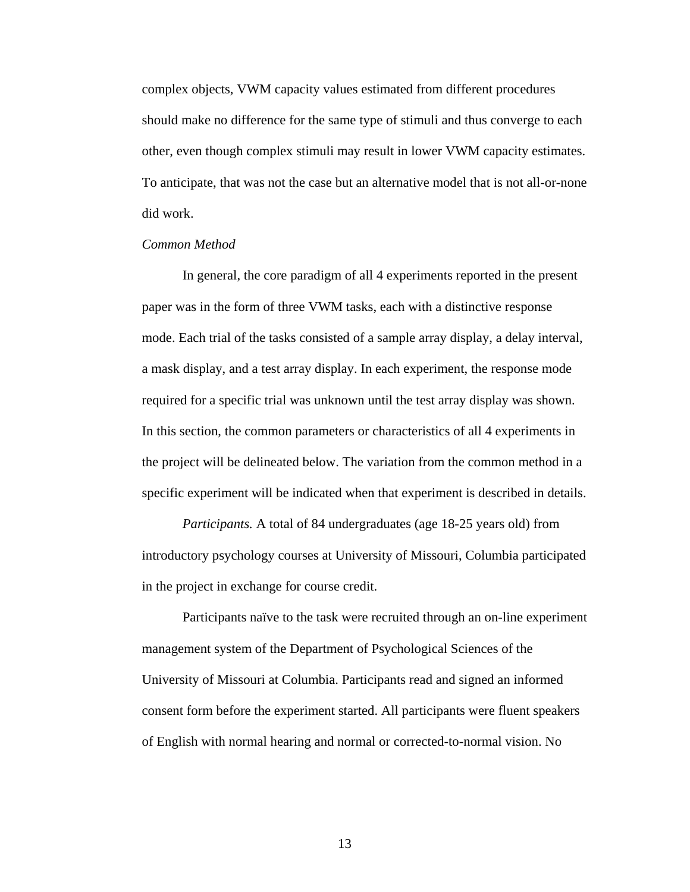complex objects, VWM capacity values estimated from different procedures should make no difference for the same type of stimuli and thus converge to each other, even though complex stimuli may result in lower VWM capacity estimates. To anticipate, that was not the case but an alternative model that is not all-or-none did work.

#### *Common Method*

In general, the core paradigm of all 4 experiments reported in the present paper was in the form of three VWM tasks, each with a distinctive response mode. Each trial of the tasks consisted of a sample array display, a delay interval, a mask display, and a test array display. In each experiment, the response mode required for a specific trial was unknown until the test array display was shown. In this section, the common parameters or characteristics of all 4 experiments in the project will be delineated below. The variation from the common method in a specific experiment will be indicated when that experiment is described in details.

*Participants.* A total of 84 undergraduates (age 18-25 years old) from introductory psychology courses at University of Missouri, Columbia participated in the project in exchange for course credit.

Participants naïve to the task were recruited through an on-line experiment management system of the Department of Psychological Sciences of the University of Missouri at Columbia. Participants read and signed an informed consent form before the experiment started. All participants were fluent speakers of English with normal hearing and normal or corrected-to-normal vision. No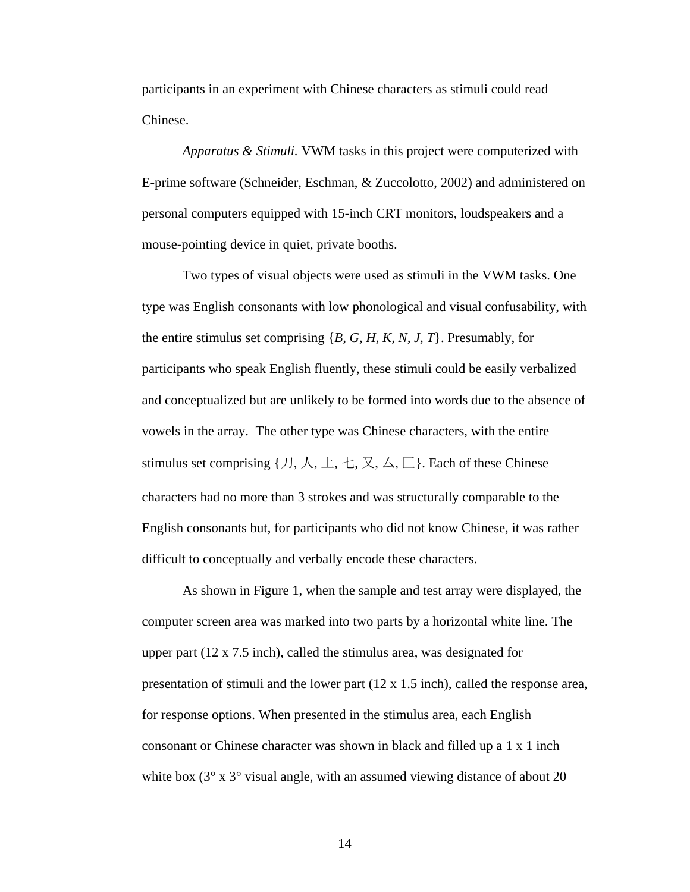participants in an experiment with Chinese characters as stimuli could read Chinese.

*Apparatus & Stimuli.* VWM tasks in this project were computerized with E-prime software (Schneider, Eschman, & Zuccolotto, 2002) and administered on personal computers equipped with 15-inch CRT monitors, loudspeakers and a mouse-pointing device in quiet, private booths.

Two types of visual objects were used as stimuli in the VWM tasks. One type was English consonants with low phonological and visual confusability, with the entire stimulus set comprising {*B, G, H, K, N, J, T*}. Presumably, for participants who speak English fluently, these stimuli could be easily verbalized and conceptualized but are unlikely to be formed into words due to the absence of vowels in the array. The other type was Chinese characters, with the entire stimulus set comprising  $\{\mathcal{I}, \mathcal{K}, \bot, \bot, \mathcal{K}, \Delta, \Box\}$ . Each of these Chinese characters had no more than 3 strokes and was structurally comparable to the English consonants but, for participants who did not know Chinese, it was rather difficult to conceptually and verbally encode these characters.

As shown in Figure 1, when the sample and test array were displayed, the computer screen area was marked into two parts by a horizontal white line. The upper part (12 x 7.5 inch), called the stimulus area, was designated for presentation of stimuli and the lower part (12 x 1.5 inch), called the response area, for response options. When presented in the stimulus area, each English consonant or Chinese character was shown in black and filled up a 1 x 1 inch white box  $(3^{\circ} \times 3^{\circ} \text{ visual angle}, \text{with an assumed viewing distance of about } 20)$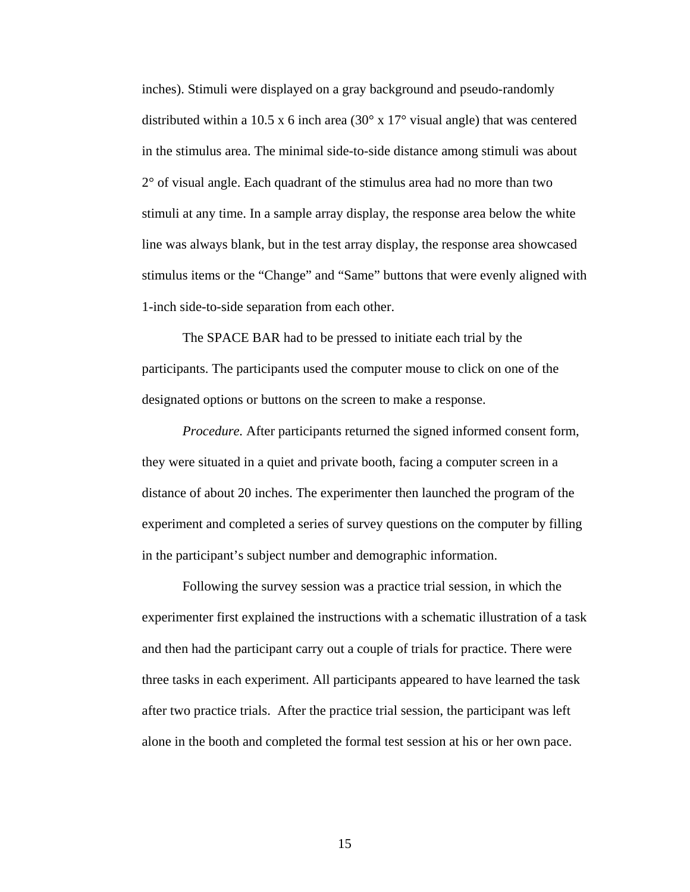inches). Stimuli were displayed on a gray background and pseudo-randomly distributed within a 10.5 x 6 inch area  $(30^{\circ} \times 17^{\circ}$  visual angle) that was centered in the stimulus area. The minimal side-to-side distance among stimuli was about 2° of visual angle. Each quadrant of the stimulus area had no more than two stimuli at any time. In a sample array display, the response area below the white line was always blank, but in the test array display, the response area showcased stimulus items or the "Change" and "Same" buttons that were evenly aligned with 1-inch side-to-side separation from each other.

The SPACE BAR had to be pressed to initiate each trial by the participants. The participants used the computer mouse to click on one of the designated options or buttons on the screen to make a response.

*Procedure.* After participants returned the signed informed consent form, they were situated in a quiet and private booth, facing a computer screen in a distance of about 20 inches. The experimenter then launched the program of the experiment and completed a series of survey questions on the computer by filling in the participant's subject number and demographic information.

Following the survey session was a practice trial session, in which the experimenter first explained the instructions with a schematic illustration of a task and then had the participant carry out a couple of trials for practice. There were three tasks in each experiment. All participants appeared to have learned the task after two practice trials. After the practice trial session, the participant was left alone in the booth and completed the formal test session at his or her own pace.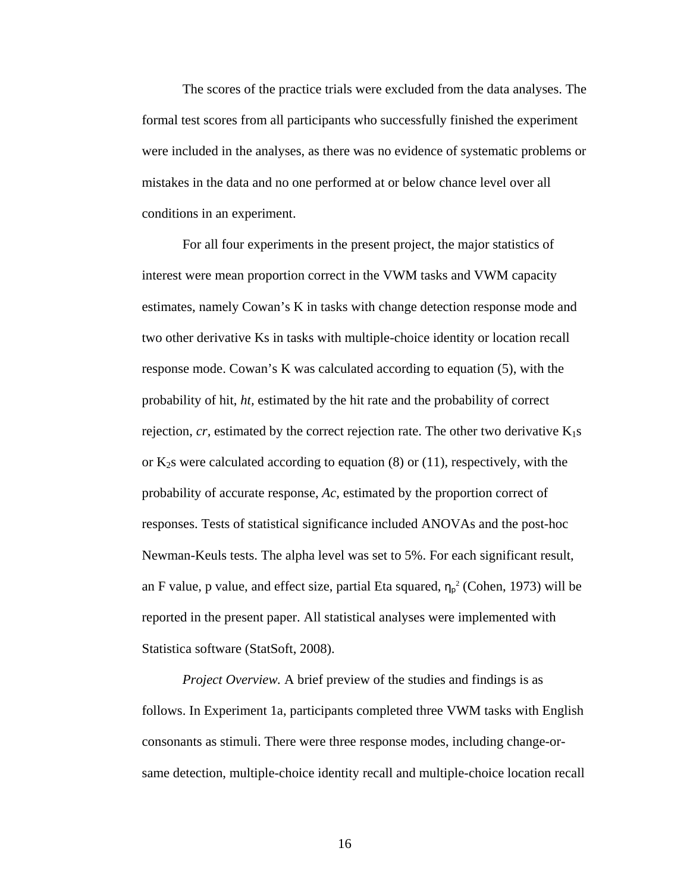The scores of the practice trials were excluded from the data analyses. The formal test scores from all participants who successfully finished the experiment were included in the analyses, as there was no evidence of systematic problems or mistakes in the data and no one performed at or below chance level over all conditions in an experiment.

For all four experiments in the present project, the major statistics of interest were mean proportion correct in the VWM tasks and VWM capacity estimates, namely Cowan's K in tasks with change detection response mode and two other derivative Ks in tasks with multiple-choice identity or location recall response mode. Cowan's K was calculated according to equation (5), with the probability of hit, *ht,* estimated by the hit rate and the probability of correct rejection,  $cr$ , estimated by the correct rejection rate. The other two derivative  $K_1s$ or  $K_2$ s were calculated according to equation (8) or (11), respectively, with the probability of accurate response, *Ac*, estimated by the proportion correct of responses. Tests of statistical significance included ANOVAs and the post-hoc Newman-Keuls tests. The alpha level was set to 5%. For each significant result, an F value, p value, and effect size, partial Eta squared,  $\eta_{p}^{2}$  (Cohen, 1973) will be reported in the present paper. All statistical analyses were implemented with Statistica software (StatSoft, 2008).

*Project Overview.* A brief preview of the studies and findings is as follows. In Experiment 1a, participants completed three VWM tasks with English consonants as stimuli. There were three response modes, including change-orsame detection, multiple-choice identity recall and multiple-choice location recall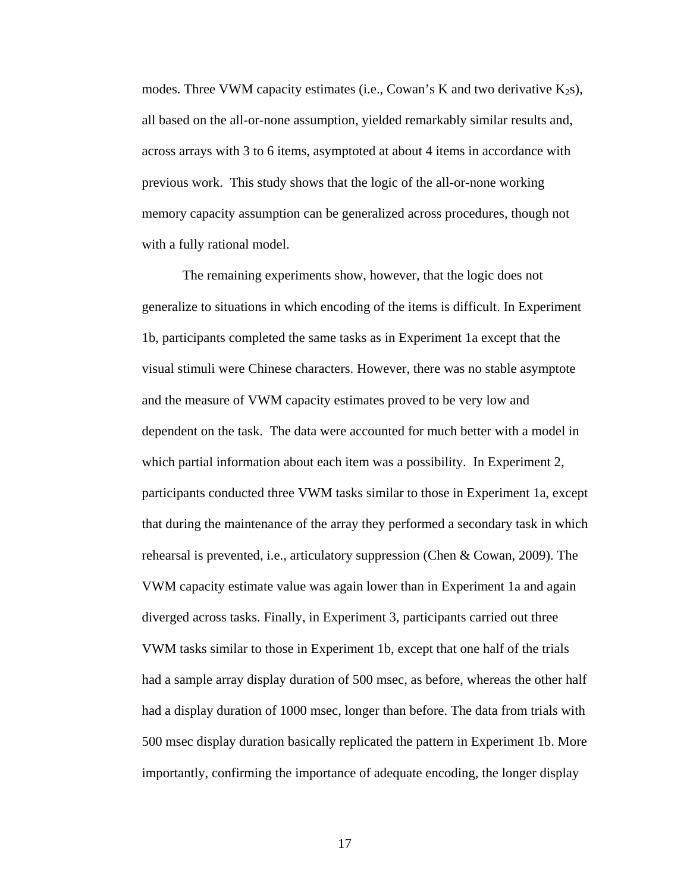modes. Three VWM capacity estimates (i.e., Cowan's K and two derivative  $K_2$ s), all based on the all-or-none assumption, yielded remarkably similar results and, across arrays with 3 to 6 items, asymptoted at about 4 items in accordance with previous work. This study shows that the logic of the all-or-none working memory capacity assumption can be generalized across procedures, though not with a fully rational model.

The remaining experiments show, however, that the logic does not generalize to situations in which encoding of the items is difficult. In Experiment 1b, participants completed the same tasks as in Experiment 1a except that the visual stimuli were Chinese characters. However, there was no stable asymptote and the measure of VWM capacity estimates proved to be very low and dependent on the task. The data were accounted for much better with a model in which partial information about each item was a possibility. In Experiment 2, participants conducted three VWM tasks similar to those in Experiment 1a, except that during the maintenance of the array they performed a secondary task in which rehearsal is prevented, i.e., articulatory suppression (Chen & Cowan, 2009). The VWM capacity estimate value was again lower than in Experiment 1a and again diverged across tasks. Finally, in Experiment 3, participants carried out three VWM tasks similar to those in Experiment 1b, except that one half of the trials had a sample array display duration of 500 msec, as before, whereas the other half had a display duration of 1000 msec, longer than before. The data from trials with 500 msec display duration basically replicated the pattern in Experiment 1b. More importantly, confirming the importance of adequate encoding, the longer display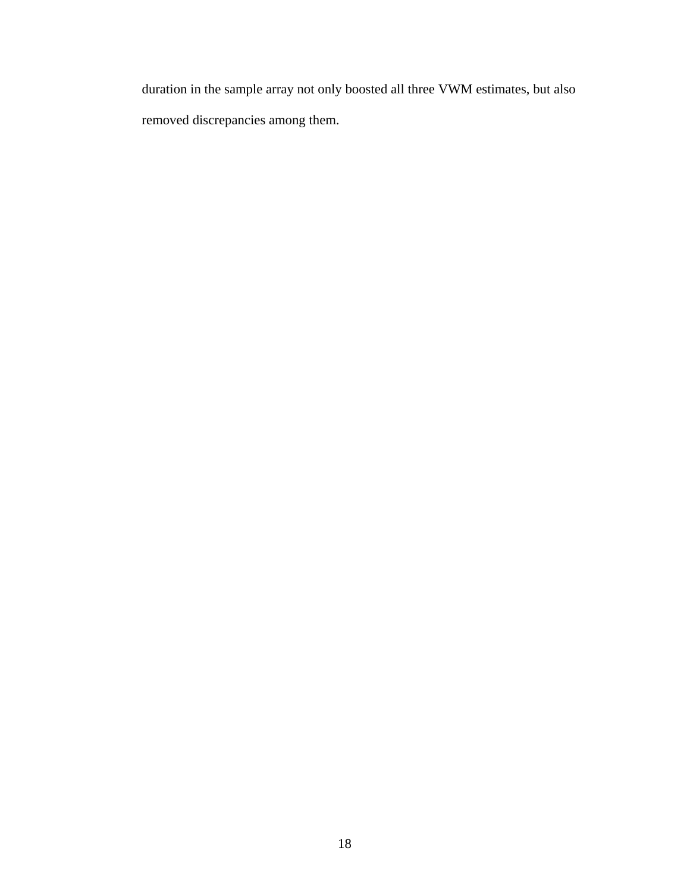duration in the sample array not only boosted all three VWM estimates, but also removed discrepancies among them.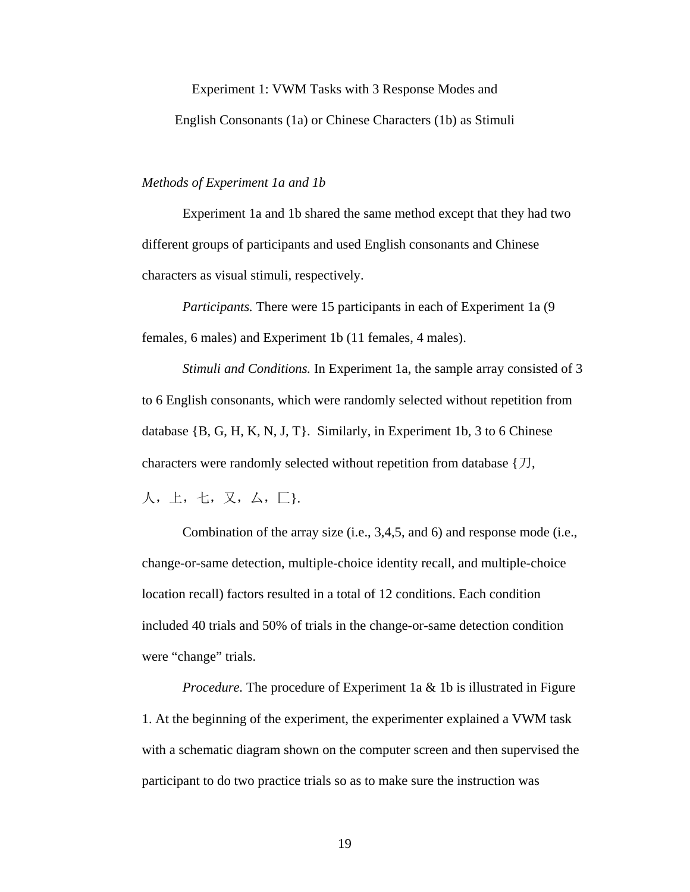#### Experiment 1: VWM Tasks with 3 Response Modes and

English Consonants (1a) or Chinese Characters (1b) as Stimuli

#### *Methods of Experiment 1a and 1b*

Experiment 1a and 1b shared the same method except that they had two different groups of participants and used English consonants and Chinese characters as visual stimuli, respectively.

*Participants.* There were 15 participants in each of Experiment 1a (9 females, 6 males) and Experiment 1b (11 females, 4 males).

*Stimuli and Conditions.* In Experiment 1a, the sample array consisted of 3 to 6 English consonants, which were randomly selected without repetition from database {B, G, H, K, N, J, T}. Similarly, in Experiment 1b, 3 to 6 Chinese characters were randomly selected without repetition from database  $\{\mathcal{D},\}$ 

人,上,七,又,[厶](http://xh.5156edu.com/show.php?id=3378),匚}.

Combination of the array size (i.e., 3,4,5, and 6) and response mode (i.e., change-or-same detection, multiple-choice identity recall, and multiple-choice location recall) factors resulted in a total of 12 conditions. Each condition included 40 trials and 50% of trials in the change-or-same detection condition were "change" trials.

*Procedure.* The procedure of Experiment 1a & 1b is illustrated in Figure 1. At the beginning of the experiment, the experimenter explained a VWM task with a schematic diagram shown on the computer screen and then supervised the participant to do two practice trials so as to make sure the instruction was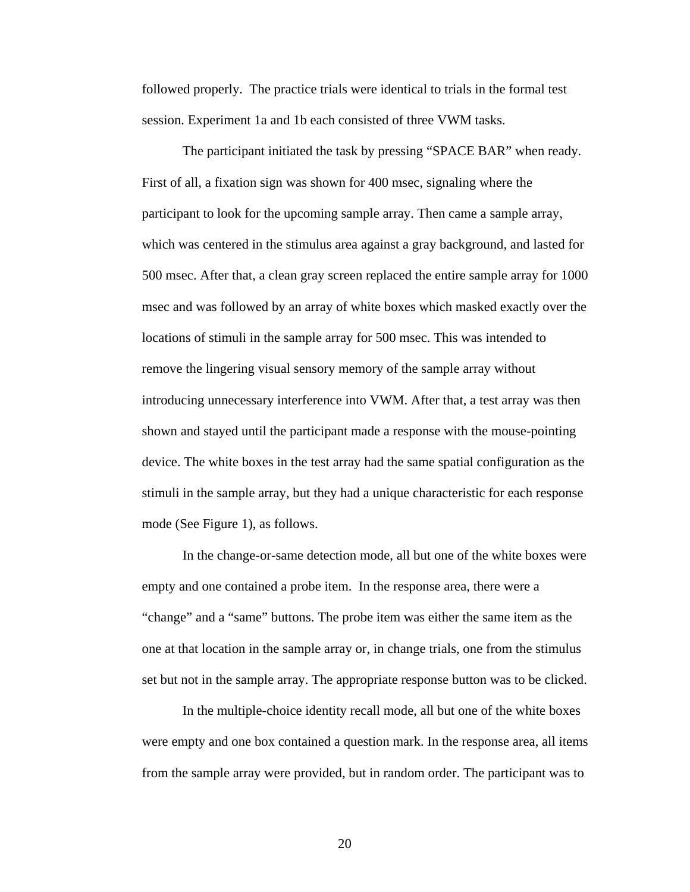followed properly. The practice trials were identical to trials in the formal test session. Experiment 1a and 1b each consisted of three VWM tasks.

The participant initiated the task by pressing "SPACE BAR" when ready. First of all, a fixation sign was shown for 400 msec, signaling where the participant to look for the upcoming sample array. Then came a sample array, which was centered in the stimulus area against a gray background, and lasted for 500 msec. After that, a clean gray screen replaced the entire sample array for 1000 msec and was followed by an array of white boxes which masked exactly over the locations of stimuli in the sample array for 500 msec. This was intended to remove the lingering visual sensory memory of the sample array without introducing unnecessary interference into VWM. After that, a test array was then shown and stayed until the participant made a response with the mouse-pointing device. The white boxes in the test array had the same spatial configuration as the stimuli in the sample array, but they had a unique characteristic for each response mode (See Figure 1), as follows.

In the change-or-same detection mode, all but one of the white boxes were empty and one contained a probe item. In the response area, there were a "change" and a "same" buttons. The probe item was either the same item as the one at that location in the sample array or, in change trials, one from the stimulus set but not in the sample array. The appropriate response button was to be clicked.

In the multiple-choice identity recall mode, all but one of the white boxes were empty and one box contained a question mark. In the response area, all items from the sample array were provided, but in random order. The participant was to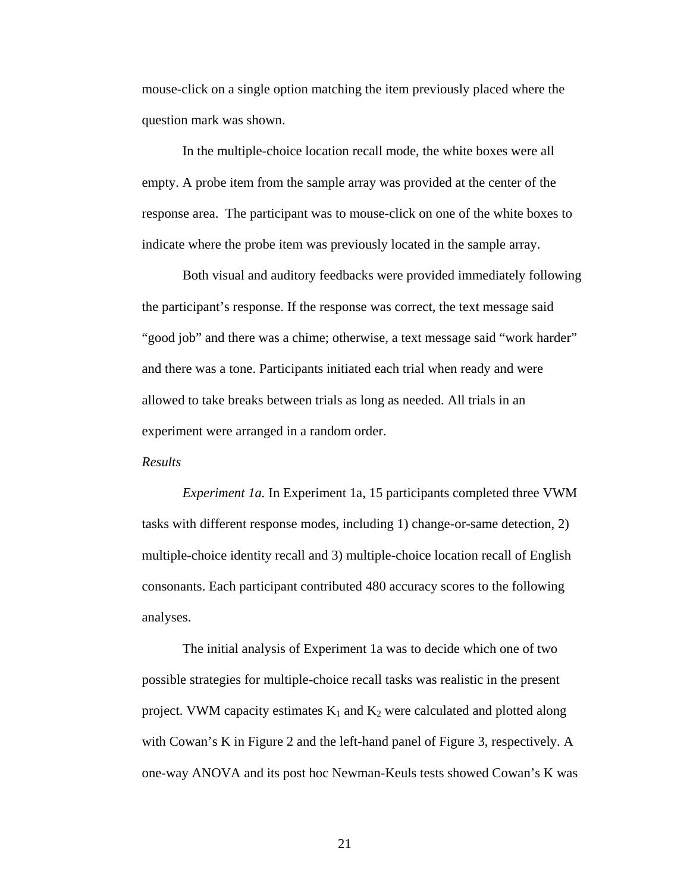mouse-click on a single option matching the item previously placed where the question mark was shown.

In the multiple-choice location recall mode, the white boxes were all empty. A probe item from the sample array was provided at the center of the response area. The participant was to mouse-click on one of the white boxes to indicate where the probe item was previously located in the sample array.

Both visual and auditory feedbacks were provided immediately following the participant's response. If the response was correct, the text message said "good job" and there was a chime; otherwise, a text message said "work harder" and there was a tone. Participants initiated each trial when ready and were allowed to take breaks between trials as long as needed. All trials in an experiment were arranged in a random order.

#### *Results*

 *Experiment 1a.* In Experiment 1a, 15 participants completed three VWM tasks with different response modes, including 1) change-or-same detection, 2) multiple-choice identity recall and 3) multiple-choice location recall of English consonants. Each participant contributed 480 accuracy scores to the following analyses.

 The initial analysis of Experiment 1a was to decide which one of two possible strategies for multiple-choice recall tasks was realistic in the present project. VWM capacity estimates  $K_1$  and  $K_2$  were calculated and plotted along with Cowan's K in Figure 2 and the left-hand panel of Figure 3, respectively. A one-way ANOVA and its post hoc Newman-Keuls tests showed Cowan's K was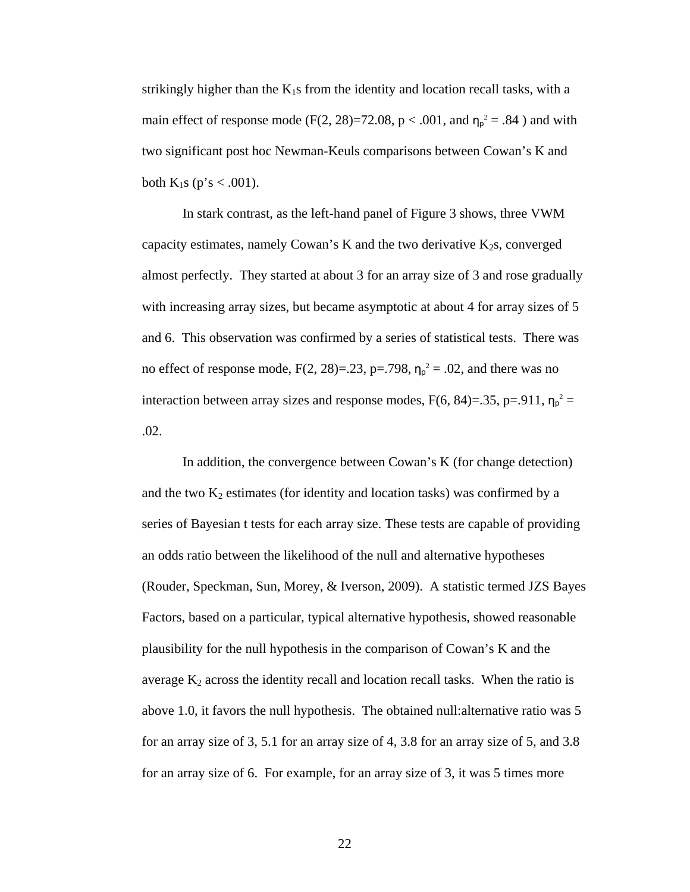strikingly higher than the  $K_1s$  from the identity and location recall tasks, with a main effect of response mode (F(2, 28)=72.08, p < .001, and  $\eta_p^2 = .84$ ) and with two significant post hoc Newman-Keuls comparisons between Cowan's K and both  $K_1s$  (p's < .001).

In stark contrast, as the left-hand panel of Figure 3 shows, three VWM capacity estimates, namely Cowan's K and the two derivative  $K_2$ s, converged almost perfectly. They started at about 3 for an array size of 3 and rose gradually with increasing array sizes, but became asymptotic at about 4 for array sizes of 5 and 6. This observation was confirmed by a series of statistical tests. There was no effect of response mode,  $F(2, 28)=0.23$ ,  $p=.798$ ,  $n_p^2=.02$ , and there was no interaction between array sizes and response modes,  $F(6, 84)=35$ ,  $p=.911$ ,  $\eta_p^2=$ .02.

In addition, the convergence between Cowan's K (for change detection) and the two  $K_2$  estimates (for identity and location tasks) was confirmed by a series of Bayesian t tests for each array size. These tests are capable of providing an odds ratio between the likelihood of the null and alternative hypotheses (Rouder, Speckman, Sun, Morey, & Iverson, 2009). A statistic termed JZS Bayes Factors, based on a particular, typical alternative hypothesis, showed reasonable plausibility for the null hypothesis in the comparison of Cowan's K and the average  $K_2$  across the identity recall and location recall tasks. When the ratio is above 1.0, it favors the null hypothesis. The obtained null:alternative ratio was 5 for an array size of 3, 5.1 for an array size of 4, 3.8 for an array size of 5, and 3.8 for an array size of 6. For example, for an array size of 3, it was 5 times more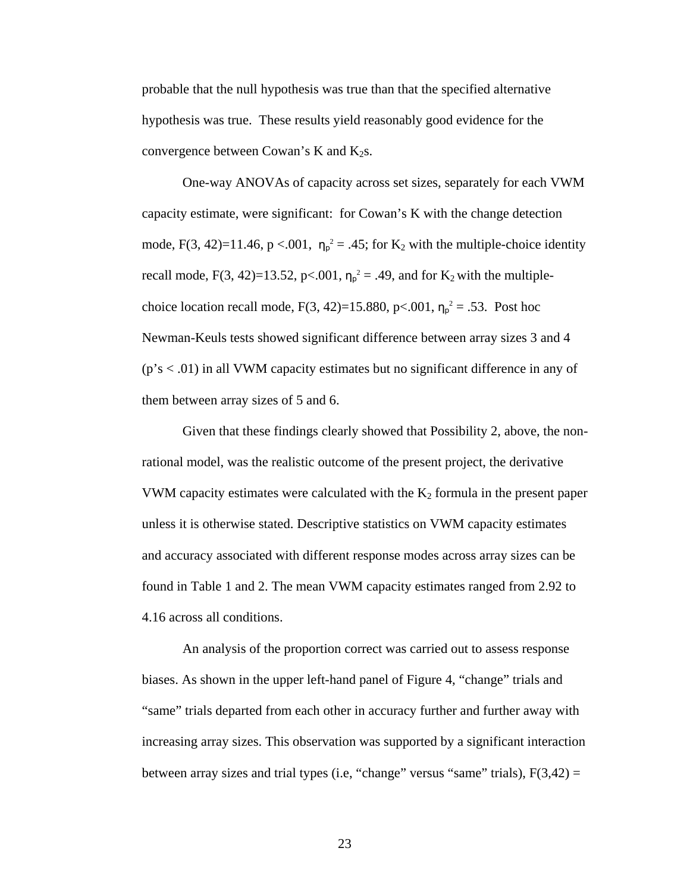probable that the null hypothesis was true than that the specified alternative hypothesis was true. These results yield reasonably good evidence for the convergence between Cowan's K and  $K_2$ s.

One-way ANOVAs of capacity across set sizes, separately for each VWM capacity estimate, were significant: for Cowan's K with the change detection mode, F(3, 42)=11.46, p <.001,  $\eta_p^2 = .45$ ; for K<sub>2</sub> with the multiple-choice identity recall mode, F(3, 42)=13.52, p<.001,  $\eta_{p}^{2} = .49$ , and for K<sub>2</sub> with the multiplechoice location recall mode,  $F(3, 42)=15.880$ , p<.001,  $\eta_p^2 = .53$ . Post hoc Newman-Keuls tests showed significant difference between array sizes 3 and 4  $(p's < .01)$  in all VWM capacity estimates but no significant difference in any of them between array sizes of 5 and 6.

Given that these findings clearly showed that Possibility 2, above, the nonrational model, was the realistic outcome of the present project, the derivative VWM capacity estimates were calculated with the  $K_2$  formula in the present paper unless it is otherwise stated. Descriptive statistics on VWM capacity estimates and accuracy associated with different response modes across array sizes can be found in Table 1 and 2. The mean VWM capacity estimates ranged from 2.92 to 4.16 across all conditions.

An analysis of the proportion correct was carried out to assess response biases. As shown in the upper left-hand panel of Figure 4, "change" trials and "same" trials departed from each other in accuracy further and further away with increasing array sizes. This observation was supported by a significant interaction between array sizes and trial types (i.e, "change" versus "same" trials),  $F(3,42) =$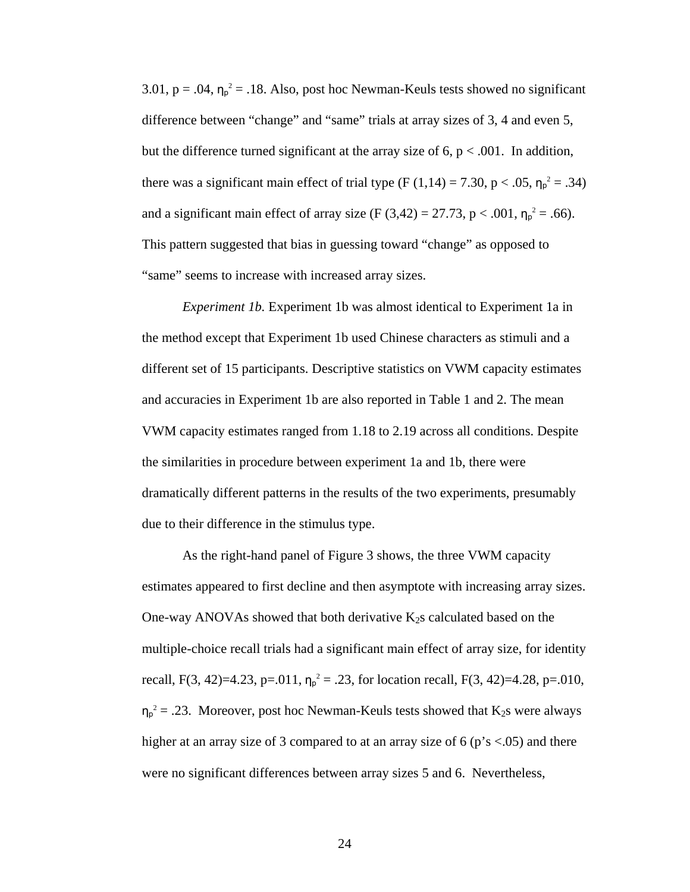3.01,  $p = .04$ ,  $\eta_p^2 = .18$ . Also, post hoc Newman-Keuls tests showed no significant difference between "change" and "same" trials at array sizes of 3, 4 and even 5, but the difference turned significant at the array size of  $6$ ,  $p < .001$ . In addition, there was a significant main effect of trial type  $(F (1,14) = 7.30, p < .05, \eta_p^2 = .34)$ and a significant main effect of array size (F (3,42) = 27.73, p < .001,  $\eta_p^2 = .66$ ). This pattern suggested that bias in guessing toward "change" as opposed to "same" seems to increase with increased array sizes.

 *Experiment 1b.* Experiment 1b was almost identical to Experiment 1a in the method except that Experiment 1b used Chinese characters as stimuli and a different set of 15 participants. Descriptive statistics on VWM capacity estimates and accuracies in Experiment 1b are also reported in Table 1 and 2. The mean VWM capacity estimates ranged from 1.18 to 2.19 across all conditions. Despite the similarities in procedure between experiment 1a and 1b, there were dramatically different patterns in the results of the two experiments, presumably due to their difference in the stimulus type.

As the right-hand panel of Figure 3 shows, the three VWM capacity estimates appeared to first decline and then asymptote with increasing array sizes. One-way ANOVAs showed that both derivative  $K_2$ s calculated based on the multiple-choice recall trials had a significant main effect of array size, for identity recall, F(3, 42)=4.23, p=.011,  $\eta_p^2 = 0.23$ , for location recall, F(3, 42)=4.28, p=.010,  $\eta_p^2 = 0.23$ . Moreover, post hoc Newman-Keuls tests showed that K<sub>2</sub>s were always higher at an array size of 3 compared to at an array size of 6 ( $p$ 's <.05) and there were no significant differences between array sizes 5 and 6. Nevertheless,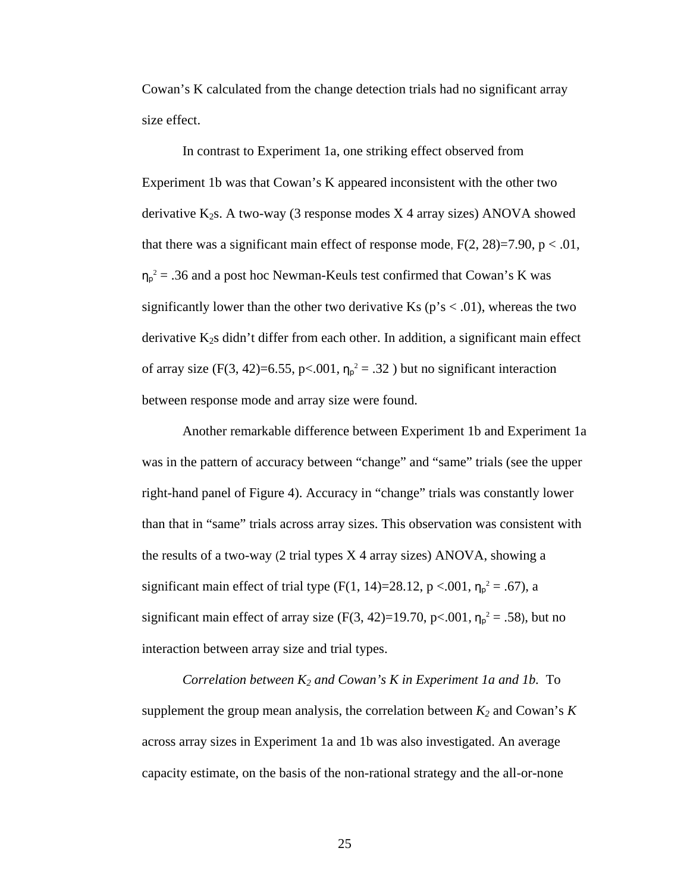Cowan's K calculated from the change detection trials had no significant array size effect.

In contrast to Experiment 1a, one striking effect observed from Experiment 1b was that Cowan's K appeared inconsistent with the other two derivative  $K_2s$ . A two-way (3 response modes  $X$  4 array sizes) ANOVA showed that there was a significant main effect of response mode,  $F(2, 28)=7.90$ ,  $p < .01$ ,  $\eta_p^2$  = .36 and a post hoc Newman-Keuls test confirmed that Cowan's K was significantly lower than the other two derivative Ks ( $p's < .01$ ), whereas the two derivative  $K_2s$  didn't differ from each other. In addition, a significant main effect of array size (F(3, 42)=6.55, p<.001,  $\eta_p^2 = .32$ ) but no significant interaction between response mode and array size were found.

Another remarkable difference between Experiment 1b and Experiment 1a was in the pattern of accuracy between "change" and "same" trials (see the upper right-hand panel of Figure 4). Accuracy in "change" trials was constantly lower than that in "same" trials across array sizes. This observation was consistent with the results of a two-way (2 trial types X 4 array sizes) ANOVA, showing a significant main effect of trial type (F(1, 14)=28.12, p <.001,  $\eta_{p}^{2} = .67$ ), a significant main effect of array size  $(F(3, 42)=19.70, p<.001, \eta_p^2=.58)$ , but no interaction between array size and trial types.

*Correlation between K<sub>2</sub> and Cowan's K in Experiment 1a and 1b.* To supplement the group mean analysis, the correlation between  $K_2$  and Cowan's  $K$ across array sizes in Experiment 1a and 1b was also investigated. An average capacity estimate, on the basis of the non-rational strategy and the all-or-none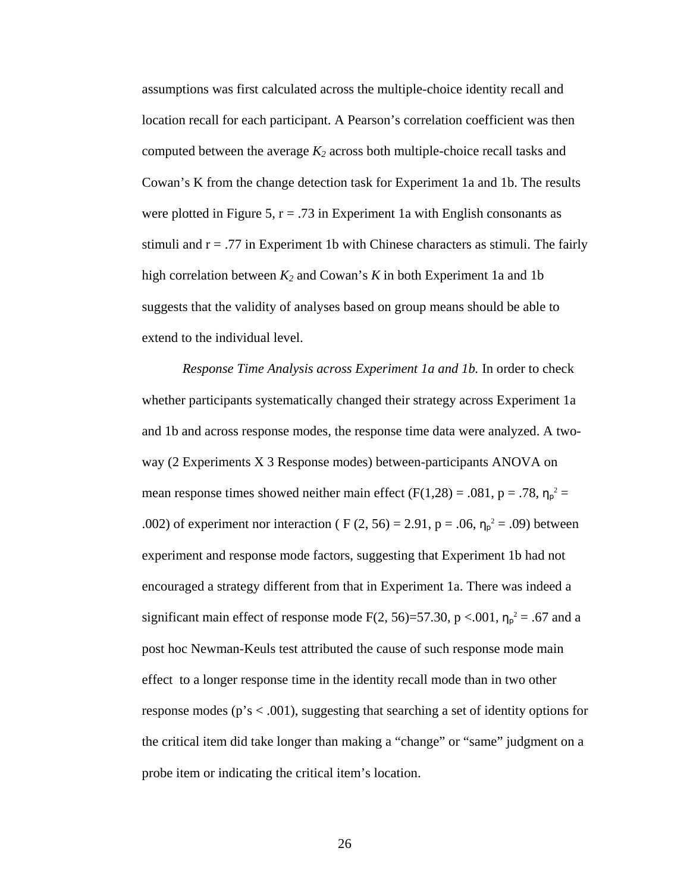assumptions was first calculated across the multiple-choice identity recall and location recall for each participant. A Pearson's correlation coefficient was then computed between the average  $K_2$  across both multiple-choice recall tasks and Cowan's K from the change detection task for Experiment 1a and 1b. The results were plotted in Figure 5,  $r = .73$  in Experiment 1a with English consonants as stimuli and  $r = .77$  in Experiment 1b with Chinese characters as stimuli. The fairly high correlation between *K2* and Cowan's *K* in both Experiment 1a and 1b suggests that the validity of analyses based on group means should be able to extend to the individual level.

*Response Time Analysis across Experiment 1a and 1b.* In order to check whether participants systematically changed their strategy across Experiment 1a and 1b and across response modes, the response time data were analyzed. A twoway (2 Experiments X 3 Response modes) between-participants ANOVA on mean response times showed neither main effect  $(F(1,28) = .081, p = .78, \eta_p^2 =$ .002) of experiment nor interaction ( F (2, 56) = 2.91, p = .06,  $\eta_p^2$  = .09) between experiment and response mode factors, suggesting that Experiment 1b had not encouraged a strategy different from that in Experiment 1a. There was indeed a significant main effect of response mode F(2, 56)=57.30, p <.001,  $\eta_p^2$  = .67 and a post hoc Newman-Keuls test attributed the cause of such response mode main effect to a longer response time in the identity recall mode than in two other response modes (p's < .001), suggesting that searching a set of identity options for the critical item did take longer than making a "change" or "same" judgment on a probe item or indicating the critical item's location.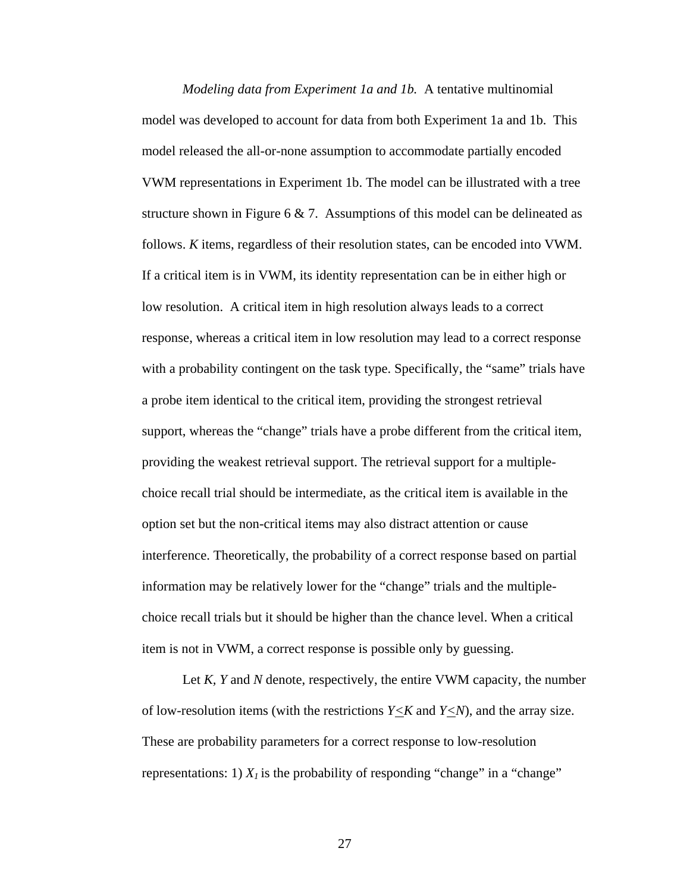*Modeling data from Experiment 1a and 1b.* A tentative multinomial model was developed to account for data from both Experiment 1a and 1b. This model released the all-or-none assumption to accommodate partially encoded VWM representations in Experiment 1b. The model can be illustrated with a tree structure shown in Figure 6  $\&$  7. Assumptions of this model can be delineated as follows. *K* items, regardless of their resolution states, can be encoded into VWM. If a critical item is in VWM, its identity representation can be in either high or low resolution. A critical item in high resolution always leads to a correct response, whereas a critical item in low resolution may lead to a correct response with a probability contingent on the task type. Specifically, the "same" trials have a probe item identical to the critical item, providing the strongest retrieval support, whereas the "change" trials have a probe different from the critical item, providing the weakest retrieval support. The retrieval support for a multiplechoice recall trial should be intermediate, as the critical item is available in the option set but the non-critical items may also distract attention or cause interference. Theoretically, the probability of a correct response based on partial information may be relatively lower for the "change" trials and the multiplechoice recall trials but it should be higher than the chance level. When a critical item is not in VWM, a correct response is possible only by guessing.

Let *K, Y* and *N* denote, respectively, the entire VWM capacity, the number of low-resolution items (with the restrictions  $Y \le K$  and  $Y \le N$ ), and the array size. These are probability parameters for a correct response to low-resolution representations: 1)  $X_l$  is the probability of responding "change" in a "change"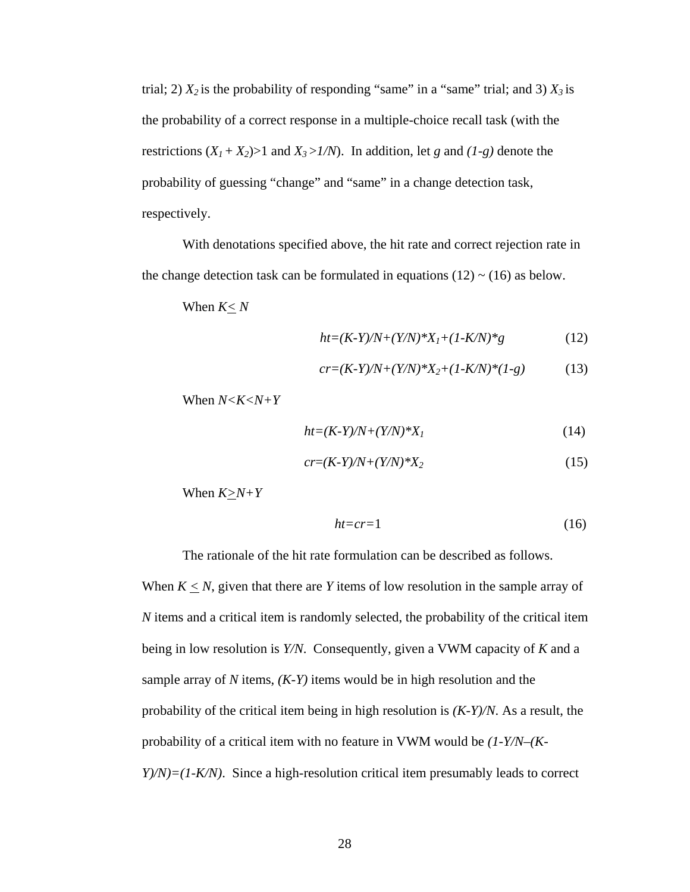trial; 2)  $X_2$  is the probability of responding "same" in a "same" trial; and 3)  $X_3$  is the probability of a correct response in a multiple-choice recall task (with the restrictions  $(X_1 + X_2) > 1$  and  $X_3 > 1/N$ . In addition, let *g* and  $(1-g)$  denote the probability of guessing "change" and "same" in a change detection task, respectively.

With denotations specified above, the hit rate and correct rejection rate in the change detection task can be formulated in equations (12)  $\sim$  (16) as below.

When *K< N*

$$
ht=(K-Y)/N+(Y/N)*X_1+(1-K/N)*g \t(12)
$$

$$
cr = (K-Y)/N + (Y/N)^*X_2 + (1-K/N)^*(1-g) \tag{13}
$$

When  $N < K < N+Y$ 

$$
ht=(K-Y)/N+(Y/N)*XI
$$
\n(14)

$$
cr = (K-Y)/N + (Y/N)^*X_2
$$
\n<sup>(15)</sup>

When  $K \geq N+Y$ 

$$
ht = cr = 1 \tag{16}
$$

The rationale of the hit rate formulation can be described as follows.

When  $K \leq N$ , given that there are *Y* items of low resolution in the sample array of *N* items and a critical item is randomly selected, the probability of the critical item being in low resolution is *Y/N*. Consequently, given a VWM capacity of *K* and a sample array of *N* items, *(K-Y)* items would be in high resolution and the probability of the critical item being in high resolution is *(K-Y)/N*. As a result, the probability of a critical item with no feature in VWM would be *(1-Y/N–(K-Y*)/*N*)=(1-*K*/*N*). Since a high-resolution critical item presumably leads to correct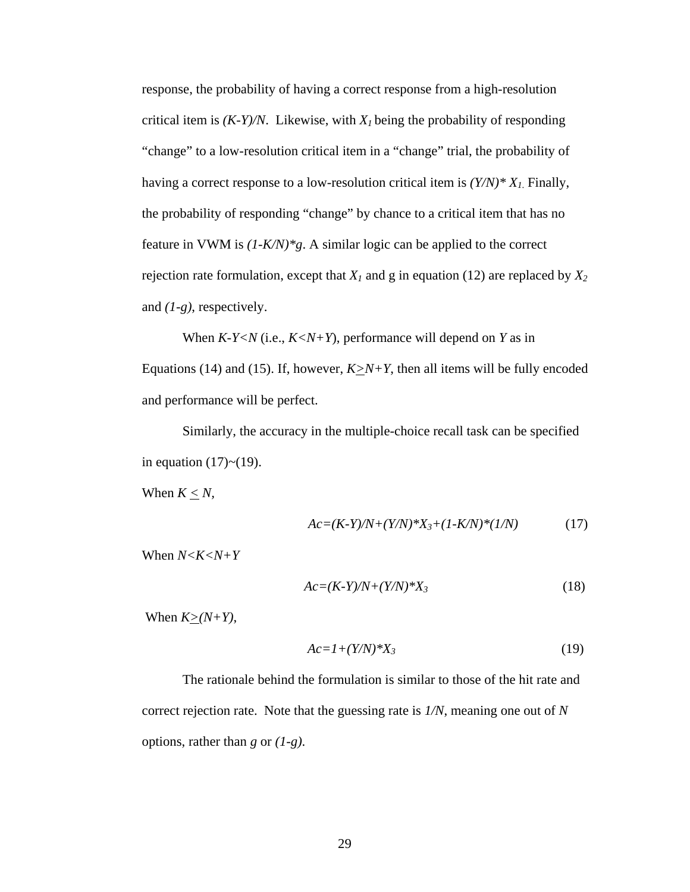response, the probability of having a correct response from a high-resolution critical item is  $(K-Y)/N$ . Likewise, with  $X<sub>I</sub>$  being the probability of responding "change" to a low-resolution critical item in a "change" trial, the probability of having a correct response to a low-resolution critical item is *(Y/N)\* X1*. Finally, the probability of responding "change" by chance to a critical item that has no feature in VWM is *(1-K/N)\*g*. A similar logic can be applied to the correct rejection rate formulation, except that  $X_l$  and g in equation (12) are replaced by  $X_2$ and *(1-g)*, respectively.

When *K-Y<N* (i.e., *K<N+Y*), performance will depend on *Y* as in Equations (14) and (15). If, however,  $K \ge N+Y$ , then all items will be fully encoded and performance will be perfect.

Similarly, the accuracy in the multiple-choice recall task can be specified in equation  $(17)$  ~  $(19)$ .

When  $K \leq N$ ,

$$
Ac = (K-Y)/N + (Y/N)^*X_3 + (1-K/N)^*(1/N)
$$
 (17)

When *N<K<N+Y*

$$
Ac = (K-Y)/N + (Y/N)^*X_3\tag{18}
$$

When  $K>(N+Y)$ ,

$$
Ac=I+(Y/N)*X_3\tag{19}
$$

The rationale behind the formulation is similar to those of the hit rate and correct rejection rate. Note that the guessing rate is *1/N*, meaning one out of *N* options, rather than *g* or *(1-g)*.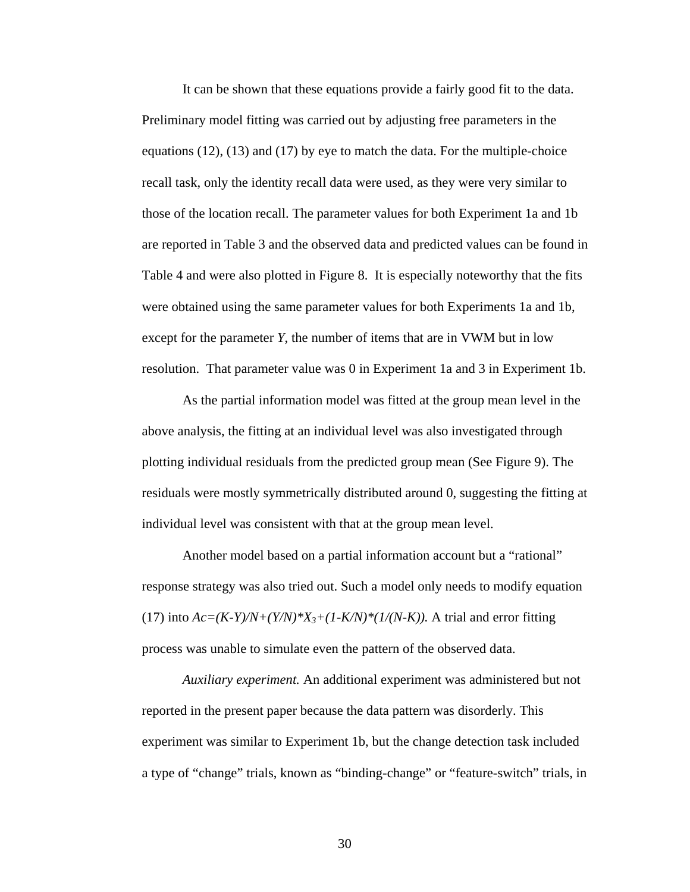It can be shown that these equations provide a fairly good fit to the data. Preliminary model fitting was carried out by adjusting free parameters in the equations  $(12)$ ,  $(13)$  and  $(17)$  by eye to match the data. For the multiple-choice recall task, only the identity recall data were used, as they were very similar to those of the location recall. The parameter values for both Experiment 1a and 1b are reported in Table 3 and the observed data and predicted values can be found in Table 4 and were also plotted in Figure 8. It is especially noteworthy that the fits were obtained using the same parameter values for both Experiments 1a and 1b, except for the parameter *Y*, the number of items that are in VWM but in low resolution. That parameter value was 0 in Experiment 1a and 3 in Experiment 1b.

As the partial information model was fitted at the group mean level in the above analysis, the fitting at an individual level was also investigated through plotting individual residuals from the predicted group mean (See Figure 9). The residuals were mostly symmetrically distributed around 0, suggesting the fitting at individual level was consistent with that at the group mean level.

Another model based on a partial information account but a "rational" response strategy was also tried out. Such a model only needs to modify equation (17) into  $Ac = (K - Y)/N + (Y/N)^*X_3 + (1 - K/N)^* (1/(N - K))$ . A trial and error fitting process was unable to simulate even the pattern of the observed data.

*Auxiliary experiment.* An additional experiment was administered but not reported in the present paper because the data pattern was disorderly. This experiment was similar to Experiment 1b, but the change detection task included a type of "change" trials, known as "binding-change" or "feature-switch" trials, in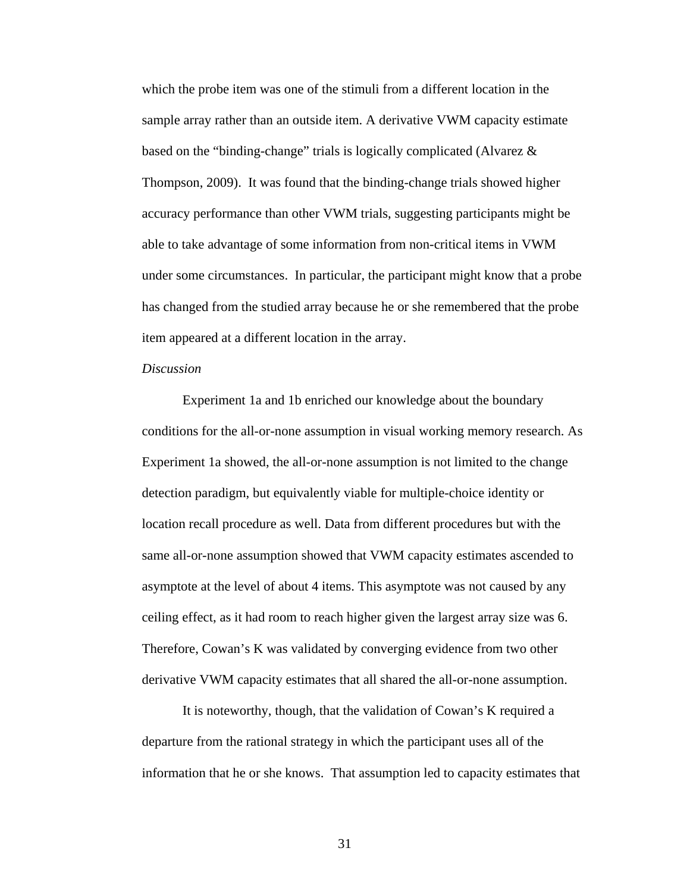which the probe item was one of the stimuli from a different location in the sample array rather than an outside item. A derivative VWM capacity estimate based on the "binding-change" trials is logically complicated (Alvarez & Thompson, 2009). It was found that the binding-change trials showed higher accuracy performance than other VWM trials, suggesting participants might be able to take advantage of some information from non-critical items in VWM under some circumstances. In particular, the participant might know that a probe has changed from the studied array because he or she remembered that the probe item appeared at a different location in the array.

## *Discussion*

Experiment 1a and 1b enriched our knowledge about the boundary conditions for the all-or-none assumption in visual working memory research. As Experiment 1a showed, the all-or-none assumption is not limited to the change detection paradigm, but equivalently viable for multiple-choice identity or location recall procedure as well. Data from different procedures but with the same all-or-none assumption showed that VWM capacity estimates ascended to asymptote at the level of about 4 items. This asymptote was not caused by any ceiling effect, as it had room to reach higher given the largest array size was 6. Therefore, Cowan's K was validated by converging evidence from two other derivative VWM capacity estimates that all shared the all-or-none assumption.

It is noteworthy, though, that the validation of Cowan's K required a departure from the rational strategy in which the participant uses all of the information that he or she knows. That assumption led to capacity estimates that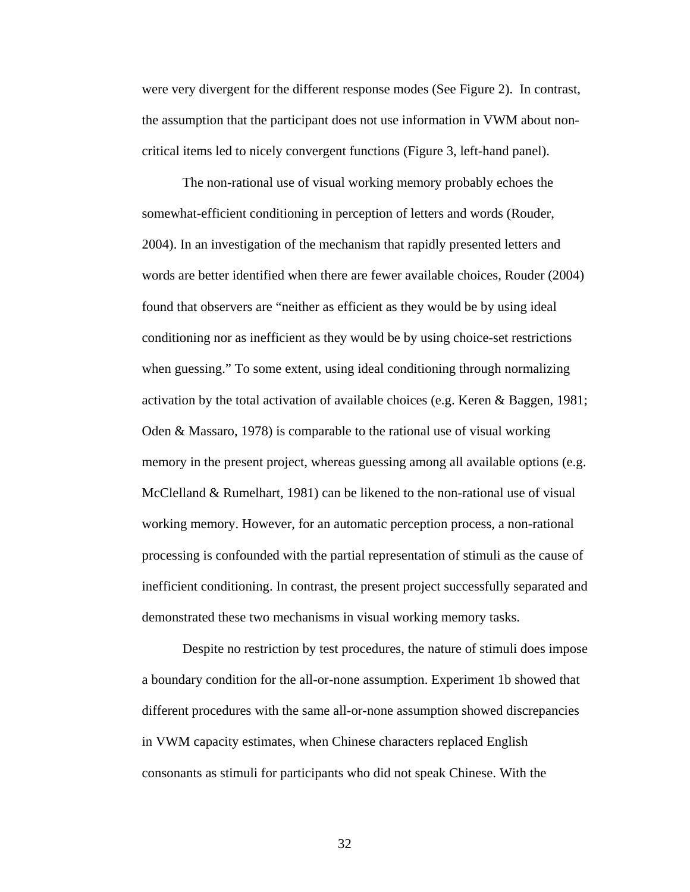were very divergent for the different response modes (See Figure 2). In contrast, the assumption that the participant does not use information in VWM about noncritical items led to nicely convergent functions (Figure 3, left-hand panel).

The non-rational use of visual working memory probably echoes the somewhat-efficient conditioning in perception of letters and words (Rouder, 2004). In an investigation of the mechanism that rapidly presented letters and words are better identified when there are fewer available choices, Rouder (2004) found that observers are "neither as efficient as they would be by using ideal conditioning nor as inefficient as they would be by using choice-set restrictions when guessing." To some extent, using ideal conditioning through normalizing activation by the total activation of available choices (e.g. Keren & Baggen, 1981; Oden & Massaro, 1978) is comparable to the rational use of visual working memory in the present project, whereas guessing among all available options (e.g. McClelland & Rumelhart, 1981) can be likened to the non-rational use of visual working memory. However, for an automatic perception process, a non-rational processing is confounded with the partial representation of stimuli as the cause of inefficient conditioning. In contrast, the present project successfully separated and demonstrated these two mechanisms in visual working memory tasks.

Despite no restriction by test procedures, the nature of stimuli does impose a boundary condition for the all-or-none assumption. Experiment 1b showed that different procedures with the same all-or-none assumption showed discrepancies in VWM capacity estimates, when Chinese characters replaced English consonants as stimuli for participants who did not speak Chinese. With the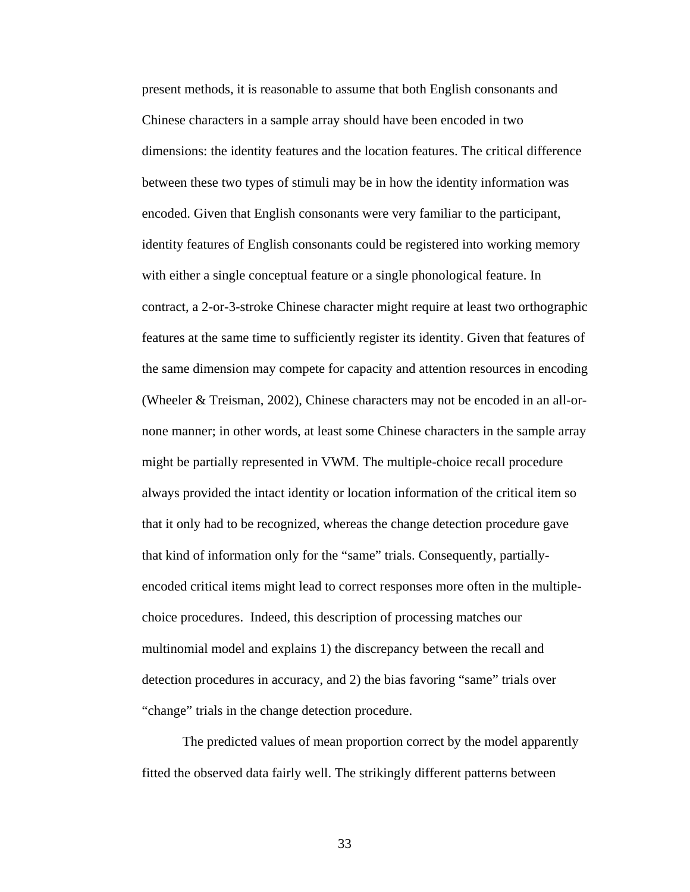present methods, it is reasonable to assume that both English consonants and Chinese characters in a sample array should have been encoded in two dimensions: the identity features and the location features. The critical difference between these two types of stimuli may be in how the identity information was encoded. Given that English consonants were very familiar to the participant, identity features of English consonants could be registered into working memory with either a single conceptual feature or a single phonological feature. In contract, a 2-or-3-stroke Chinese character might require at least two orthographic features at the same time to sufficiently register its identity. Given that features of the same dimension may compete for capacity and attention resources in encoding (Wheeler & Treisman, 2002), Chinese characters may not be encoded in an all-ornone manner; in other words, at least some Chinese characters in the sample array might be partially represented in VWM. The multiple-choice recall procedure always provided the intact identity or location information of the critical item so that it only had to be recognized, whereas the change detection procedure gave that kind of information only for the "same" trials. Consequently, partiallyencoded critical items might lead to correct responses more often in the multiplechoice procedures. Indeed, this description of processing matches our multinomial model and explains 1) the discrepancy between the recall and detection procedures in accuracy, and 2) the bias favoring "same" trials over "change" trials in the change detection procedure.

The predicted values of mean proportion correct by the model apparently fitted the observed data fairly well. The strikingly different patterns between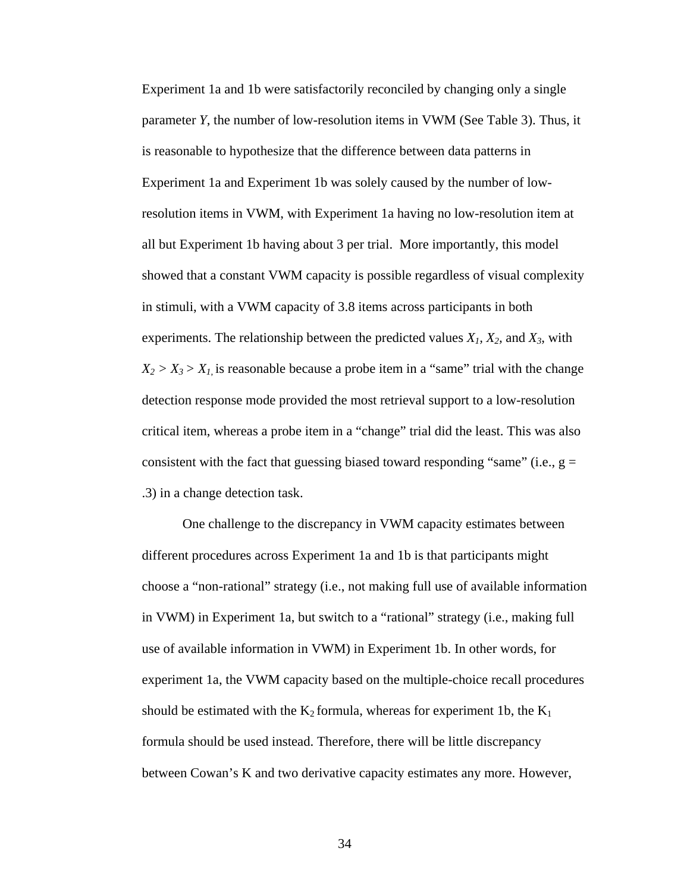Experiment 1a and 1b were satisfactorily reconciled by changing only a single parameter *Y*, the number of low-resolution items in VWM (See Table 3). Thus, it is reasonable to hypothesize that the difference between data patterns in Experiment 1a and Experiment 1b was solely caused by the number of lowresolution items in VWM, with Experiment 1a having no low-resolution item at all but Experiment 1b having about 3 per trial. More importantly, this model showed that a constant VWM capacity is possible regardless of visual complexity in stimuli, with a VWM capacity of 3.8 items across participants in both experiments. The relationship between the predicted values  $X_1$ ,  $X_2$ , and  $X_3$ , with  $X_2 > X_3 > X_1$  is reasonable because a probe item in a "same" trial with the change detection response mode provided the most retrieval support to a low-resolution critical item, whereas a probe item in a "change" trial did the least. This was also consistent with the fact that guessing biased toward responding "same" (i.e.,  $g =$ .3) in a change detection task.

One challenge to the discrepancy in VWM capacity estimates between different procedures across Experiment 1a and 1b is that participants might choose a "non-rational" strategy (i.e., not making full use of available information in VWM) in Experiment 1a, but switch to a "rational" strategy (i.e., making full use of available information in VWM) in Experiment 1b. In other words, for experiment 1a, the VWM capacity based on the multiple-choice recall procedures should be estimated with the  $K_2$  formula, whereas for experiment 1b, the  $K_1$ formula should be used instead. Therefore, there will be little discrepancy between Cowan's K and two derivative capacity estimates any more. However,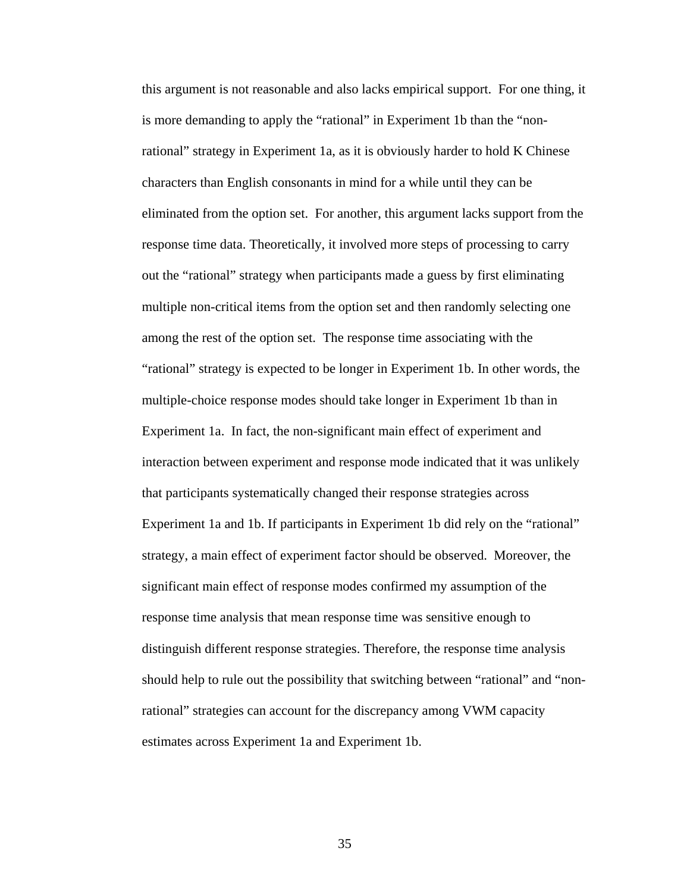this argument is not reasonable and also lacks empirical support. For one thing, it is more demanding to apply the "rational" in Experiment 1b than the "nonrational" strategy in Experiment 1a, as it is obviously harder to hold K Chinese characters than English consonants in mind for a while until they can be eliminated from the option set. For another, this argument lacks support from the response time data. Theoretically, it involved more steps of processing to carry out the "rational" strategy when participants made a guess by first eliminating multiple non-critical items from the option set and then randomly selecting one among the rest of the option set. The response time associating with the "rational" strategy is expected to be longer in Experiment 1b. In other words, the multiple-choice response modes should take longer in Experiment 1b than in Experiment 1a. In fact, the non-significant main effect of experiment and interaction between experiment and response mode indicated that it was unlikely that participants systematically changed their response strategies across Experiment 1a and 1b. If participants in Experiment 1b did rely on the "rational" strategy, a main effect of experiment factor should be observed. Moreover, the significant main effect of response modes confirmed my assumption of the response time analysis that mean response time was sensitive enough to distinguish different response strategies. Therefore, the response time analysis should help to rule out the possibility that switching between "rational" and "nonrational" strategies can account for the discrepancy among VWM capacity estimates across Experiment 1a and Experiment 1b.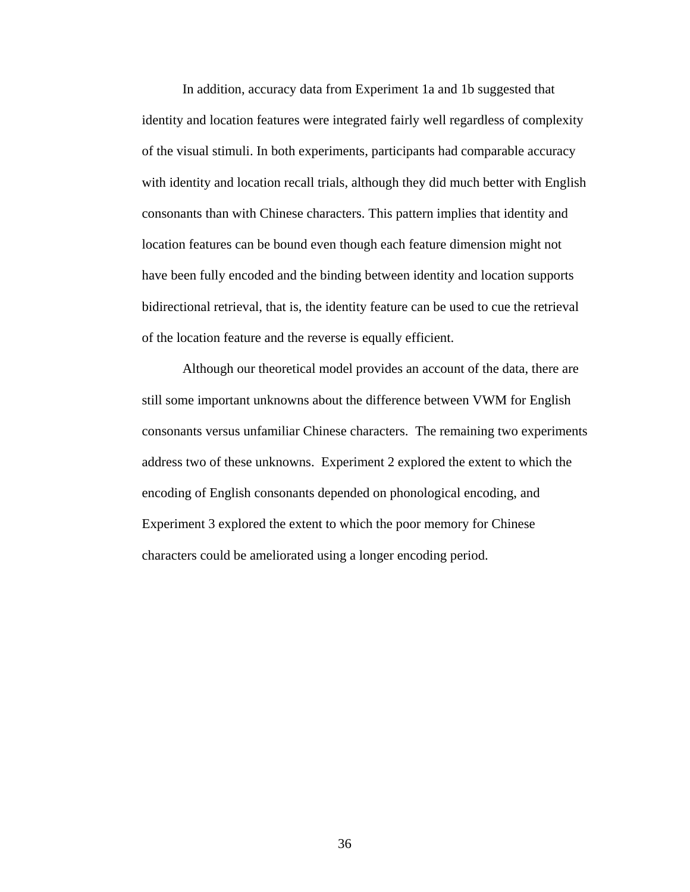In addition, accuracy data from Experiment 1a and 1b suggested that identity and location features were integrated fairly well regardless of complexity of the visual stimuli. In both experiments, participants had comparable accuracy with identity and location recall trials, although they did much better with English consonants than with Chinese characters. This pattern implies that identity and location features can be bound even though each feature dimension might not have been fully encoded and the binding between identity and location supports bidirectional retrieval, that is, the identity feature can be used to cue the retrieval of the location feature and the reverse is equally efficient.

Although our theoretical model provides an account of the data, there are still some important unknowns about the difference between VWM for English consonants versus unfamiliar Chinese characters. The remaining two experiments address two of these unknowns. Experiment 2 explored the extent to which the encoding of English consonants depended on phonological encoding, and Experiment 3 explored the extent to which the poor memory for Chinese characters could be ameliorated using a longer encoding period.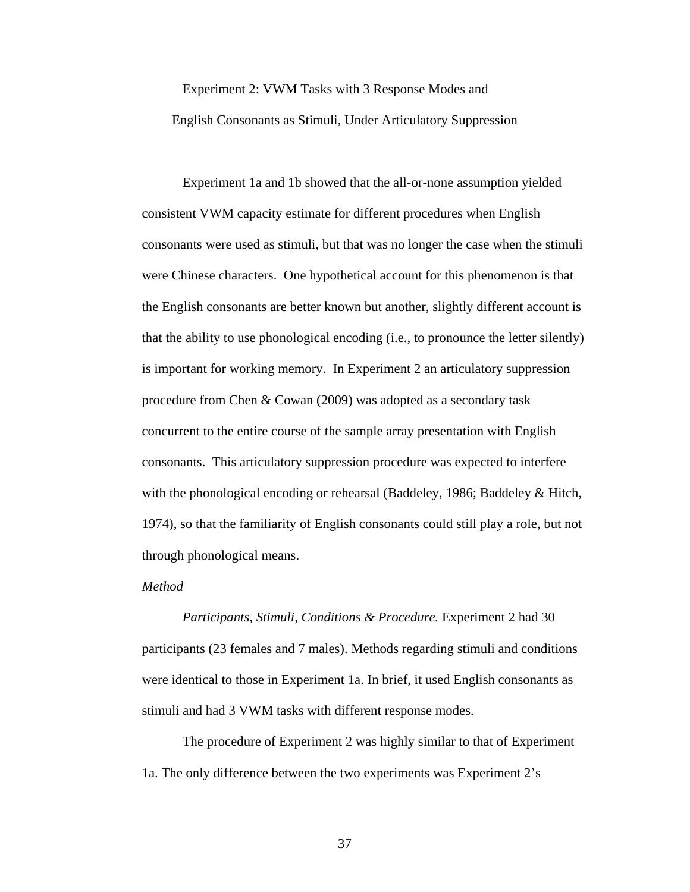# Experiment 2: VWM Tasks with 3 Response Modes and English Consonants as Stimuli, Under Articulatory Suppression

Experiment 1a and 1b showed that the all-or-none assumption yielded consistent VWM capacity estimate for different procedures when English consonants were used as stimuli, but that was no longer the case when the stimuli were Chinese characters. One hypothetical account for this phenomenon is that the English consonants are better known but another, slightly different account is that the ability to use phonological encoding (i.e., to pronounce the letter silently) is important for working memory. In Experiment 2 an articulatory suppression procedure from Chen & Cowan (2009) was adopted as a secondary task concurrent to the entire course of the sample array presentation with English consonants. This articulatory suppression procedure was expected to interfere with the phonological encoding or rehearsal (Baddeley, 1986; Baddeley & Hitch, 1974), so that the familiarity of English consonants could still play a role, but not through phonological means.

### *Method*

 *Participants, Stimuli, Conditions & Procedure.* Experiment 2 had 30 participants (23 females and 7 males). Methods regarding stimuli and conditions were identical to those in Experiment 1a. In brief, it used English consonants as stimuli and had 3 VWM tasks with different response modes.

 The procedure of Experiment 2 was highly similar to that of Experiment 1a. The only difference between the two experiments was Experiment 2's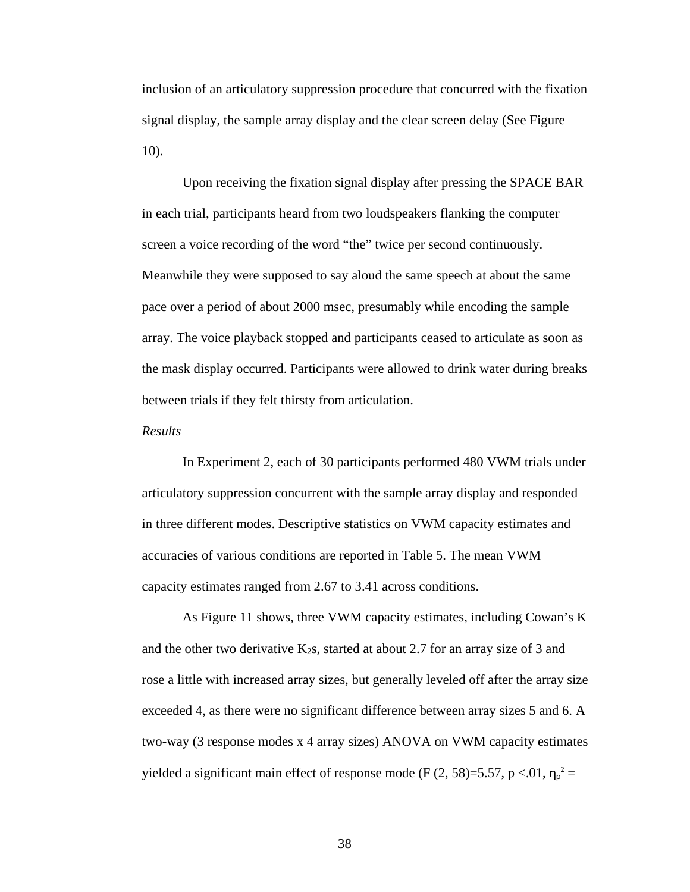inclusion of an articulatory suppression procedure that concurred with the fixation signal display, the sample array display and the clear screen delay (See Figure 10).

Upon receiving the fixation signal display after pressing the SPACE BAR in each trial, participants heard from two loudspeakers flanking the computer screen a voice recording of the word "the" twice per second continuously. Meanwhile they were supposed to say aloud the same speech at about the same pace over a period of about 2000 msec, presumably while encoding the sample array. The voice playback stopped and participants ceased to articulate as soon as the mask display occurred. Participants were allowed to drink water during breaks between trials if they felt thirsty from articulation.

#### *Results*

In Experiment 2, each of 30 participants performed 480 VWM trials under articulatory suppression concurrent with the sample array display and responded in three different modes. Descriptive statistics on VWM capacity estimates and accuracies of various conditions are reported in Table 5. The mean VWM capacity estimates ranged from 2.67 to 3.41 across conditions.

As Figure 11 shows, three VWM capacity estimates, including Cowan's K and the other two derivative  $K_2$ s, started at about 2.7 for an array size of 3 and rose a little with increased array sizes, but generally leveled off after the array size exceeded 4, as there were no significant difference between array sizes 5 and 6. A two-way (3 response modes x 4 array sizes) ANOVA on VWM capacity estimates yielded a significant main effect of response mode (F  $(2, 58) = 5.57$ , p < 01,  $\eta_p^2 =$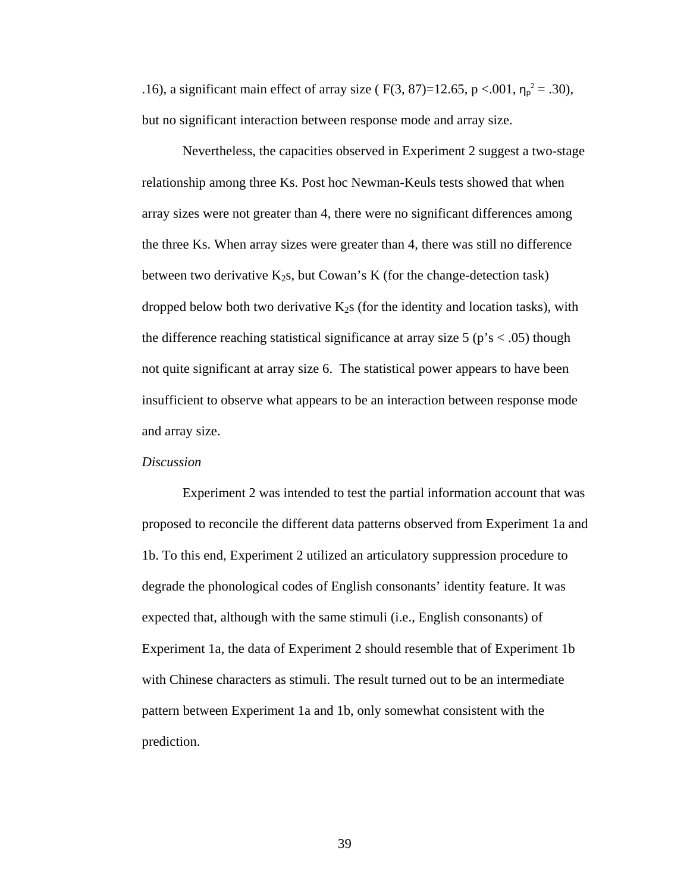.16), a significant main effect of array size ( F(3, 87)=12.65, p <.001,  $\eta_p^2 = .30$ ), but no significant interaction between response mode and array size.

Nevertheless, the capacities observed in Experiment 2 suggest a two-stage relationship among three Ks. Post hoc Newman-Keuls tests showed that when array sizes were not greater than 4, there were no significant differences among the three Ks. When array sizes were greater than 4, there was still no difference between two derivative  $K_2s$ , but Cowan's K (for the change-detection task) dropped below both two derivative  $K_2$ s (for the identity and location tasks), with the difference reaching statistical significance at array size  $5$  ( $p's < .05$ ) though not quite significant at array size 6. The statistical power appears to have been insufficient to observe what appears to be an interaction between response mode and array size.

## *Discussion*

Experiment 2 was intended to test the partial information account that was proposed to reconcile the different data patterns observed from Experiment 1a and 1b. To this end, Experiment 2 utilized an articulatory suppression procedure to degrade the phonological codes of English consonants' identity feature. It was expected that, although with the same stimuli (i.e., English consonants) of Experiment 1a, the data of Experiment 2 should resemble that of Experiment 1b with Chinese characters as stimuli. The result turned out to be an intermediate pattern between Experiment 1a and 1b, only somewhat consistent with the prediction.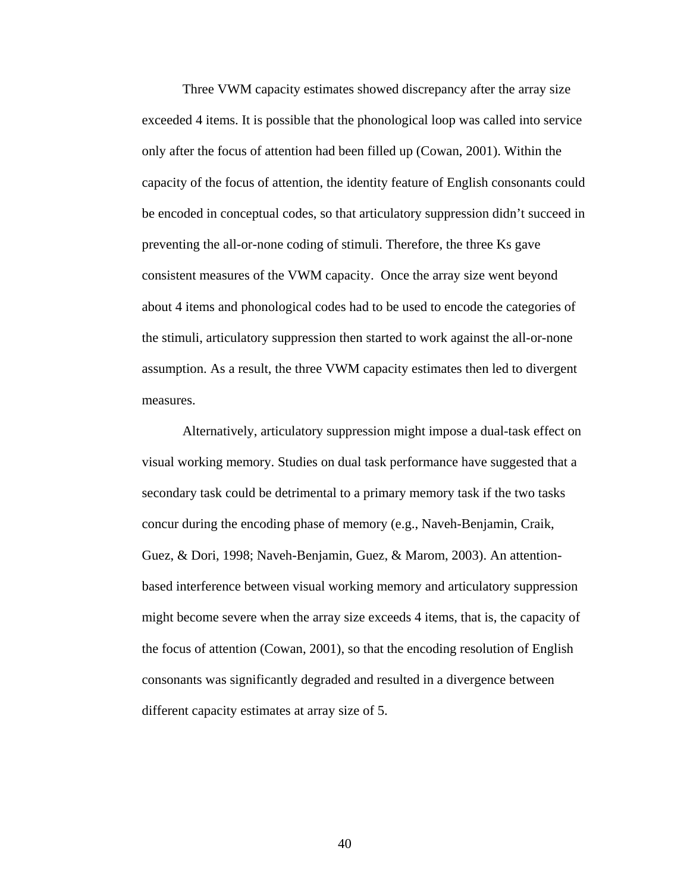Three VWM capacity estimates showed discrepancy after the array size exceeded 4 items. It is possible that the phonological loop was called into service only after the focus of attention had been filled up (Cowan, 2001). Within the capacity of the focus of attention, the identity feature of English consonants could be encoded in conceptual codes, so that articulatory suppression didn't succeed in preventing the all-or-none coding of stimuli. Therefore, the three Ks gave consistent measures of the VWM capacity. Once the array size went beyond about 4 items and phonological codes had to be used to encode the categories of the stimuli, articulatory suppression then started to work against the all-or-none assumption. As a result, the three VWM capacity estimates then led to divergent measures.

Alternatively, articulatory suppression might impose a dual-task effect on visual working memory. Studies on dual task performance have suggested that a secondary task could be detrimental to a primary memory task if the two tasks concur during the encoding phase of memory (e.g., Naveh-Benjamin, Craik, Guez, & Dori, 1998; Naveh-Benjamin, Guez, & Marom, 2003). An attentionbased interference between visual working memory and articulatory suppression might become severe when the array size exceeds 4 items, that is, the capacity of the focus of attention (Cowan, 2001), so that the encoding resolution of English consonants was significantly degraded and resulted in a divergence between different capacity estimates at array size of 5.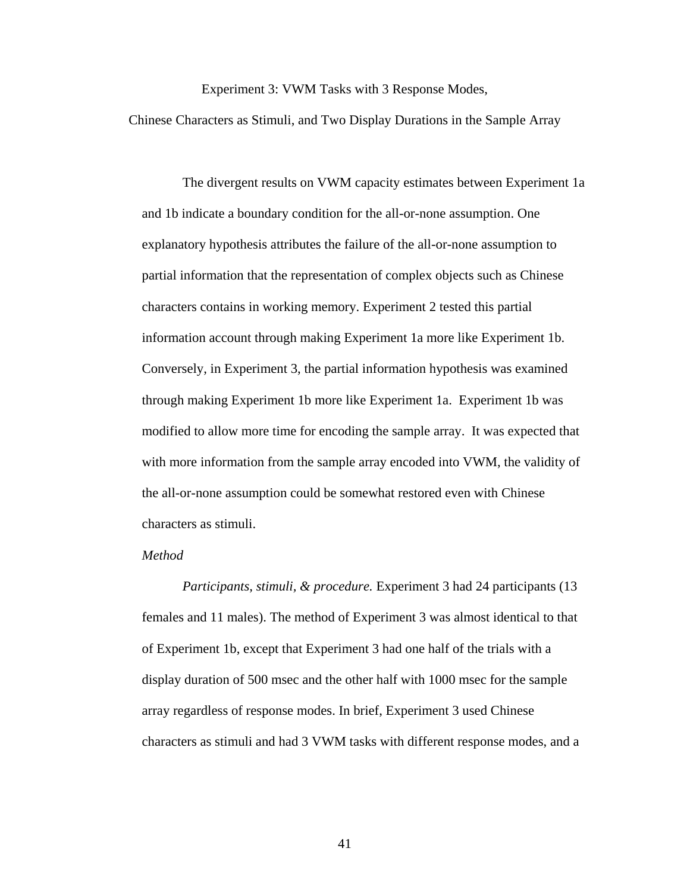Experiment 3: VWM Tasks with 3 Response Modes,

Chinese Characters as Stimuli, and Two Display Durations in the Sample Array

The divergent results on VWM capacity estimates between Experiment 1a and 1b indicate a boundary condition for the all-or-none assumption. One explanatory hypothesis attributes the failure of the all-or-none assumption to partial information that the representation of complex objects such as Chinese characters contains in working memory. Experiment 2 tested this partial information account through making Experiment 1a more like Experiment 1b. Conversely, in Experiment 3, the partial information hypothesis was examined through making Experiment 1b more like Experiment 1a. Experiment 1b was modified to allow more time for encoding the sample array. It was expected that with more information from the sample array encoded into VWM, the validity of the all-or-none assumption could be somewhat restored even with Chinese characters as stimuli.

## *Method*

 *Participants, stimuli, & procedure.* Experiment 3 had 24 participants (13 females and 11 males). The method of Experiment 3 was almost identical to that of Experiment 1b, except that Experiment 3 had one half of the trials with a display duration of 500 msec and the other half with 1000 msec for the sample array regardless of response modes. In brief, Experiment 3 used Chinese characters as stimuli and had 3 VWM tasks with different response modes, and a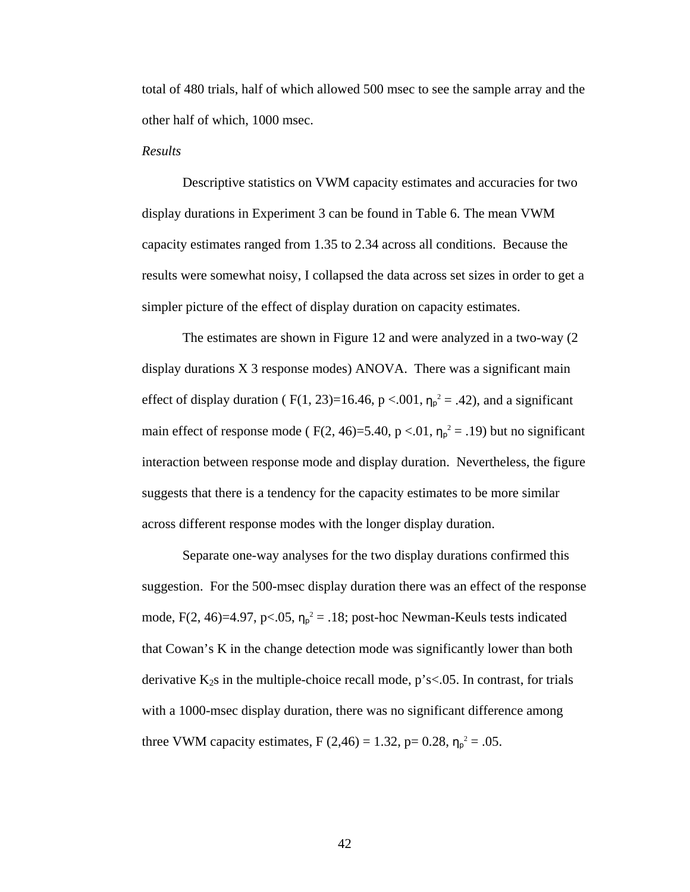total of 480 trials, half of which allowed 500 msec to see the sample array and the other half of which, 1000 msec.

#### *Results*

Descriptive statistics on VWM capacity estimates and accuracies for two display durations in Experiment 3 can be found in Table 6. The mean VWM capacity estimates ranged from 1.35 to 2.34 across all conditions. Because the results were somewhat noisy, I collapsed the data across set sizes in order to get a simpler picture of the effect of display duration on capacity estimates.

The estimates are shown in Figure 12 and were analyzed in a two-way (2 display durations X 3 response modes) ANOVA. There was a significant main effect of display duration ( $F(1, 23)=16.46$ ,  $p < .001$ ,  $\eta_p^2 = .42$ ), and a significant main effect of response mode ( $F(2, 46)=5.40$ ,  $p < 0.01$ ,  $\eta_p^2 = .19$ ) but no significant interaction between response mode and display duration. Nevertheless, the figure suggests that there is a tendency for the capacity estimates to be more similar across different response modes with the longer display duration.

Separate one-way analyses for the two display durations confirmed this suggestion. For the 500-msec display duration there was an effect of the response mode, F(2, 46)=4.97, p<.05,  $\eta_p^2 = 0.18$ ; post-hoc Newman-Keuls tests indicated that Cowan's K in the change detection mode was significantly lower than both derivative  $K_2$ s in the multiple-choice recall mode, p's<.05. In contrast, for trials with a 1000-msec display duration, there was no significant difference among three VWM capacity estimates,  $F(2,46) = 1.32$ ,  $p = 0.28$ ,  $n_p^2 = .05$ .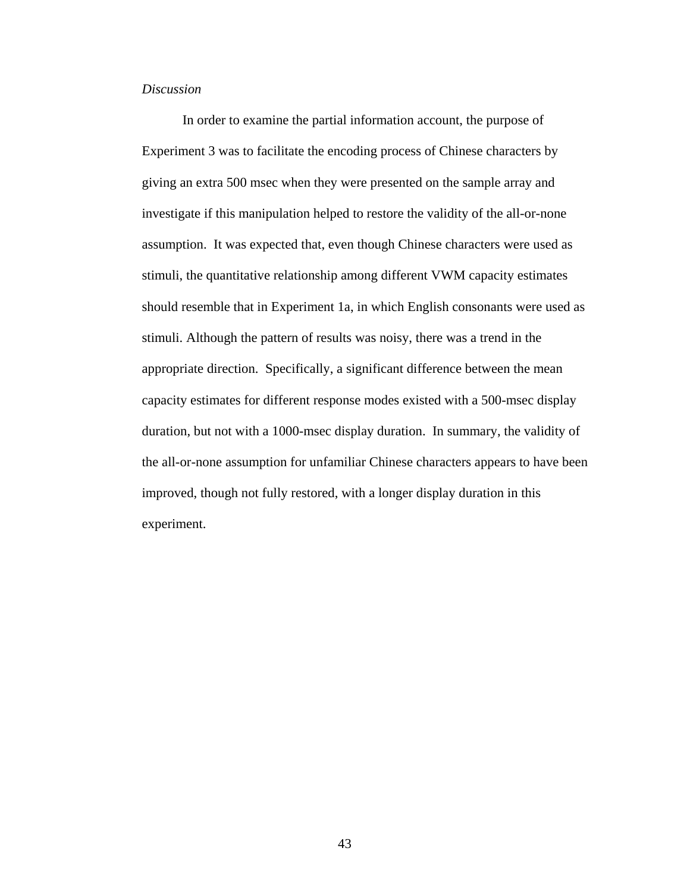## *Discussion*

In order to examine the partial information account, the purpose of Experiment 3 was to facilitate the encoding process of Chinese characters by giving an extra 500 msec when they were presented on the sample array and investigate if this manipulation helped to restore the validity of the all-or-none assumption. It was expected that, even though Chinese characters were used as stimuli, the quantitative relationship among different VWM capacity estimates should resemble that in Experiment 1a, in which English consonants were used as stimuli. Although the pattern of results was noisy, there was a trend in the appropriate direction. Specifically, a significant difference between the mean capacity estimates for different response modes existed with a 500-msec display duration, but not with a 1000-msec display duration. In summary, the validity of the all-or-none assumption for unfamiliar Chinese characters appears to have been improved, though not fully restored, with a longer display duration in this experiment.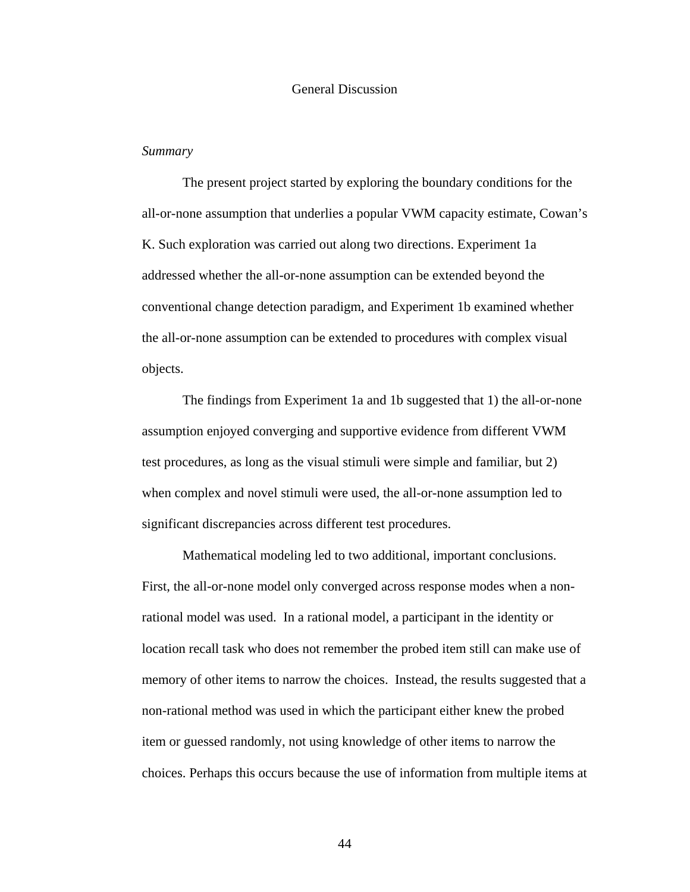## General Discussion

#### *Summary*

The present project started by exploring the boundary conditions for the all-or-none assumption that underlies a popular VWM capacity estimate, Cowan's K. Such exploration was carried out along two directions. Experiment 1a addressed whether the all-or-none assumption can be extended beyond the conventional change detection paradigm, and Experiment 1b examined whether the all-or-none assumption can be extended to procedures with complex visual objects.

The findings from Experiment 1a and 1b suggested that 1) the all-or-none assumption enjoyed converging and supportive evidence from different VWM test procedures, as long as the visual stimuli were simple and familiar, but 2) when complex and novel stimuli were used, the all-or-none assumption led to significant discrepancies across different test procedures.

Mathematical modeling led to two additional, important conclusions. First, the all-or-none model only converged across response modes when a nonrational model was used. In a rational model, a participant in the identity or location recall task who does not remember the probed item still can make use of memory of other items to narrow the choices. Instead, the results suggested that a non-rational method was used in which the participant either knew the probed item or guessed randomly, not using knowledge of other items to narrow the choices. Perhaps this occurs because the use of information from multiple items at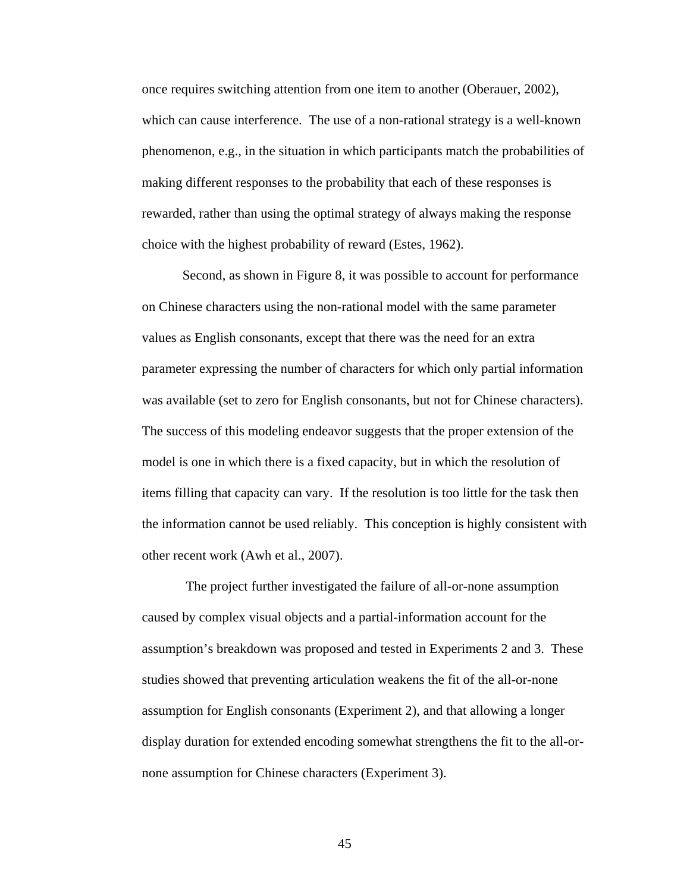once requires switching attention from one item to another (Oberauer, 2002), which can cause interference. The use of a non-rational strategy is a well-known phenomenon, e.g., in the situation in which participants match the probabilities of making different responses to the probability that each of these responses is rewarded, rather than using the optimal strategy of always making the response choice with the highest probability of reward (Estes, 1962).

Second, as shown in Figure 8, it was possible to account for performance on Chinese characters using the non-rational model with the same parameter values as English consonants, except that there was the need for an extra parameter expressing the number of characters for which only partial information was available (set to zero for English consonants, but not for Chinese characters). The success of this modeling endeavor suggests that the proper extension of the model is one in which there is a fixed capacity, but in which the resolution of items filling that capacity can vary. If the resolution is too little for the task then the information cannot be used reliably. This conception is highly consistent with other recent work (Awh et al., 2007).

 The project further investigated the failure of all-or-none assumption caused by complex visual objects and a partial-information account for the assumption's breakdown was proposed and tested in Experiments 2 and 3. These studies showed that preventing articulation weakens the fit of the all-or-none assumption for English consonants (Experiment 2), and that allowing a longer display duration for extended encoding somewhat strengthens the fit to the all-ornone assumption for Chinese characters (Experiment 3).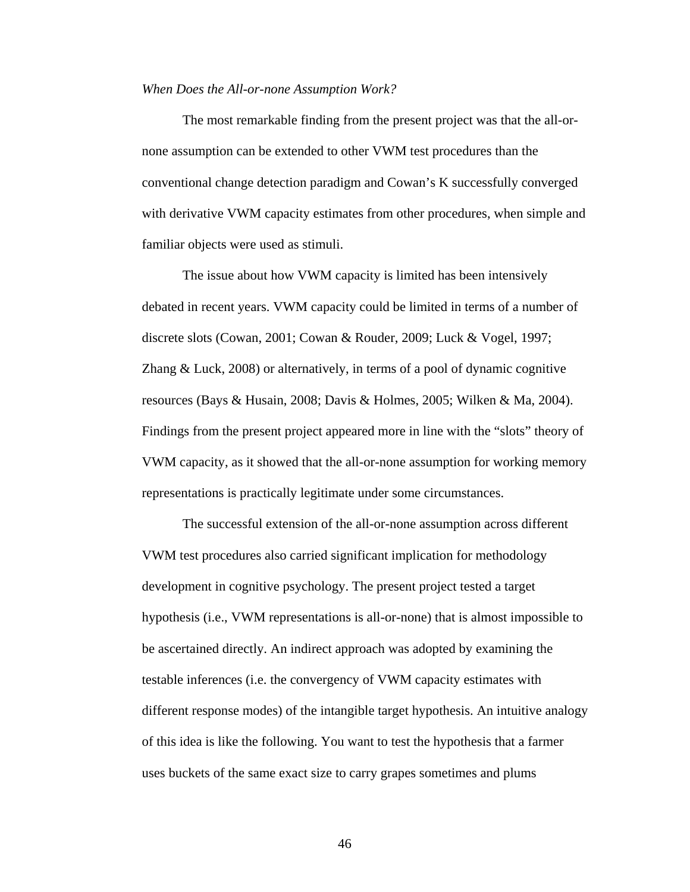#### *When Does the All-or-none Assumption Work?*

The most remarkable finding from the present project was that the all-ornone assumption can be extended to other VWM test procedures than the conventional change detection paradigm and Cowan's K successfully converged with derivative VWM capacity estimates from other procedures, when simple and familiar objects were used as stimuli.

The issue about how VWM capacity is limited has been intensively debated in recent years. VWM capacity could be limited in terms of a number of discrete slots (Cowan, 2001; Cowan & Rouder, 2009; Luck & Vogel, 1997; Zhang & Luck, 2008) or alternatively, in terms of a pool of dynamic cognitive resources (Bays & Husain, 2008; Davis & Holmes, 2005; Wilken & Ma, 2004). Findings from the present project appeared more in line with the "slots" theory of VWM capacity, as it showed that the all-or-none assumption for working memory representations is practically legitimate under some circumstances.

The successful extension of the all-or-none assumption across different VWM test procedures also carried significant implication for methodology development in cognitive psychology. The present project tested a target hypothesis (i.e., VWM representations is all-or-none) that is almost impossible to be ascertained directly. An indirect approach was adopted by examining the testable inferences (i.e. the convergency of VWM capacity estimates with different response modes) of the intangible target hypothesis. An intuitive analogy of this idea is like the following. You want to test the hypothesis that a farmer uses buckets of the same exact size to carry grapes sometimes and plums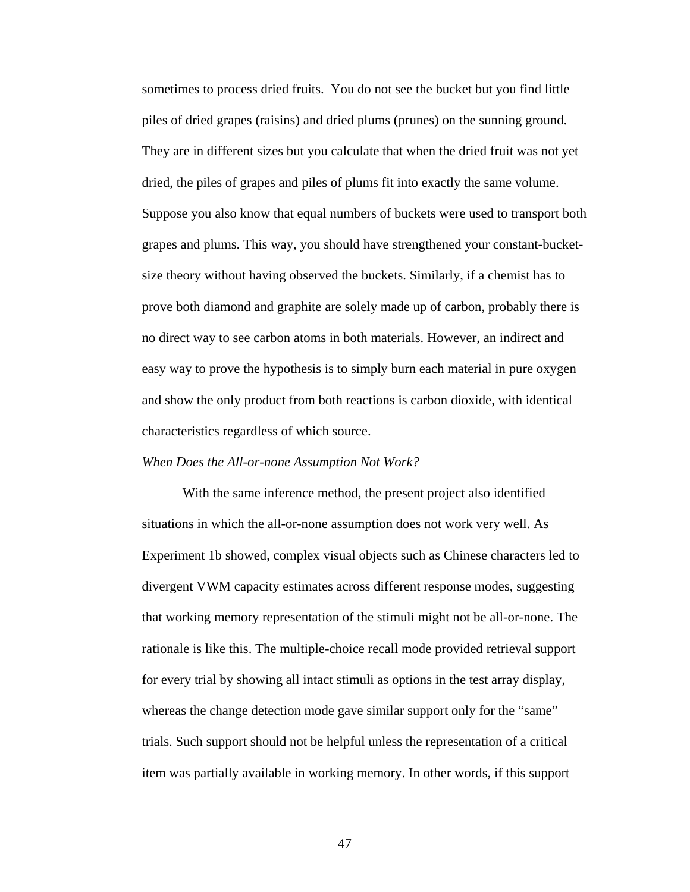sometimes to process dried fruits. You do not see the bucket but you find little piles of dried grapes (raisins) and dried plums (prunes) on the sunning ground. They are in different sizes but you calculate that when the dried fruit was not yet dried, the piles of grapes and piles of plums fit into exactly the same volume. Suppose you also know that equal numbers of buckets were used to transport both grapes and plums. This way, you should have strengthened your constant-bucketsize theory without having observed the buckets. Similarly, if a chemist has to prove both diamond and graphite are solely made up of carbon, probably there is no direct way to see carbon atoms in both materials. However, an indirect and easy way to prove the hypothesis is to simply burn each material in pure oxygen and show the only product from both reactions is carbon dioxide, with identical characteristics regardless of which source.

#### *When Does the All-or-none Assumption Not Work?*

With the same inference method, the present project also identified situations in which the all-or-none assumption does not work very well. As Experiment 1b showed, complex visual objects such as Chinese characters led to divergent VWM capacity estimates across different response modes, suggesting that working memory representation of the stimuli might not be all-or-none. The rationale is like this. The multiple-choice recall mode provided retrieval support for every trial by showing all intact stimuli as options in the test array display, whereas the change detection mode gave similar support only for the "same" trials. Such support should not be helpful unless the representation of a critical item was partially available in working memory. In other words, if this support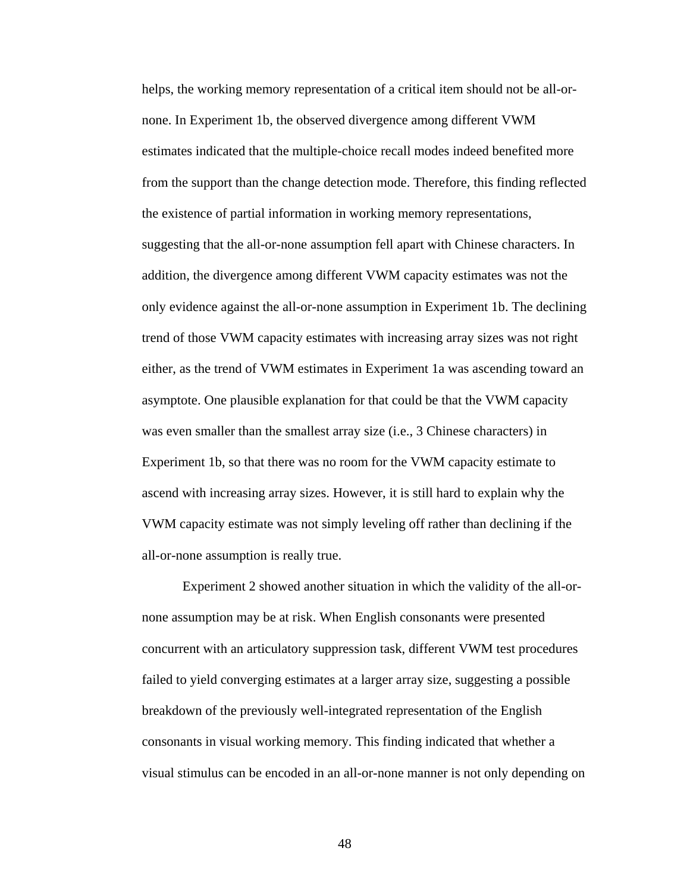helps, the working memory representation of a critical item should not be all-ornone. In Experiment 1b, the observed divergence among different VWM estimates indicated that the multiple-choice recall modes indeed benefited more from the support than the change detection mode. Therefore, this finding reflected the existence of partial information in working memory representations, suggesting that the all-or-none assumption fell apart with Chinese characters. In addition, the divergence among different VWM capacity estimates was not the only evidence against the all-or-none assumption in Experiment 1b. The declining trend of those VWM capacity estimates with increasing array sizes was not right either, as the trend of VWM estimates in Experiment 1a was ascending toward an asymptote. One plausible explanation for that could be that the VWM capacity was even smaller than the smallest array size (i.e., 3 Chinese characters) in Experiment 1b, so that there was no room for the VWM capacity estimate to ascend with increasing array sizes. However, it is still hard to explain why the VWM capacity estimate was not simply leveling off rather than declining if the all-or-none assumption is really true.

Experiment 2 showed another situation in which the validity of the all-ornone assumption may be at risk. When English consonants were presented concurrent with an articulatory suppression task, different VWM test procedures failed to yield converging estimates at a larger array size, suggesting a possible breakdown of the previously well-integrated representation of the English consonants in visual working memory. This finding indicated that whether a visual stimulus can be encoded in an all-or-none manner is not only depending on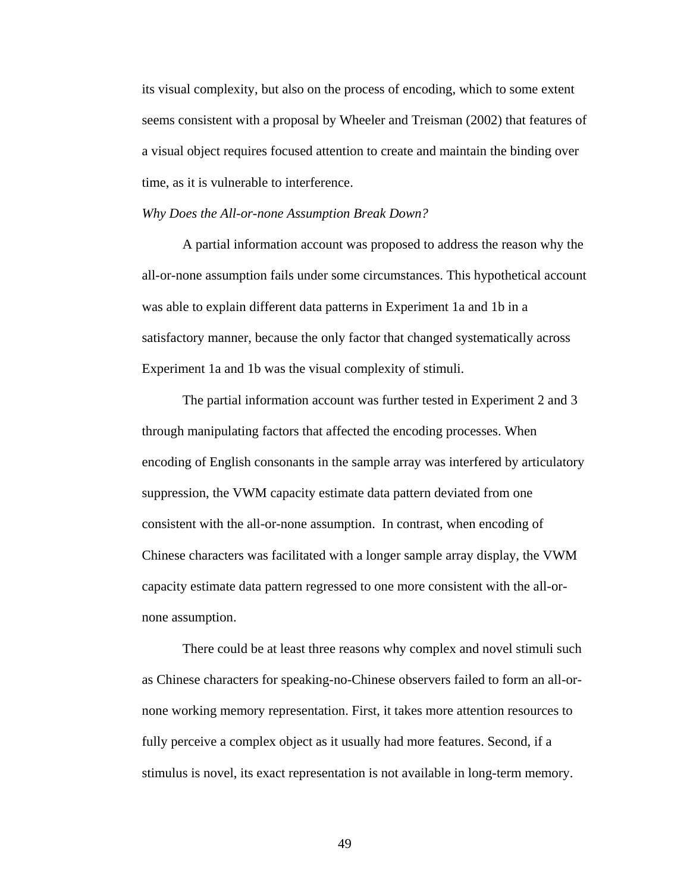its visual complexity, but also on the process of encoding, which to some extent seems consistent with a proposal by Wheeler and Treisman (2002) that features of a visual object requires focused attention to create and maintain the binding over time, as it is vulnerable to interference.

#### *Why Does the All-or-none Assumption Break Down?*

A partial information account was proposed to address the reason why the all-or-none assumption fails under some circumstances. This hypothetical account was able to explain different data patterns in Experiment 1a and 1b in a satisfactory manner, because the only factor that changed systematically across Experiment 1a and 1b was the visual complexity of stimuli.

The partial information account was further tested in Experiment 2 and 3 through manipulating factors that affected the encoding processes. When encoding of English consonants in the sample array was interfered by articulatory suppression, the VWM capacity estimate data pattern deviated from one consistent with the all-or-none assumption. In contrast, when encoding of Chinese characters was facilitated with a longer sample array display, the VWM capacity estimate data pattern regressed to one more consistent with the all-ornone assumption.

There could be at least three reasons why complex and novel stimuli such as Chinese characters for speaking-no-Chinese observers failed to form an all-ornone working memory representation. First, it takes more attention resources to fully perceive a complex object as it usually had more features. Second, if a stimulus is novel, its exact representation is not available in long-term memory.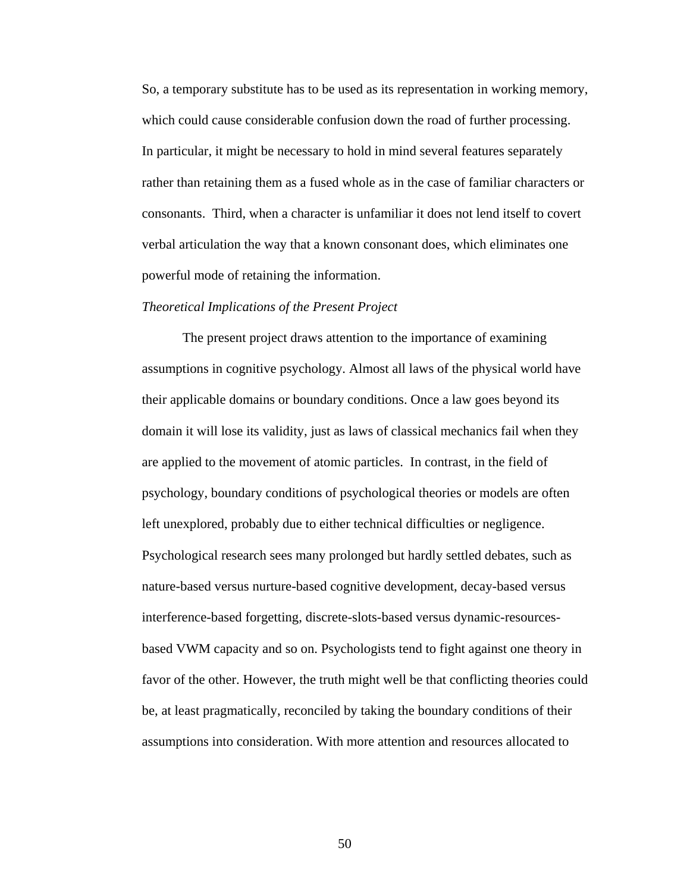So, a temporary substitute has to be used as its representation in working memory, which could cause considerable confusion down the road of further processing. In particular, it might be necessary to hold in mind several features separately rather than retaining them as a fused whole as in the case of familiar characters or consonants. Third, when a character is unfamiliar it does not lend itself to covert verbal articulation the way that a known consonant does, which eliminates one powerful mode of retaining the information.

#### *Theoretical Implications of the Present Project*

The present project draws attention to the importance of examining assumptions in cognitive psychology. Almost all laws of the physical world have their applicable domains or boundary conditions. Once a law goes beyond its domain it will lose its validity, just as laws of classical mechanics fail when they are applied to the movement of atomic particles. In contrast, in the field of psychology, boundary conditions of psychological theories or models are often left unexplored, probably due to either technical difficulties or negligence. Psychological research sees many prolonged but hardly settled debates, such as nature-based versus nurture-based cognitive development, decay-based versus interference-based forgetting, discrete-slots-based versus dynamic-resourcesbased VWM capacity and so on. Psychologists tend to fight against one theory in favor of the other. However, the truth might well be that conflicting theories could be, at least pragmatically, reconciled by taking the boundary conditions of their assumptions into consideration. With more attention and resources allocated to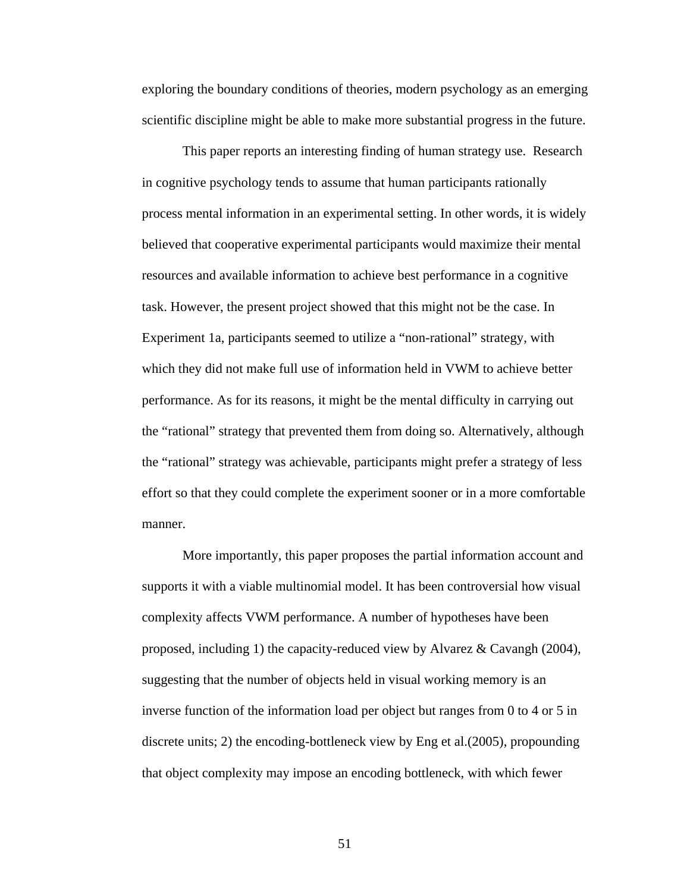exploring the boundary conditions of theories, modern psychology as an emerging scientific discipline might be able to make more substantial progress in the future.

This paper reports an interesting finding of human strategy use. Research in cognitive psychology tends to assume that human participants rationally process mental information in an experimental setting. In other words, it is widely believed that cooperative experimental participants would maximize their mental resources and available information to achieve best performance in a cognitive task. However, the present project showed that this might not be the case. In Experiment 1a, participants seemed to utilize a "non-rational" strategy, with which they did not make full use of information held in VWM to achieve better performance. As for its reasons, it might be the mental difficulty in carrying out the "rational" strategy that prevented them from doing so. Alternatively, although the "rational" strategy was achievable, participants might prefer a strategy of less effort so that they could complete the experiment sooner or in a more comfortable manner.

More importantly, this paper proposes the partial information account and supports it with a viable multinomial model. It has been controversial how visual complexity affects VWM performance. A number of hypotheses have been proposed, including 1) the capacity-reduced view by Alvarez & Cavangh (2004), suggesting that the number of objects held in visual working memory is an inverse function of the information load per object but ranges from 0 to 4 or 5 in discrete units; 2) the encoding-bottleneck view by Eng et al.(2005), propounding that object complexity may impose an encoding bottleneck, with which fewer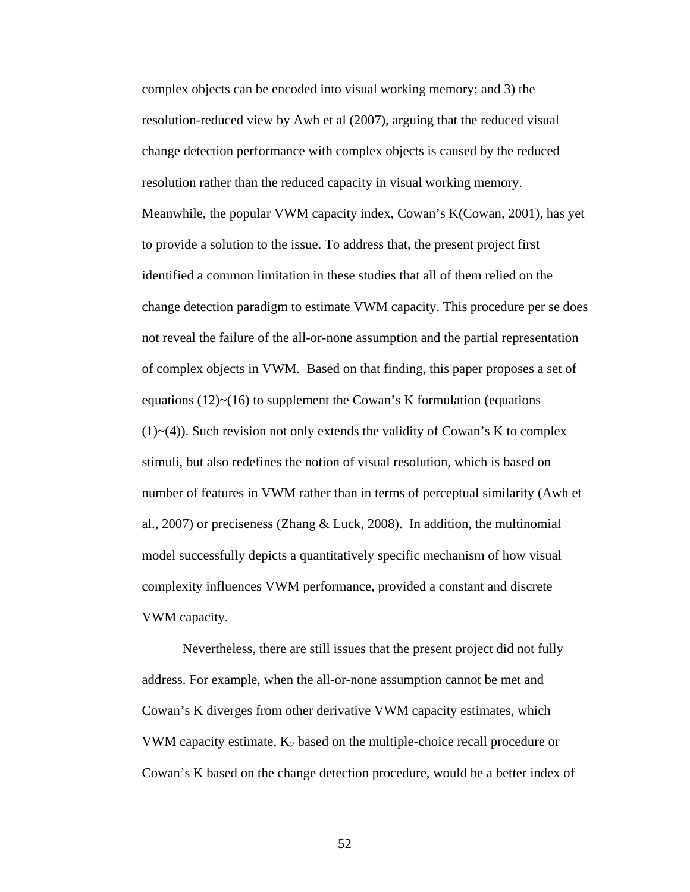complex objects can be encoded into visual working memory; and 3) the resolution-reduced view by Awh et al (2007), arguing that the reduced visual change detection performance with complex objects is caused by the reduced resolution rather than the reduced capacity in visual working memory. Meanwhile, the popular VWM capacity index, Cowan's K(Cowan, 2001), has yet to provide a solution to the issue. To address that, the present project first identified a common limitation in these studies that all of them relied on the change detection paradigm to estimate VWM capacity. This procedure per se does not reveal the failure of the all-or-none assumption and the partial representation of complex objects in VWM. Based on that finding, this paper proposes a set of equations  $(12)$   $\sim$   $(16)$  to supplement the Cowan's K formulation (equations  $(1)$   $\sim$  (4)). Such revision not only extends the validity of Cowan's K to complex stimuli, but also redefines the notion of visual resolution, which is based on number of features in VWM rather than in terms of perceptual similarity (Awh et al., 2007) or preciseness (Zhang & Luck, 2008). In addition, the multinomial model successfully depicts a quantitatively specific mechanism of how visual complexity influences VWM performance, provided a constant and discrete VWM capacity.

Nevertheless, there are still issues that the present project did not fully address. For example, when the all-or-none assumption cannot be met and Cowan's K diverges from other derivative VWM capacity estimates, which VWM capacity estimate,  $K_2$  based on the multiple-choice recall procedure or Cowan's K based on the change detection procedure, would be a better index of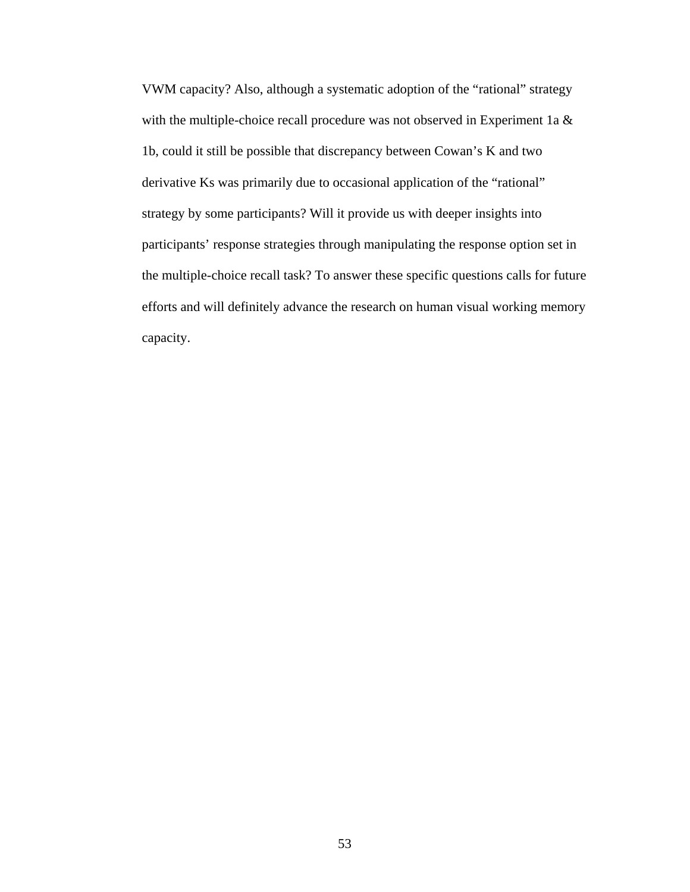VWM capacity? Also, although a systematic adoption of the "rational" strategy with the multiple-choice recall procedure was not observed in Experiment 1a & 1b, could it still be possible that discrepancy between Cowan's K and two derivative Ks was primarily due to occasional application of the "rational" strategy by some participants? Will it provide us with deeper insights into participants' response strategies through manipulating the response option set in the multiple-choice recall task? To answer these specific questions calls for future efforts and will definitely advance the research on human visual working memory capacity.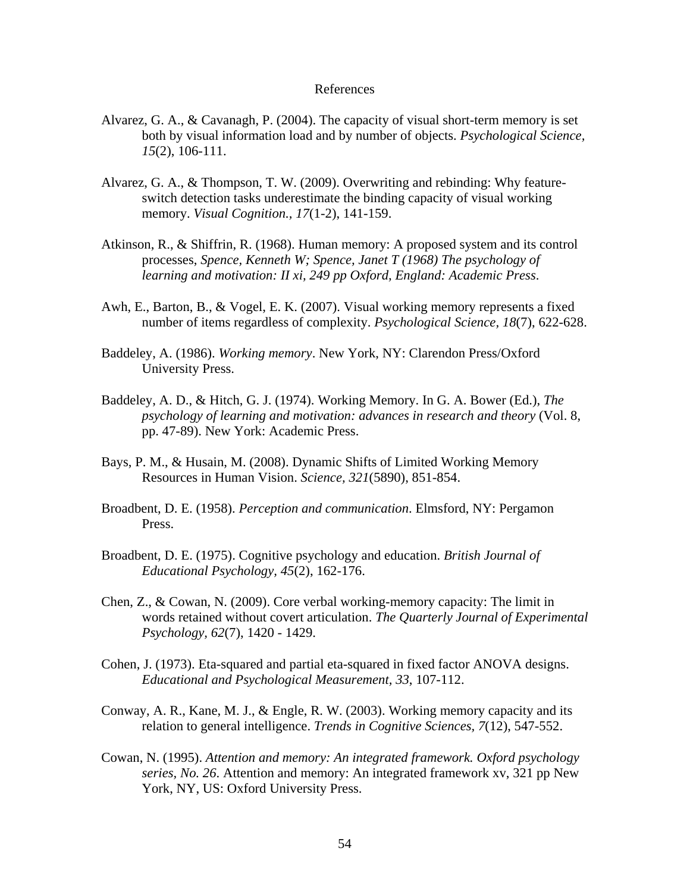## References

- Alvarez, G. A., & Cavanagh, P. (2004). The capacity of visual short-term memory is set both by visual information load and by number of objects. *Psychological Science, 15*(2), 106-111.
- Alvarez, G. A., & Thompson, T. W. (2009). Overwriting and rebinding: Why featureswitch detection tasks underestimate the binding capacity of visual working memory. *Visual Cognition., 17*(1-2), 141-159.
- Atkinson, R., & Shiffrin, R. (1968). Human memory: A proposed system and its control processes, *Spence, Kenneth W; Spence, Janet T (1968) The psychology of learning and motivation: II xi, 249 pp Oxford, England: Academic Press*.
- Awh, E., Barton, B., & Vogel, E. K. (2007). Visual working memory represents a fixed number of items regardless of complexity. *Psychological Science, 18*(7), 622-628.
- Baddeley, A. (1986). *Working memory*. New York, NY: Clarendon Press/Oxford University Press.
- Baddeley, A. D., & Hitch, G. J. (1974). Working Memory. In G. A. Bower (Ed.), *The psychology of learning and motivation: advances in research and theory (Vol. 8, psychology of learning and motivation: advances in research and theory (Vol. 8, psychology of learning and motivation: advances in research* pp. 47-89). New York: Academic Press.
- Bays, P. M., & Husain, M. (2008). Dynamic Shifts of Limited Working Memory Resources in Human Vision. *Science, 321*(5890), 851-854.
- Broadbent, D. E. (1958). *Perception and communication*. Elmsford, NY: Pergamon Press.
- Broadbent, D. E. (1975). Cognitive psychology and education. *British Journal of Educational Psychology, 45*(2), 162-176.
- Chen, Z., & Cowan, N. (2009). Core verbal working-memory capacity: The limit in words retained without covert articulation. *The Quarterly Journal of Experimental Psychology, 62*(7), 1420 - 1429.
- Cohen, J. (1973). Eta-squared and partial eta-squared in fixed factor ANOVA designs. *Educational and Psychological Measurement, 33*, 107-112.
- Conway, A. R., Kane, M. J., & Engle, R. W. (2003). Working memory capacity and its relation to general intelligence. *Trends in Cognitive Sciences, 7*(12), 547-552.
- Cowan, N. (1995). *Attention and memory: An integrated framework. Oxford psychology series, No. 26*. Attention and memory: An integrated framework xv, 321 pp New York, NY, US: Oxford University Press.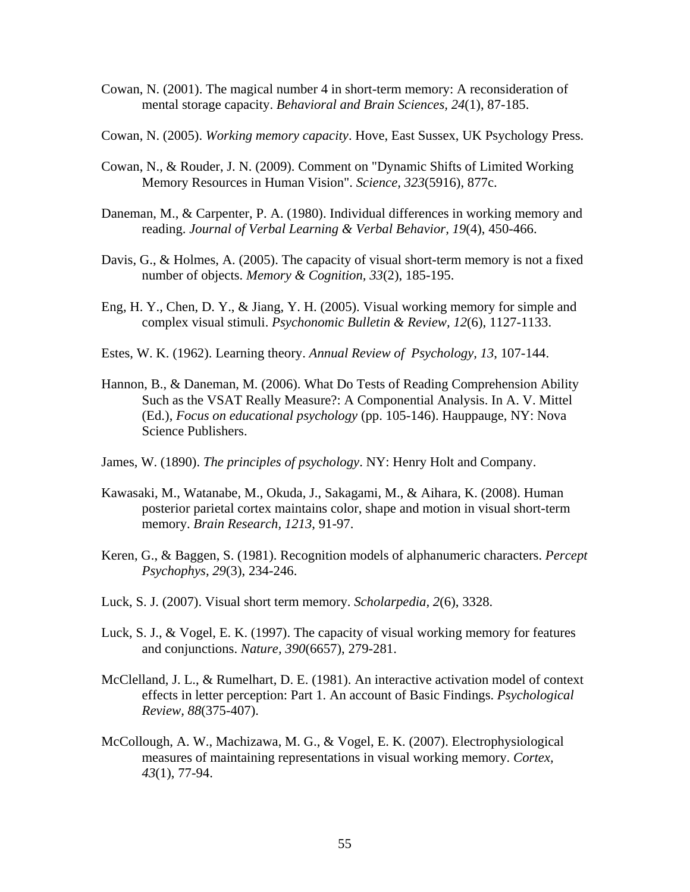- Cowan, N. (2001). The magical number 4 in short-term memory: A reconsideration of mental storage capacity. *Behavioral and Brain Sciences, 24*(1), 87-185.
- Cowan, N. (2005). *Working memory capacity*. Hove, East Sussex, UK Psychology Press.
- Cowan, N., & Rouder, J. N. (2009). Comment on "Dynamic Shifts of Limited Working Memory Resources in Human Vision". *Science, 323*(5916), 877c.
- Daneman, M., & Carpenter, P. A. (1980). Individual differences in working memory and reading. *Journal of Verbal Learning & Verbal Behavior, 19*(4), 450-466.
- Davis, G., & Holmes, A. (2005). The capacity of visual short-term memory is not a fixed number of objects. *Memory & Cognition, 33*(2), 185-195.
- Eng, H. Y., Chen, D. Y., & Jiang, Y. H. (2005). Visual working memory for simple and complex visual stimuli. *Psychonomic Bulletin & Review, 12*(6), 1127-1133.
- Estes, W. K. (1962). Learning theory. *Annual Review of Psychology, 13*, 107-144.
- Hannon, B., & Daneman, M. (2006). What Do Tests of Reading Comprehension Ability Such as the VSAT Really Measure?: A Componential Analysis. In A. V. Mittel (Ed.), *Focus on educational psychology* (pp. 105-146). Hauppauge, NY: Nova Science Publishers.
- James, W. (1890). *The principles of psychology*. NY: Henry Holt and Company.
- Kawasaki, M., Watanabe, M., Okuda, J., Sakagami, M., & Aihara, K. (2008). Human posterior parietal cortex maintains color, shape and motion in visual short-term memory. *Brain Research, 1213*, 91-97.
- Keren, G., & Baggen, S. (1981). Recognition models of alphanumeric characters. *Percept Psychophys, 29*(3), 234-246.
- Luck, S. J. (2007). Visual short term memory. *Scholarpedia, 2*(6), 3328.
- Luck, S. J., & Vogel, E. K. (1997). The capacity of visual working memory for features and conjunctions. *Nature, 390*(6657), 279-281.
- McClelland, J. L., & Rumelhart, D. E. (1981). An interactive activation model of context effects in letter perception: Part 1. An account of Basic Findings. *Psychological Review, 88*(375-407).
- McCollough, A. W., Machizawa, M. G., & Vogel, E. K. (2007). Electrophysiological measures of maintaining representations in visual working memory. *Cortex, 43*(1), 77-94.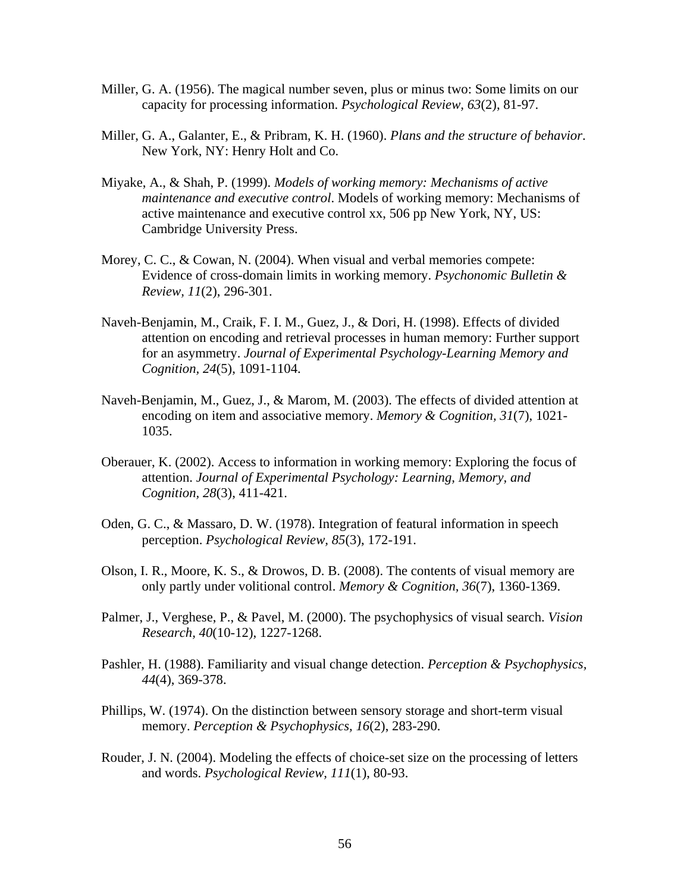- Miller, G. A. (1956). The magical number seven, plus or minus two: Some limits on our capacity for processing information. *Psychological Review, 63*(2), 81-97.
- Miller, G. A., Galanter, E., & Pribram, K. H. (1960). *Plans and the structure of behavior*. New York, NY: Henry Holt and Co.
- Miyake, A., & Shah, P. (1999). *Models of working memory: Mechanisms of active maintenance and executive control*. Models of working memory: Mechanisms of active maintenance and executive control xx, 506 pp New York, NY, US: Cambridge University Press.
- Morey, C. C., & Cowan, N. (2004). When visual and verbal memories compete: Evidence of cross-domain limits in working memory. *Psychonomic Bulletin & Review, 11*(2), 296-301.
- Naveh-Benjamin, M., Craik, F. I. M., Guez, J., & Dori, H. (1998). Effects of divided attention on encoding and retrieval processes in human memory: Further support for an asymmetry. *Journal of Experimental Psychology-Learning Memory and Cognition, 24*(5), 1091-1104.
- Naveh-Benjamin, M., Guez, J., & Marom, M. (2003). The effects of divided attention at encoding on item and associative memory. *Memory & Cognition, 31*(7), 1021- 1035.
- Oberauer, K. (2002). Access to information in working memory: Exploring the focus of attention. *Journal of Experimental Psychology: Learning, Memory, and Cognition, 28*(3), 411-421.
- Oden, G. C., & Massaro, D. W. (1978). Integration of featural information in speech perception. *Psychological Review, 85*(3), 172-191.
- Olson, I. R., Moore, K. S., & Drowos, D. B. (2008). The contents of visual memory are only partly under volitional control. *Memory & Cognition, 36*(7), 1360-1369.
- Palmer, J., Verghese, P., & Pavel, M. (2000). The psychophysics of visual search. *Vision Research, 40*(10-12), 1227-1268.
- Pashler, H. (1988). Familiarity and visual change detection. *Perception & Psychophysics, 44*(4), 369-378.
- Phillips, W. (1974). On the distinction between sensory storage and short-term visual memory. *Perception & Psychophysics, 16*(2), 283-290.
- Rouder, J. N. (2004). Modeling the effects of choice-set size on the processing of letters and words. *Psychological Review, 111*(1), 80-93.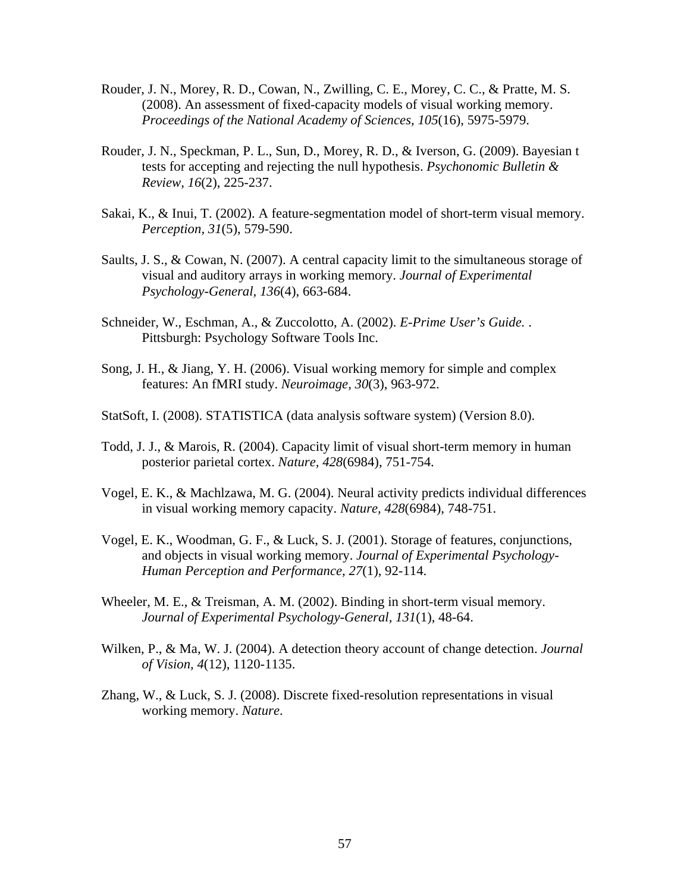- Rouder, J. N., Morey, R. D., Cowan, N., Zwilling, C. E., Morey, C. C., & Pratte, M. S. (2008). An assessment of fixed-capacity models of visual working memory. *Proceedings of the National Academy of Sciences, 105*(16), 5975-5979.
- Rouder, J. N., Speckman, P. L., Sun, D., Morey, R. D., & Iverson, G. (2009). Bayesian t tests for accepting and rejecting the null hypothesis. *Psychonomic Bulletin & Review, 16*(2), 225-237.
- Sakai, K., & Inui, T. (2002). A feature-segmentation model of short-term visual memory. *Perception, 31*(5), 579-590.
- Saults, J. S., & Cowan, N. (2007). A central capacity limit to the simultaneous storage of visual and auditory arrays in working memory. *Journal of Experimental Psychology-General, 136*(4), 663-684.
- Schneider, W., Eschman, A., & Zuccolotto, A. (2002). *E-Prime User's Guide.* . Pittsburgh: Psychology Software Tools Inc.
- Song, J. H., & Jiang, Y. H. (2006). Visual working memory for simple and complex features: An fMRI study. *Neuroimage, 30*(3), 963-972.
- StatSoft, I. (2008). STATISTICA (data analysis software system) (Version 8.0).
- Todd, J. J., & Marois, R. (2004). Capacity limit of visual short-term memory in human posterior parietal cortex. *Nature, 428*(6984), 751-754.
- Vogel, E. K., & Machlzawa, M. G. (2004). Neural activity predicts individual differences in visual working memory capacity. *Nature, 428*(6984), 748-751.
- Vogel, E. K., Woodman, G. F., & Luck, S. J. (2001). Storage of features, conjunctions, and objects in visual working memory. *Journal of Experimental Psychology-Human Perception and Performance, 27*(1), 92-114.
- Wheeler, M. E., & Treisman, A. M. (2002). Binding in short-term visual memory. *Journal of Experimental Psychology-General, 131*(1), 48-64.
- Wilken, P., & Ma, W. J. (2004). A detection theory account of change detection. *Journal of Vision, 4*(12), 1120-1135.
- Zhang, W., & Luck, S. J. (2008). Discrete fixed-resolution representations in visual working memory. *Nature*.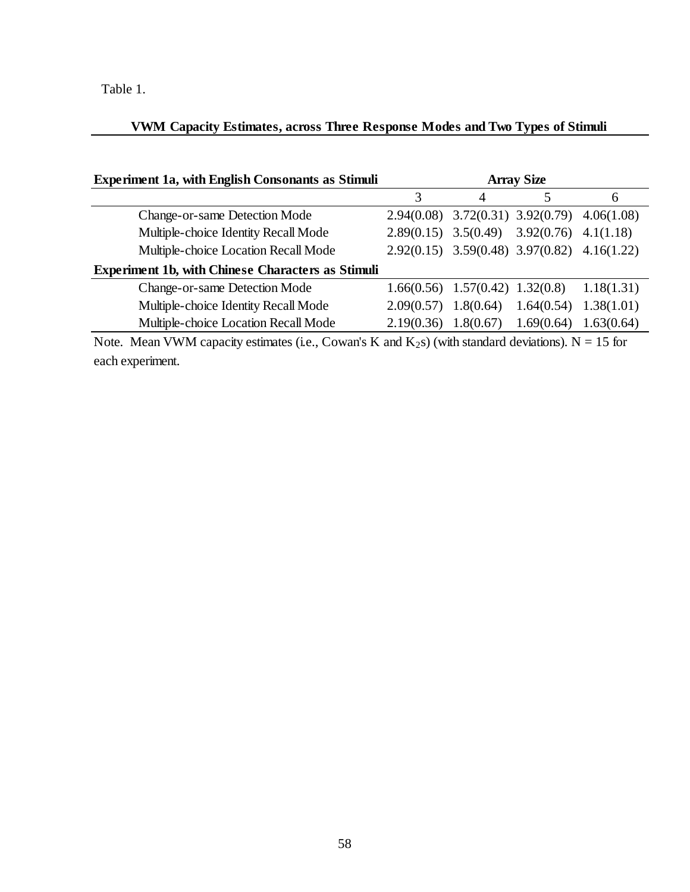# Table 1.

# **VWM Capacity Estimates, across Three Response Modes and Two Types of Stimuli**

| <b>Experiment 1a, with English Consonants as Stimuli</b><br><b>Array Size</b> |           |            |                                                                                                                                                                                               |
|-------------------------------------------------------------------------------|-----------|------------|-----------------------------------------------------------------------------------------------------------------------------------------------------------------------------------------------|
|                                                                               | 4         |            | 6                                                                                                                                                                                             |
|                                                                               |           |            | 4.06(1.08)                                                                                                                                                                                    |
|                                                                               |           |            | 4.1(1.18)                                                                                                                                                                                     |
|                                                                               |           |            |                                                                                                                                                                                               |
|                                                                               |           |            |                                                                                                                                                                                               |
|                                                                               |           |            | 1.18(1.31)                                                                                                                                                                                    |
| 2.09(0.57)                                                                    |           |            | 1.38(1.01)                                                                                                                                                                                    |
| 2.19(0.36)                                                                    | 1.8(0.67) | 1.69(0.64) | 1.63(0.64)                                                                                                                                                                                    |
|                                                                               |           | 1.8(0.64)  | $2.94(0.08)$ $3.72(0.31)$ $3.92(0.79)$<br>$2.89(0.15)$ $3.5(0.49)$ $3.92(0.76)$<br>$2.92(0.15)$ $3.59(0.48)$ $3.97(0.82)$ $4.16(1.22)$<br>$1.66(0.56)$ $1.57(0.42)$ $1.32(0.8)$<br>1.64(0.54) |

Note. Mean VWM capacity estimates (i.e., Cowan's K and  $K_2$ s) (with standard deviations). N = 15 for each experiment.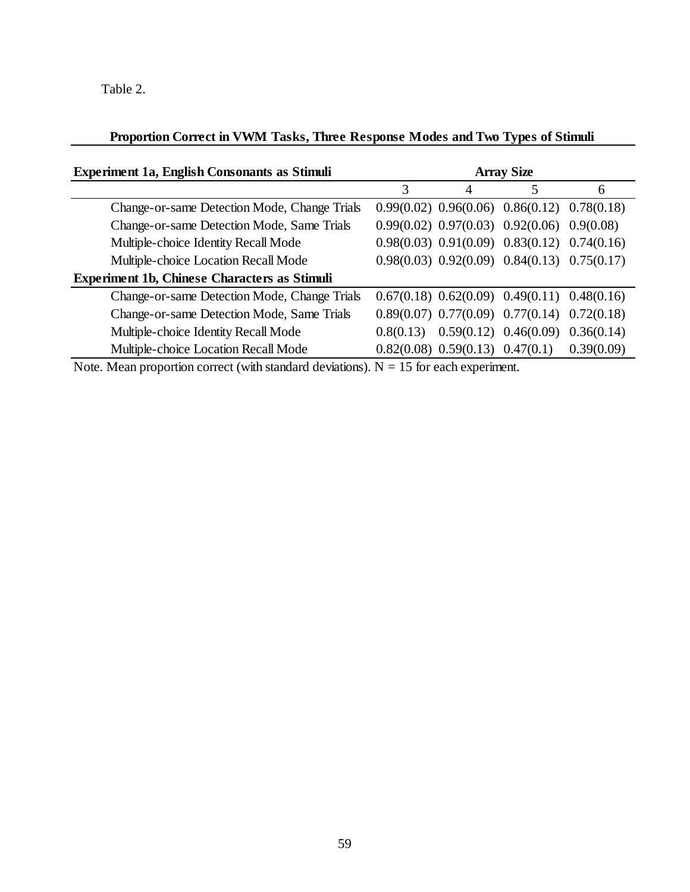Table 2.

## **Proportion Correct in VWM Tasks, Three Response Modes and Two Types of Stimuli**

| <b>Experiment 1a, English Consonants as Stimuli</b>                                                                                                                                                                                                                            | <b>Array Size</b> |                                       |                                                     |            |
|--------------------------------------------------------------------------------------------------------------------------------------------------------------------------------------------------------------------------------------------------------------------------------|-------------------|---------------------------------------|-----------------------------------------------------|------------|
|                                                                                                                                                                                                                                                                                | 3                 | 4                                     |                                                     | 6          |
| Change-or-same Detection Mode, Change Trials                                                                                                                                                                                                                                   |                   |                                       | $0.99(0.02)$ $0.96(0.06)$ $0.86(0.12)$ $0.78(0.18)$ |            |
| Change-or-same Detection Mode, Same Trials                                                                                                                                                                                                                                     |                   |                                       | $0.99(0.02)$ $0.97(0.03)$ $0.92(0.06)$ $0.9(0.08)$  |            |
| Multiple-choice Identity Recall Mode                                                                                                                                                                                                                                           |                   |                                       | $0.98(0.03)$ $0.91(0.09)$ $0.83(0.12)$ $0.74(0.16)$ |            |
| Multiple-choice Location Recall Mode                                                                                                                                                                                                                                           |                   |                                       | $0.98(0.03)$ $0.92(0.09)$ $0.84(0.13)$ $0.75(0.17)$ |            |
| <b>Experiment 1b, Chinese Characters as Stimuli</b>                                                                                                                                                                                                                            |                   |                                       |                                                     |            |
| Change-or-same Detection Mode, Change Trials                                                                                                                                                                                                                                   |                   |                                       | $0.67(0.18)$ $0.62(0.09)$ $0.49(0.11)$ $0.48(0.16)$ |            |
| Change-or-same Detection Mode, Same Trials                                                                                                                                                                                                                                     |                   |                                       | $0.89(0.07)$ $0.77(0.09)$ $0.77(0.14)$ $0.72(0.18)$ |            |
| Multiple-choice Identity Recall Mode                                                                                                                                                                                                                                           | 0.8(0.13)         |                                       | $0.59(0.12)$ $0.46(0.09)$ $0.36(0.14)$              |            |
| Multiple-choice Location Recall Mode                                                                                                                                                                                                                                           |                   | $0.82(0.08)$ $0.59(0.13)$ $0.47(0.1)$ |                                                     | 0.39(0.09) |
| $\mathbf{M}$ , and the set of the set of $\mathbf{M}$ , and $\mathbf{M}$ are set of $\mathbf{M}$ , and $\mathbf{M}$ are set of $\mathbf{M}$ and $\mathbf{M}$ are set of $\mathbf{M}$ and $\mathbf{M}$ are set of $\mathbf{M}$ and $\mathbf{M}$ are set of $\mathbf{M}$ and $\$ |                   |                                       |                                                     |            |

Note. Mean proportion correct (with standard deviations).  $N = 15$  for each experiment.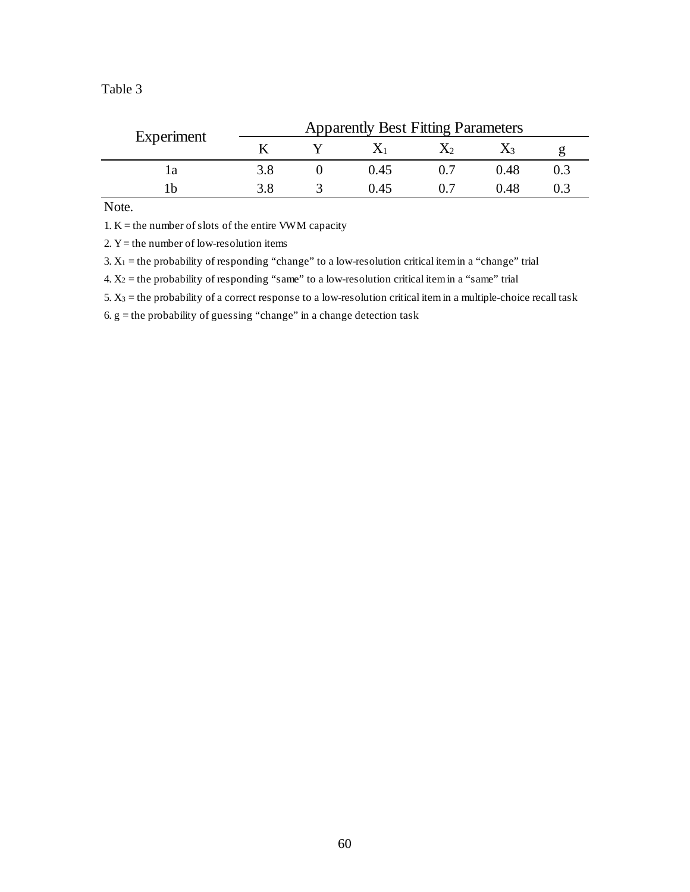| able |  |
|------|--|
|------|--|

| Experiment | <b>Apparently Best Fitting Parameters</b> |  |       |  |      |  |
|------------|-------------------------------------------|--|-------|--|------|--|
|            |                                           |  |       |  |      |  |
|            | 3.8                                       |  | 0.45  |  | 0.48 |  |
| l h        |                                           |  | () 45 |  | D 48 |  |

Note.

1.  $K =$  the number of slots of the entire VWM capacity

2.  $Y =$  the number of low-resolution items

3.  $X_1$  = the probability of responding "change" to a low-resolution critical item in a "change" trial

4.  $X_2$  = the probability of responding "same" to a low-resolution critical item in a "same" trial

5. X3 = the probability of a correct response to a low-resolution critical item in a multiple-choice recall task

6 . g = the probability of guessing "change" in a change detection task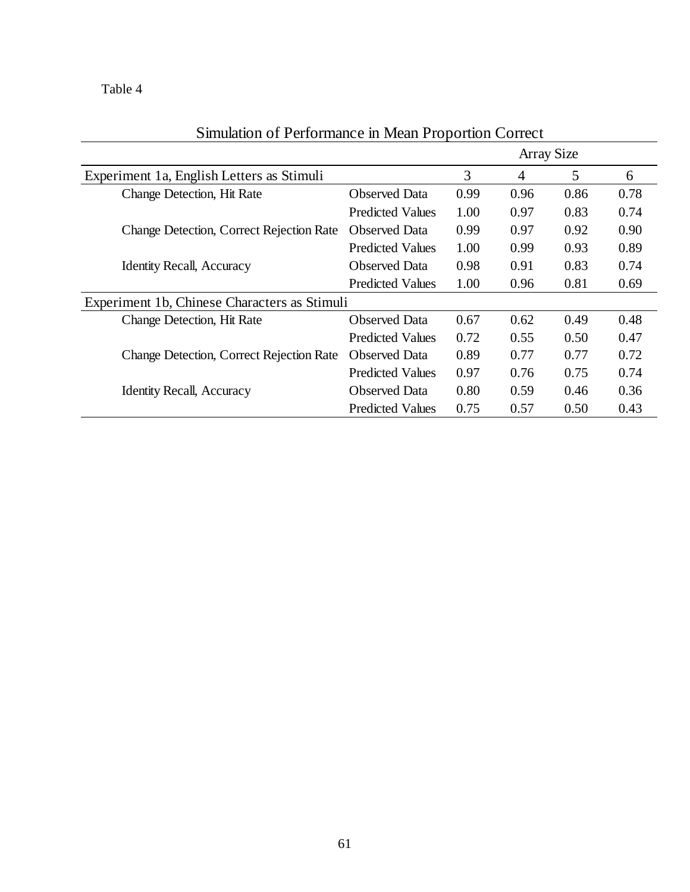Table 4

|                                                 |                         | <b>Array Size</b> |      |      |      |
|-------------------------------------------------|-------------------------|-------------------|------|------|------|
| Experiment 1a, English Letters as Stimuli       |                         | 3                 | 4    | 5    | 6    |
| Change Detection, Hit Rate                      | <b>Observed Data</b>    | 0.99              | 0.96 | 0.86 | 0.78 |
|                                                 | <b>Predicted Values</b> | 1.00              | 0.97 | 0.83 | 0.74 |
| <b>Change Detection, Correct Rejection Rate</b> | <b>Observed Data</b>    | 0.99              | 0.97 | 0.92 | 0.90 |
|                                                 | <b>Predicted Values</b> | 1.00              | 0.99 | 0.93 | 0.89 |
| <b>Identity Recall, Accuracy</b>                | <b>Observed Data</b>    | 0.98              | 0.91 | 0.83 | 0.74 |
|                                                 | <b>Predicted Values</b> | 1.00              | 0.96 | 0.81 | 0.69 |
| Experiment 1b, Chinese Characters as Stimuli    |                         |                   |      |      |      |
| Change Detection, Hit Rate                      | <b>Observed Data</b>    | 0.67              | 0.62 | 0.49 | 0.48 |
|                                                 | <b>Predicted Values</b> | 0.72              | 0.55 | 0.50 | 0.47 |
| <b>Change Detection, Correct Rejection Rate</b> | <b>Observed Data</b>    | 0.89              | 0.77 | 0.77 | 0.72 |
|                                                 | <b>Predicted Values</b> | 0.97              | 0.76 | 0.75 | 0.74 |
| <b>Identity Recall, Accuracy</b>                | <b>Observed Data</b>    | 0.80              | 0.59 | 0.46 | 0.36 |
|                                                 | <b>Predicted Values</b> | 0.75              | 0.57 | 0.50 | 0.43 |

# Simulation of Performance in Mean Proportion Correct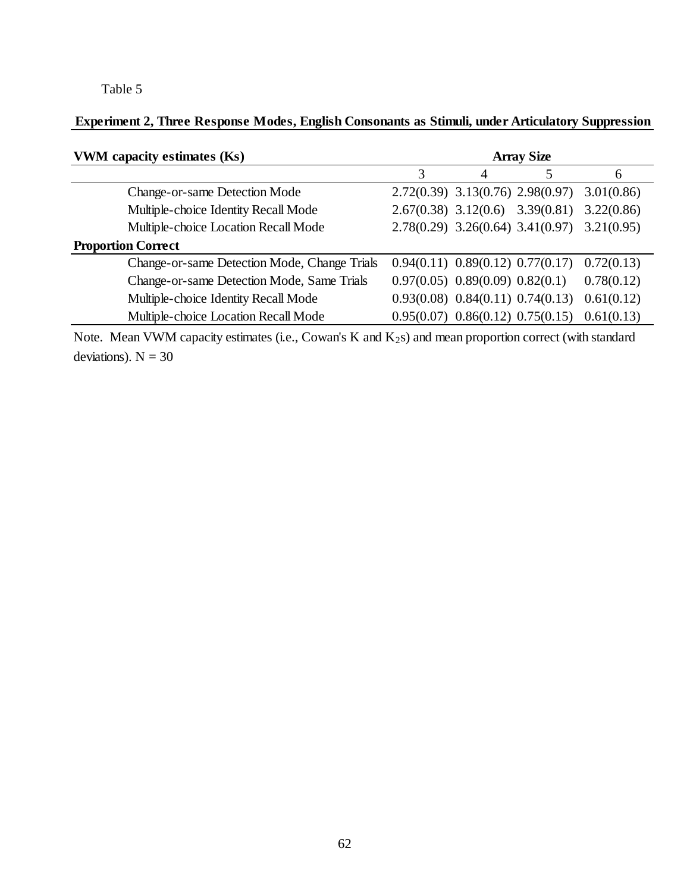# Table 5

# **Experiment 2, Three Response Modes, English Consonants as Stimuli, under Articulatory Suppression**

| VWM capacity estimates (Ks)                  | <b>Array Size</b>                     |   |                                                     |               |
|----------------------------------------------|---------------------------------------|---|-----------------------------------------------------|---------------|
|                                              |                                       | 4 |                                                     | $\mathfrak b$ |
| Change-or-same Detection Mode                |                                       |   | 2.72(0.39) 3.13(0.76) 2.98(0.97)                    | 3.01(0.86)    |
| Multiple-choice Identity Recall Mode         |                                       |   | $2.67(0.38)$ $3.12(0.6)$ $3.39(0.81)$               | 3.22(0.86)    |
| Multiple-choice Location Recall Mode         |                                       |   | $2.78(0.29)$ $3.26(0.64)$ $3.41(0.97)$ $3.21(0.95)$ |               |
| <b>Proportion Correct</b>                    |                                       |   |                                                     |               |
| Change-or-same Detection Mode, Change Trials |                                       |   | $0.94(0.11)$ $0.89(0.12)$ $0.77(0.17)$              | 0.72(0.13)    |
| Change-or-same Detection Mode, Same Trials   | $0.97(0.05)$ $0.89(0.09)$ $0.82(0.1)$ |   |                                                     | 0.78(0.12)    |
| Multiple-choice Identity Recall Mode         |                                       |   | $0.93(0.08)$ $0.84(0.11)$ $0.74(0.13)$              | 0.61(0.12)    |
| Multiple-choice Location Recall Mode         |                                       |   | $0.95(0.07)$ $0.86(0.12)$ $0.75(0.15)$              | 0.61(0.13)    |

Note. Mean VWM capacity estimates (i.e., Cowan's K and K<sub>2</sub>s) and mean proportion correct (with standard deviations).  $N = 30$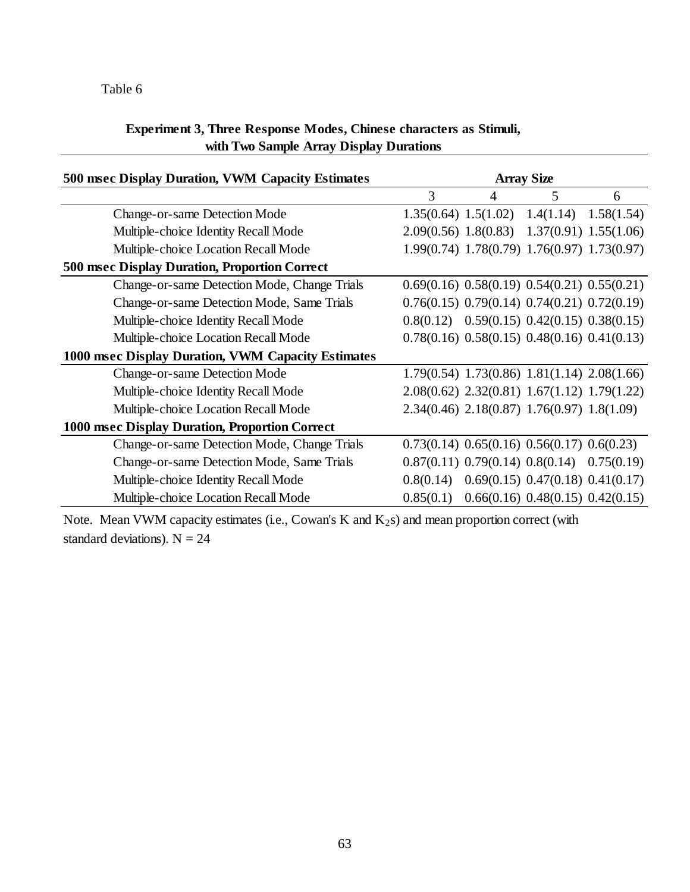# Table 6

# **Experiment 3, Three Response Modes, Chinese characters as Stimuli, with Two Sample Array Display Durations**

| 500 msec Display Duration, VWM Capacity Estimates    | <b>Array Size</b>        |                                                     |                                        |                          |
|------------------------------------------------------|--------------------------|-----------------------------------------------------|----------------------------------------|--------------------------|
|                                                      | 3                        | 4                                                   | 5                                      | 6                        |
| <b>Change-or-same Detection Mode</b>                 | $1.35(0.64)$ $1.5(1.02)$ |                                                     |                                        | $1.4(1.14)$ $1.58(1.54)$ |
| Multiple-choice Identity Recall Mode                 |                          | $2.09(0.56)$ $1.8(0.83)$ $1.37(0.91)$ $1.55(1.06)$  |                                        |                          |
| Multiple-choice Location Recall Mode                 |                          | 1.99(0.74) 1.78(0.79) 1.76(0.97) 1.73(0.97)         |                                        |                          |
| <b>500 msec Display Duration, Proportion Correct</b> |                          |                                                     |                                        |                          |
| Change-or-same Detection Mode, Change Trials         |                          | $0.69(0.16)$ $0.58(0.19)$ $0.54(0.21)$ $0.55(0.21)$ |                                        |                          |
| Change-or-same Detection Mode, Same Trials           |                          | $0.76(0.15)$ $0.79(0.14)$ $0.74(0.21)$ $0.72(0.19)$ |                                        |                          |
| Multiple-choice Identity Recall Mode                 |                          | $0.8(0.12)$ $0.59(0.15)$ $0.42(0.15)$ $0.38(0.15)$  |                                        |                          |
| Multiple-choice Location Recall Mode                 |                          | $0.78(0.16)$ $0.58(0.15)$ $0.48(0.16)$ $0.41(0.13)$ |                                        |                          |
| 1000 msec Display Duration, VWM Capacity Estimates   |                          |                                                     |                                        |                          |
| <b>Change-or-same Detection Mode</b>                 |                          | $1.79(0.54)$ $1.73(0.86)$ $1.81(1.14)$ $2.08(1.66)$ |                                        |                          |
| Multiple-choice Identity Recall Mode                 |                          | $2.08(0.62)$ $2.32(0.81)$ $1.67(1.12)$ $1.79(1.22)$ |                                        |                          |
| Multiple-choice Location Recall Mode                 |                          | $2.34(0.46)$ $2.18(0.87)$ $1.76(0.97)$ $1.8(1.09)$  |                                        |                          |
| 1000 msec Display Duration, Proportion Correct       |                          |                                                     |                                        |                          |
| Change-or-same Detection Mode, Change Trials         |                          | $0.73(0.14)$ $0.65(0.16)$ $0.56(0.17)$ $0.6(0.23)$  |                                        |                          |
| Change-or-same Detection Mode, Same Trials           |                          | $0.87(0.11)$ $0.79(0.14)$ $0.8(0.14)$ $0.75(0.19)$  |                                        |                          |
| Multiple-choice Identity Recall Mode                 | 0.8(0.14)                |                                                     | $0.69(0.15)$ $0.47(0.18)$ $0.41(0.17)$ |                          |
| Multiple-choice Location Recall Mode                 | 0.85(0.1)                |                                                     | $0.66(0.16)$ $0.48(0.15)$ $0.42(0.15)$ |                          |

Note. Mean VWM capacity estimates (i.e., Cowan's K and K<sub>2</sub>s) and mean proportion correct (with standard deviations).  $N = 24$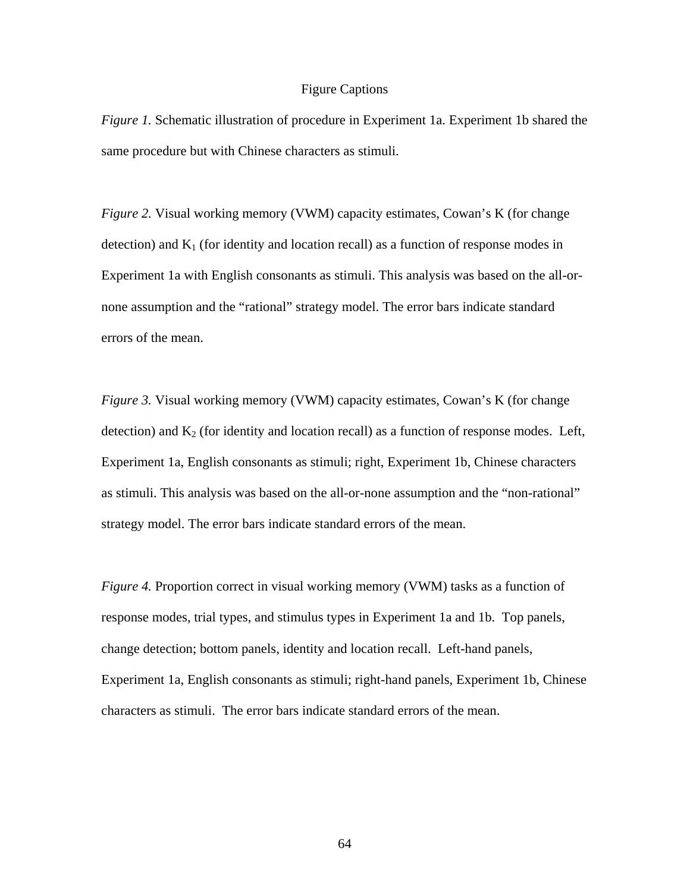## Figure Captions

*Figure 1.* Schematic illustration of procedure in Experiment 1a. Experiment 1b shared the same procedure but with Chinese characters as stimuli.

*Figure 2.* Visual working memory (VWM) capacity estimates, Cowan's K (for change detection) and  $K_1$  (for identity and location recall) as a function of response modes in Experiment 1a with English consonants as stimuli. This analysis was based on the all-ornone assumption and the "rational" strategy model. The error bars indicate standard errors of the mean.

*Figure 3.* Visual working memory (VWM) capacity estimates, Cowan's K (for change detection) and  $K_2$  (for identity and location recall) as a function of response modes. Left, Experiment 1a, English consonants as stimuli; right, Experiment 1b, Chinese characters as stimuli. This analysis was based on the all-or-none assumption and the "non-rational" strategy model. The error bars indicate standard errors of the mean.

*Figure 4.* Proportion correct in visual working memory (VWM) tasks as a function of response modes, trial types, and stimulus types in Experiment 1a and 1b. Top panels, change detection; bottom panels, identity and location recall. Left-hand panels, Experiment 1a, English consonants as stimuli; right-hand panels, Experiment 1b, Chinese characters as stimuli. The error bars indicate standard errors of the mean.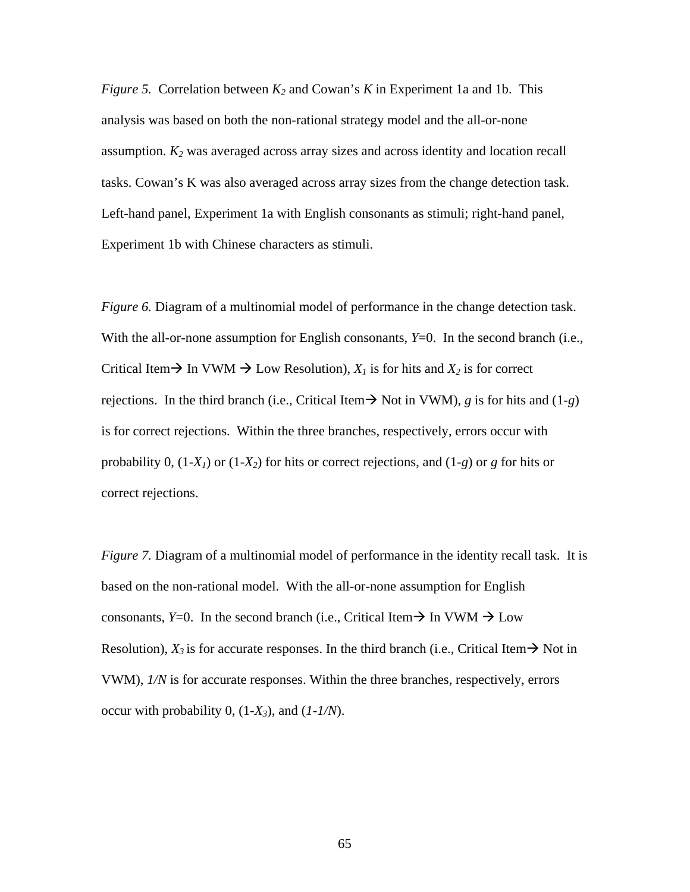*Figure 5.* Correlation between *K2* and Cowan's *K* in Experiment 1a and 1b. This analysis was based on both the non-rational strategy model and the all-or-none assumption. *K2* was averaged across array sizes and across identity and location recall tasks. Cowan's K was also averaged across array sizes from the change detection task. Left-hand panel, Experiment 1a with English consonants as stimuli; right-hand panel, Experiment 1b with Chinese characters as stimuli.

*Figure 6.* Diagram of a multinomial model of performance in the change detection task. With the all-or-none assumption for English consonants, *Y*=0. In the second branch (i.e., Critical Item  $\rightarrow$  In VWM  $\rightarrow$  Low Resolution),  $X_I$  is for hits and  $X_2$  is for correct rejections. In the third branch (i.e., Critical Item  $\rightarrow$  Not in VWM), *g* is for hits and (1-*g*) is for correct rejections. Within the three branches, respectively, errors occur with probability 0,  $(1-X_1)$  or  $(1-X_2)$  for hits or correct rejections, and  $(1-g)$  or *g* for hits or correct rejections.

*Figure 7.* Diagram of a multinomial model of performance in the identity recall task. It is based on the non-rational model. With the all-or-none assumption for English consonants, *Y*=0. In the second branch (i.e., Critical Item  $\rightarrow$  In VWM  $\rightarrow$  Low Resolution),  $X_3$  is for accurate responses. In the third branch (i.e., Critical Item  $\rightarrow$  Not in VWM), *1/N* is for accurate responses. Within the three branches, respectively, errors occur with probability  $0$ ,  $(1-X_3)$ , and  $(1-1/N)$ .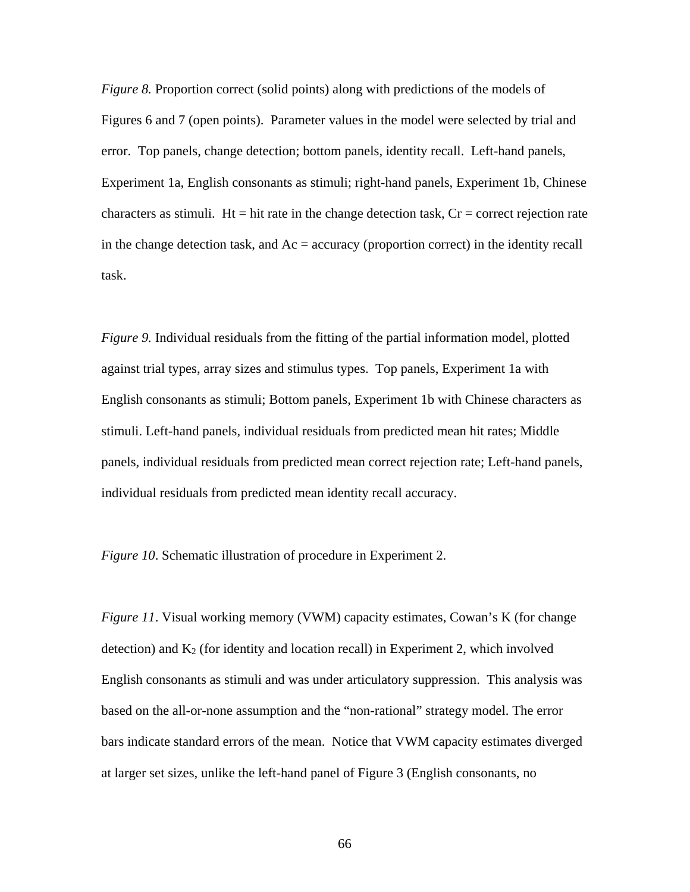*Figure 8.* Proportion correct (solid points) along with predictions of the models of Figures 6 and 7 (open points). Parameter values in the model were selected by trial and error. Top panels, change detection; bottom panels, identity recall. Left-hand panels, Experiment 1a, English consonants as stimuli; right-hand panels, Experiment 1b, Chinese characters as stimuli. Ht = hit rate in the change detection task,  $Cr =$  correct rejection rate in the change detection task, and  $Ac =$  accuracy (proportion correct) in the identity recall task.

*Figure 9.* Individual residuals from the fitting of the partial information model, plotted against trial types, array sizes and stimulus types. Top panels, Experiment 1a with English consonants as stimuli; Bottom panels, Experiment 1b with Chinese characters as stimuli. Left-hand panels, individual residuals from predicted mean hit rates; Middle panels, individual residuals from predicted mean correct rejection rate; Left-hand panels, individual residuals from predicted mean identity recall accuracy.

*Figure 10*. Schematic illustration of procedure in Experiment 2.

*Figure 11*. Visual working memory (VWM) capacity estimates, Cowan's K (for change detection) and  $K_2$  (for identity and location recall) in Experiment 2, which involved English consonants as stimuli and was under articulatory suppression. This analysis was based on the all-or-none assumption and the "non-rational" strategy model. The error bars indicate standard errors of the mean. Notice that VWM capacity estimates diverged at larger set sizes, unlike the left-hand panel of Figure 3 (English consonants, no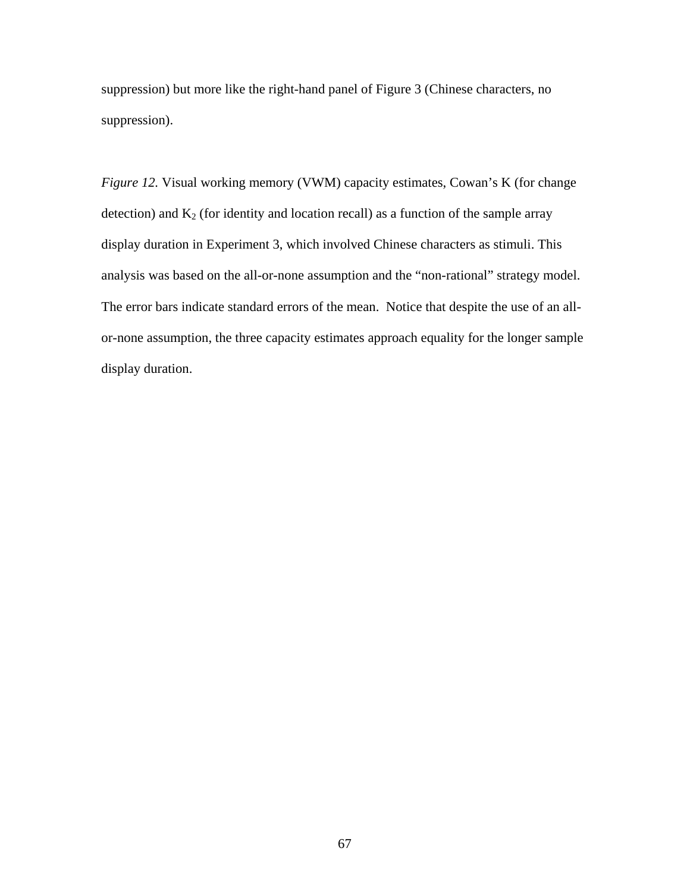suppression) but more like the right-hand panel of Figure 3 (Chinese characters, no suppression).

*Figure 12.* Visual working memory (VWM) capacity estimates, Cowan's K (for change detection) and  $K_2$  (for identity and location recall) as a function of the sample array display duration in Experiment 3, which involved Chinese characters as stimuli. This analysis was based on the all-or-none assumption and the "non-rational" strategy model. The error bars indicate standard errors of the mean. Notice that despite the use of an allor-none assumption, the three capacity estimates approach equality for the longer sample display duration.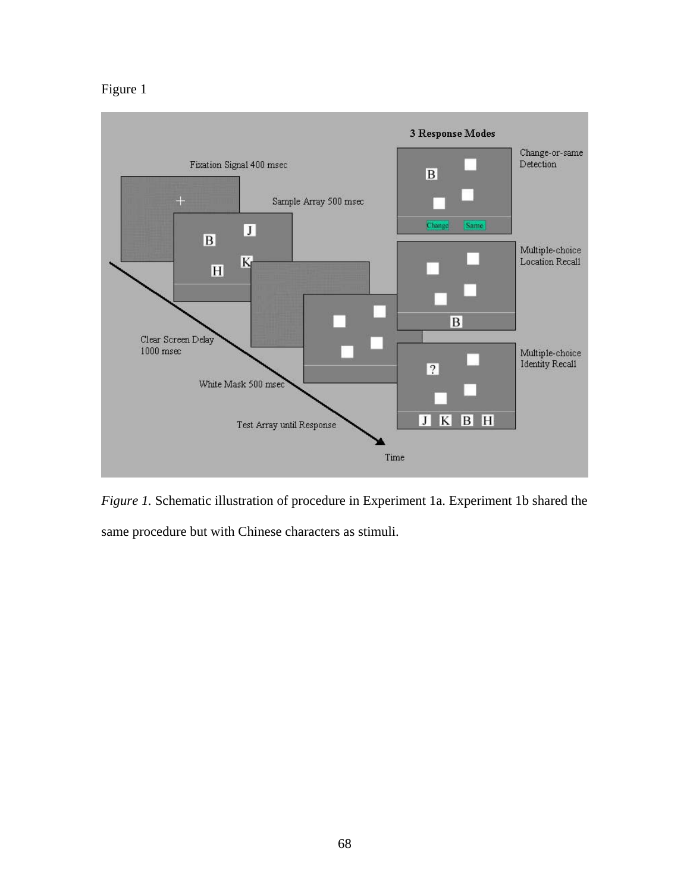## Figure 1



*Figure 1.* Schematic illustration of procedure in Experiment 1a. Experiment 1b shared the same procedure but with Chinese characters as stimuli.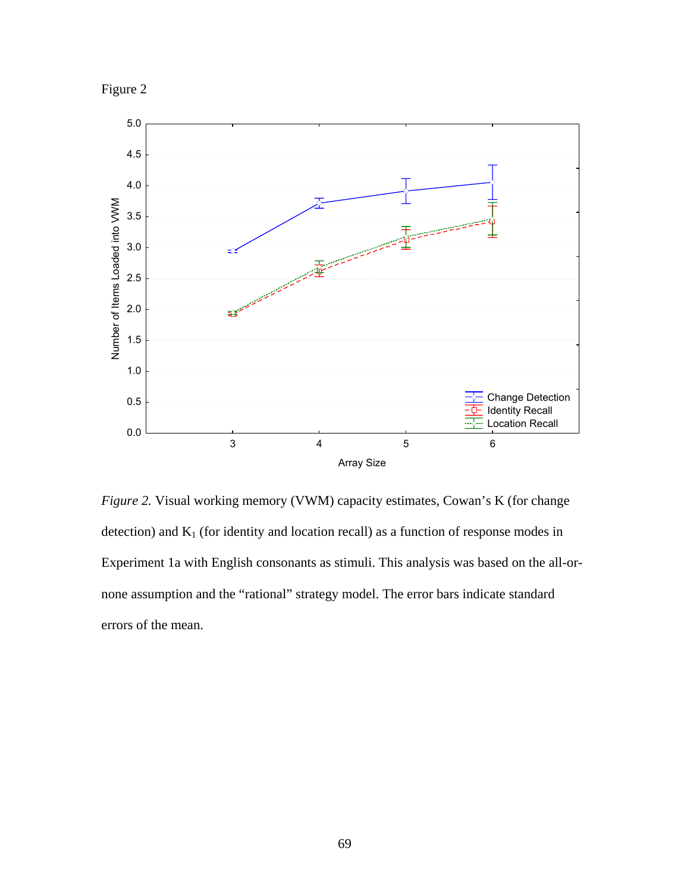



*Figure 2.* Visual working memory (VWM) capacity estimates, Cowan's K (for change detection) and  $K_1$  (for identity and location recall) as a function of response modes in Experiment 1a with English consonants as stimuli. This analysis was based on the all-ornone assumption and the "rational" strategy model. The error bars indicate standard errors of the mean.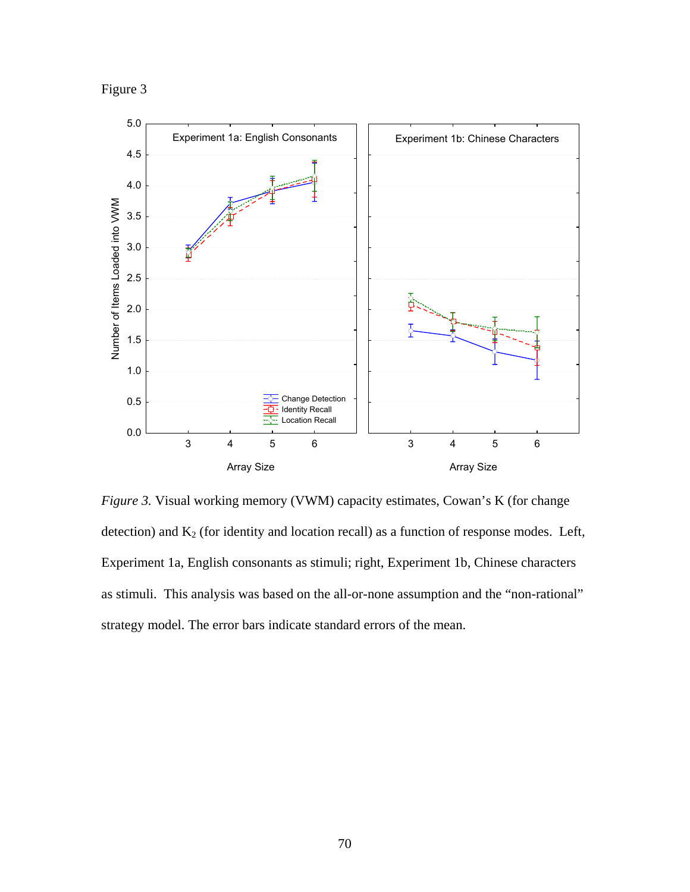Figure 3



*Figure 3.* Visual working memory (VWM) capacity estimates, Cowan's K (for change detection) and  $K_2$  (for identity and location recall) as a function of response modes. Left, Experiment 1a, English consonants as stimuli; right, Experiment 1b, Chinese characters as stimuli. This analysis was based on the all-or-none assumption and the "non-rational" strategy model. The error bars indicate standard errors of the mean.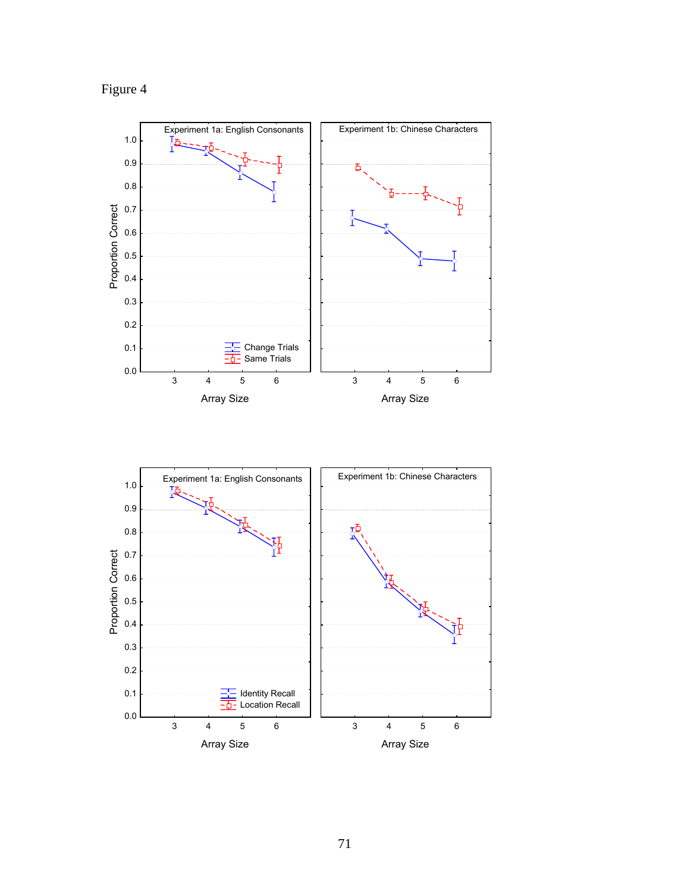



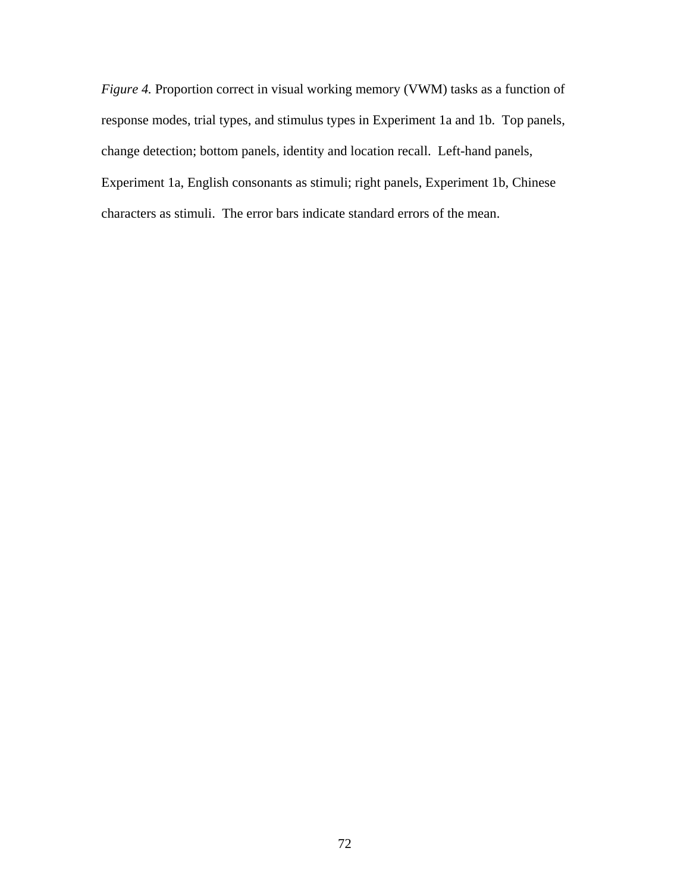*Figure 4.* Proportion correct in visual working memory (VWM) tasks as a function of response modes, trial types, and stimulus types in Experiment 1a and 1b. Top panels, change detection; bottom panels, identity and location recall. Left-hand panels, Experiment 1a, English consonants as stimuli; right panels, Experiment 1b, Chinese characters as stimuli. The error bars indicate standard errors of the mean.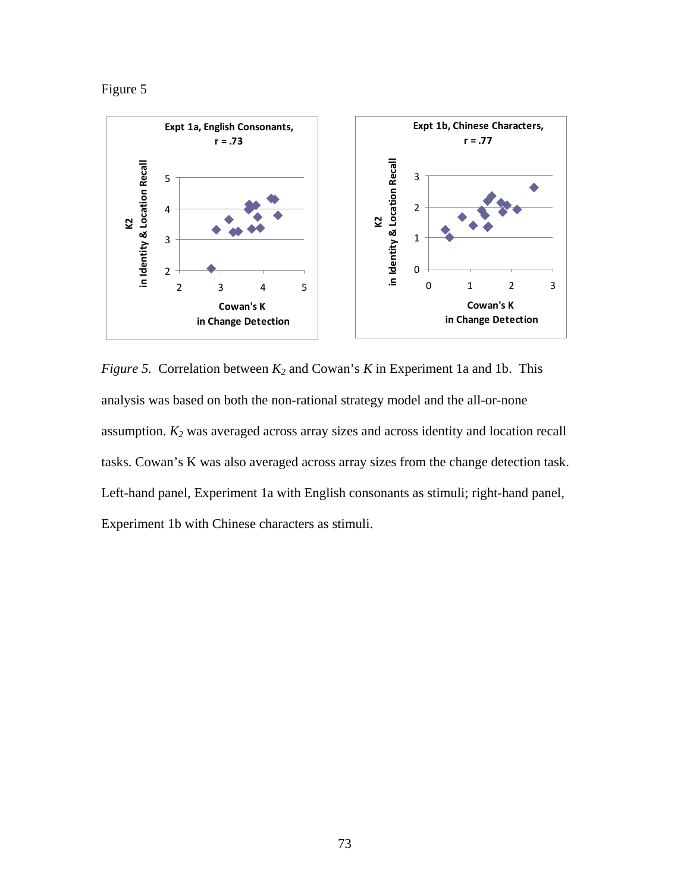Figure 5



*Figure 5.* Correlation between *K2* and Cowan's *K* in Experiment 1a and 1b. This analysis was based on both the non-rational strategy model and the all-or-none assumption. *K2* was averaged across array sizes and across identity and location recall tasks. Cowan's K was also averaged across array sizes from the change detection task. Left-hand panel, Experiment 1a with English consonants as stimuli; right-hand panel, Experiment 1b with Chinese characters as stimuli.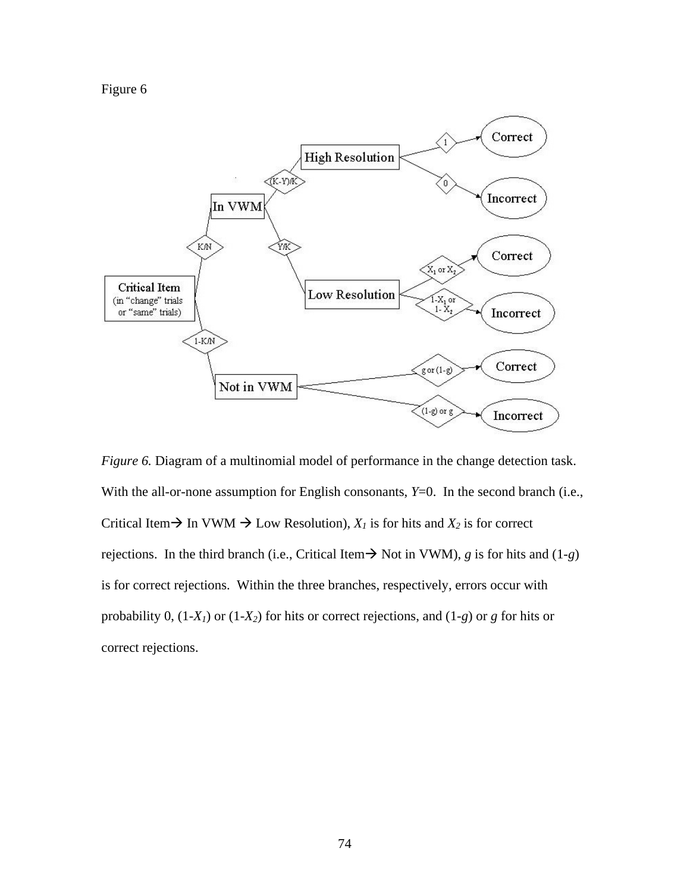



*Figure 6.* Diagram of a multinomial model of performance in the change detection task. With the all-or-none assumption for English consonants,  $Y=0$ . In the second branch (i.e., Critical Item  $\rightarrow$  In VWM  $\rightarrow$  Low Resolution),  $X_l$  is for hits and  $X_2$  is for correct rejections. In the third branch (i.e., Critical Item  $\rightarrow$  Not in VWM), *g* is for hits and (1-*g*) is for correct rejections. Within the three branches, respectively, errors occur with probability 0, (1-*X1*) or (1-*X2*) for hits or correct rejections, and (1-*g*) or *g* for hits or correct rejections.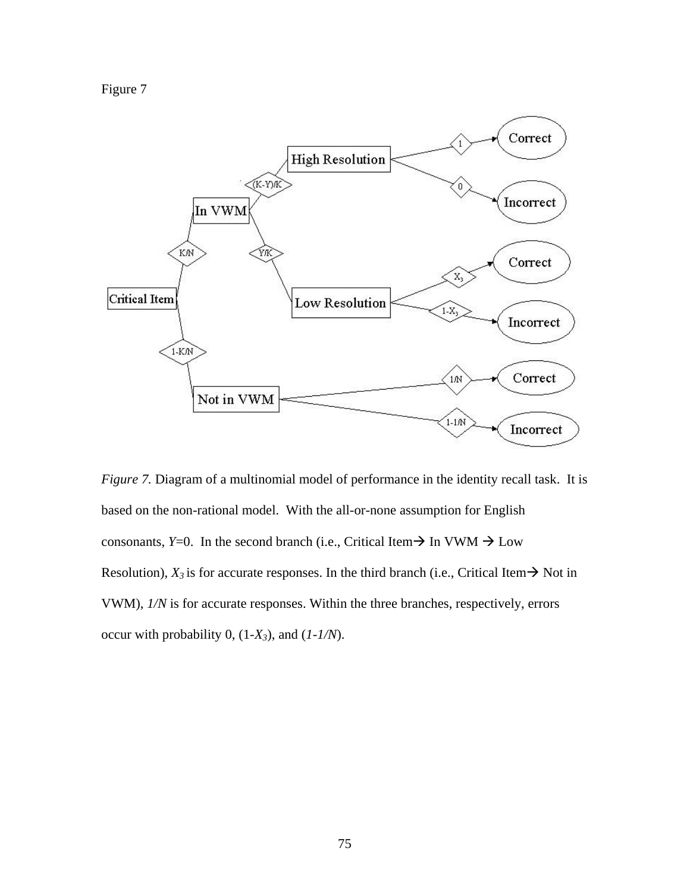Figure 7



*Figure 7.* Diagram of a multinomial model of performance in the identity recall task. It is based on the non-rational model. With the all-or-none assumption for English consonants, *Y*=0. In the second branch (i.e., Critical Item  $\rightarrow$  In VWM  $\rightarrow$  Low Resolution),  $X_3$  is for accurate responses. In the third branch (i.e., Critical Item  $\rightarrow$  Not in VWM), *1/N* is for accurate responses. Within the three branches, respectively, errors occur with probability 0, (1-*X3*), and (*1-1/N*).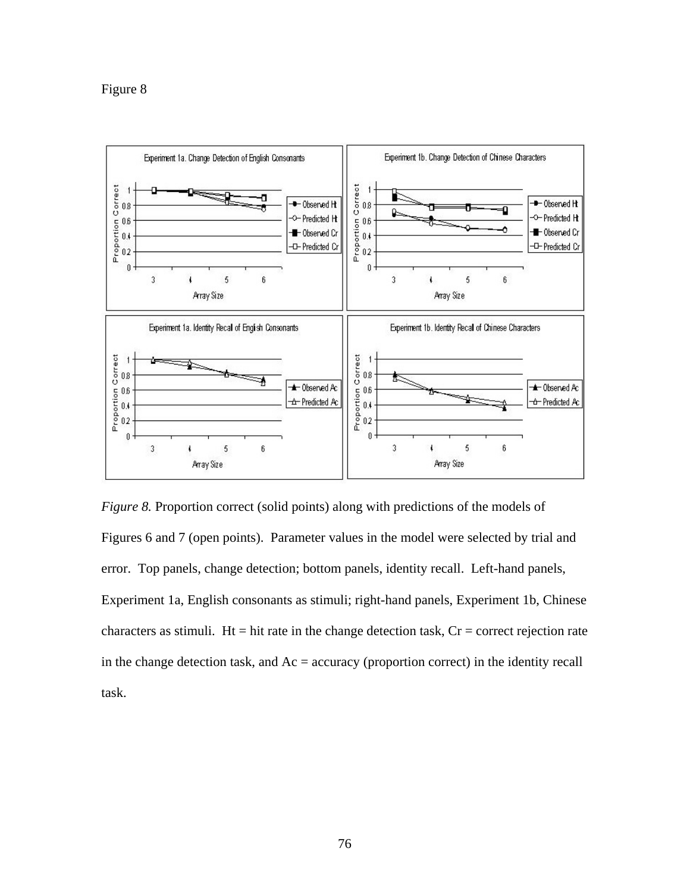

*Figure 8.* Proportion correct (solid points) along with predictions of the models of Figures 6 and 7 (open points). Parameter values in the model were selected by trial and error. Top panels, change detection; bottom panels, identity recall. Left-hand panels, Experiment 1a, English consonants as stimuli; right-hand panels, Experiment 1b, Chinese characters as stimuli. Ht = hit rate in the change detection task,  $Cr =$  correct rejection rate in the change detection task, and  $Ac =$  accuracy (proportion correct) in the identity recall task.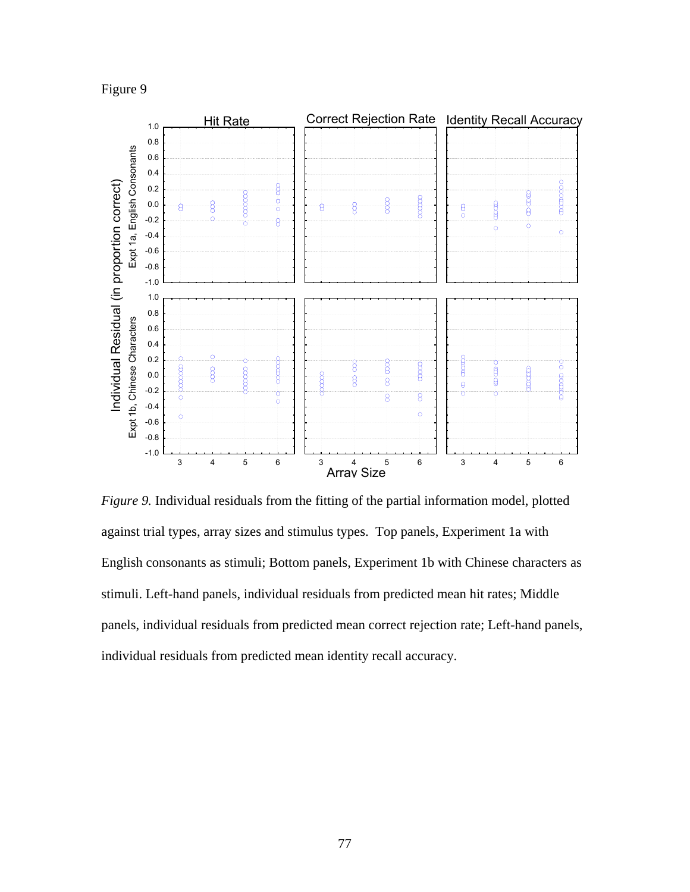Figure 9



*Figure 9.* Individual residuals from the fitting of the partial information model, plotted against trial types, array sizes and stimulus types. Top panels, Experiment 1a with English consonants as stimuli; Bottom panels, Experiment 1b with Chinese characters as stimuli. Left-hand panels, individual residuals from predicted mean hit rates; Middle panels, individual residuals from predicted mean correct rejection rate; Left-hand panels, individual residuals from predicted mean identity recall accuracy.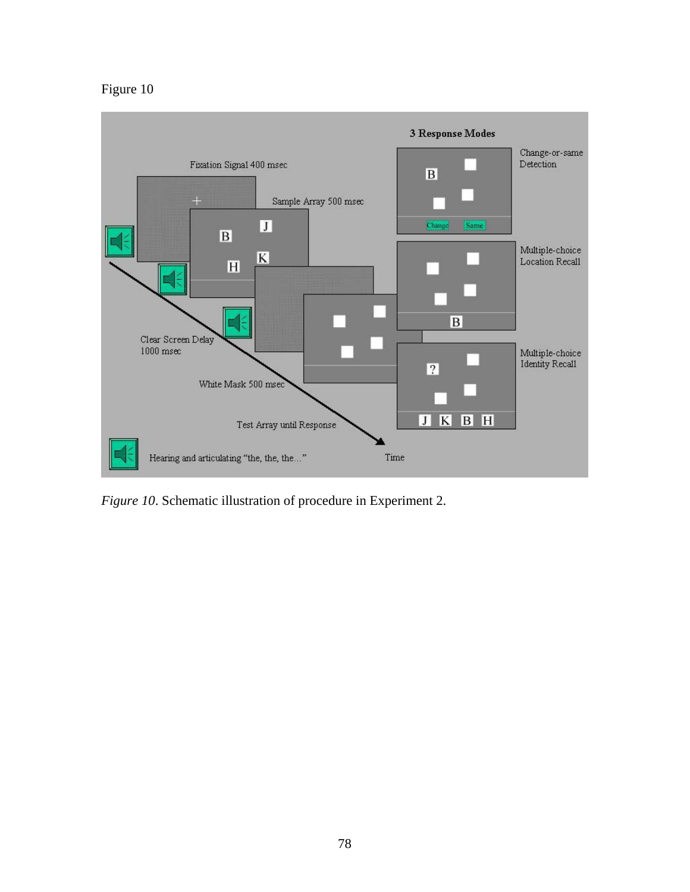## Figure 10



*Figure 10*. Schematic illustration of procedure in Experiment 2.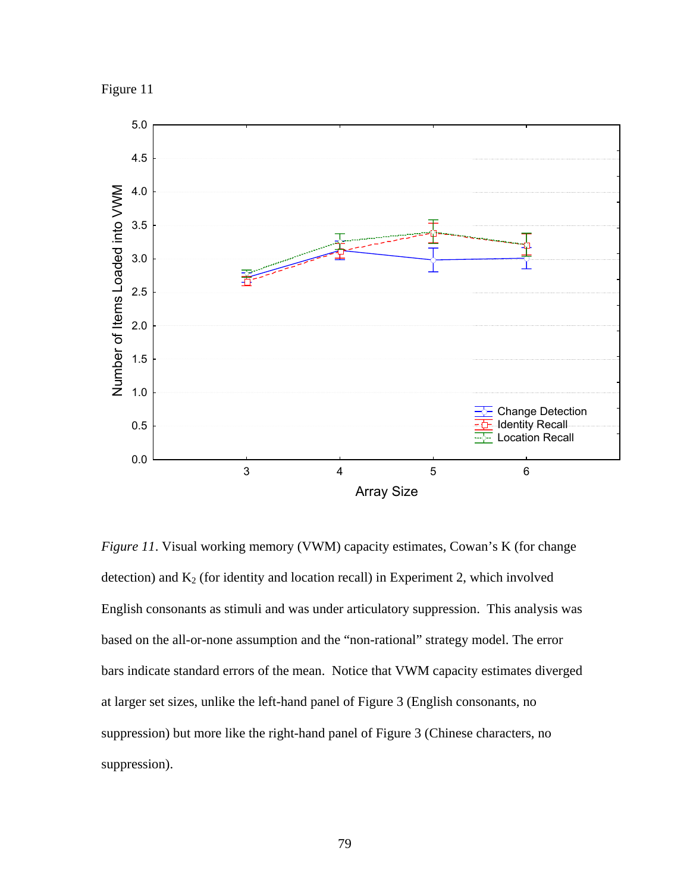



*Figure 11*. Visual working memory (VWM) capacity estimates, Cowan's K (for change detection) and  $K_2$  (for identity and location recall) in Experiment 2, which involved English consonants as stimuli and was under articulatory suppression. This analysis was based on the all-or-none assumption and the "non-rational" strategy model. The error bars indicate standard errors of the mean. Notice that VWM capacity estimates diverged at larger set sizes, unlike the left-hand panel of Figure 3 (English consonants, no suppression) but more like the right-hand panel of Figure 3 (Chinese characters, no suppression).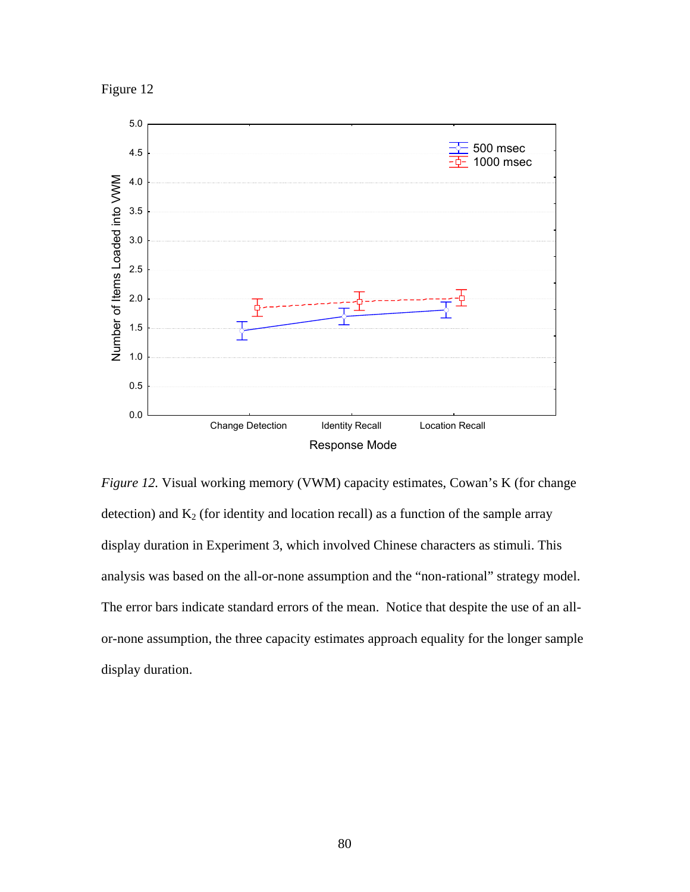



*Figure 12.* Visual working memory (VWM) capacity estimates, Cowan's K (for change detection) and  $K_2$  (for identity and location recall) as a function of the sample array display duration in Experiment 3, which involved Chinese characters as stimuli. This analysis was based on the all-or-none assumption and the "non-rational" strategy model. The error bars indicate standard errors of the mean. Notice that despite the use of an allor-none assumption, the three capacity estimates approach equality for the longer sample display duration.